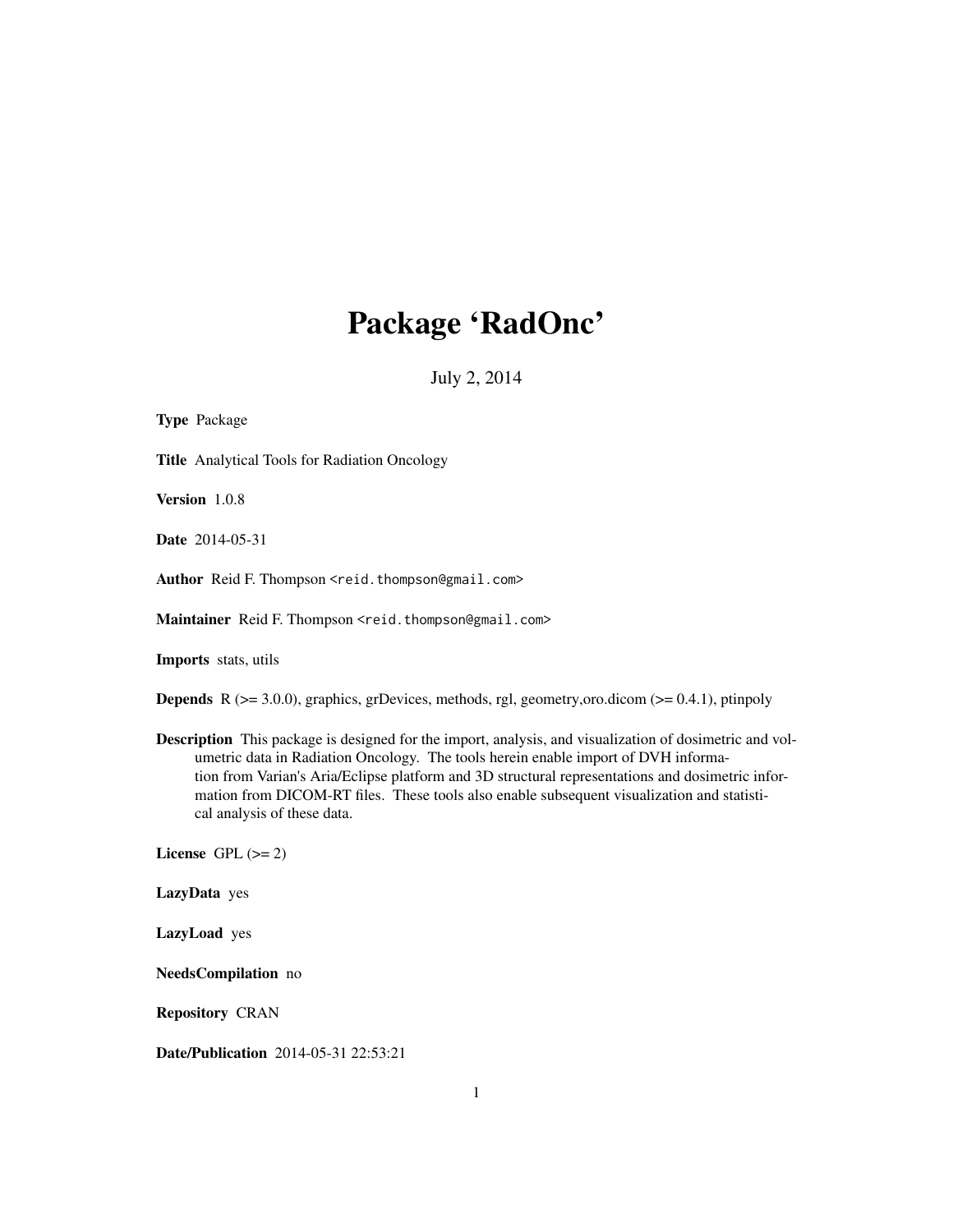# Package 'RadOnc'

July 2, 2014

<span id="page-0-0"></span>

| <b>Type Package</b>                                                                                                                                                                                                                                                                                                                                                                                                            |
|--------------------------------------------------------------------------------------------------------------------------------------------------------------------------------------------------------------------------------------------------------------------------------------------------------------------------------------------------------------------------------------------------------------------------------|
| <b>Title</b> Analytical Tools for Radiation Oncology                                                                                                                                                                                                                                                                                                                                                                           |
| Version 1.0.8                                                                                                                                                                                                                                                                                                                                                                                                                  |
| <b>Date</b> 2014-05-31                                                                                                                                                                                                                                                                                                                                                                                                         |
| Author Reid F. Thompson <reid.thompson@gmail.com></reid.thompson@gmail.com>                                                                                                                                                                                                                                                                                                                                                    |
| Maintainer Reid F. Thompson <reid.thompson@gmail.com></reid.thompson@gmail.com>                                                                                                                                                                                                                                                                                                                                                |
| Imports stats, utils                                                                                                                                                                                                                                                                                                                                                                                                           |
| <b>Depends</b> $R$ ( $>= 3.0.0$ ), graphics, grDevices, methods, rgl, geometry, oro.dicom ( $>= 0.4.1$ ), ptinpoly                                                                                                                                                                                                                                                                                                             |
| Description This package is designed for the import, analysis, and visualization of dosimetric and vol-<br>umetric data in Radiation Oncology. The tools herein enable import of DVH informa-<br>tion from Varian's Aria/Eclipse platform and 3D structural representations and dosimetric infor-<br>mation from DICOM-RT files. These tools also enable subsequent visualization and statisti-<br>cal analysis of these data. |
| License GPL $(>= 2)$                                                                                                                                                                                                                                                                                                                                                                                                           |
| LazyData yes                                                                                                                                                                                                                                                                                                                                                                                                                   |
| LazyLoad yes                                                                                                                                                                                                                                                                                                                                                                                                                   |
| NeedsCompilation no                                                                                                                                                                                                                                                                                                                                                                                                            |
| <b>Repository CRAN</b>                                                                                                                                                                                                                                                                                                                                                                                                         |
| Date/Publication 2014-05-31 22:53:21                                                                                                                                                                                                                                                                                                                                                                                           |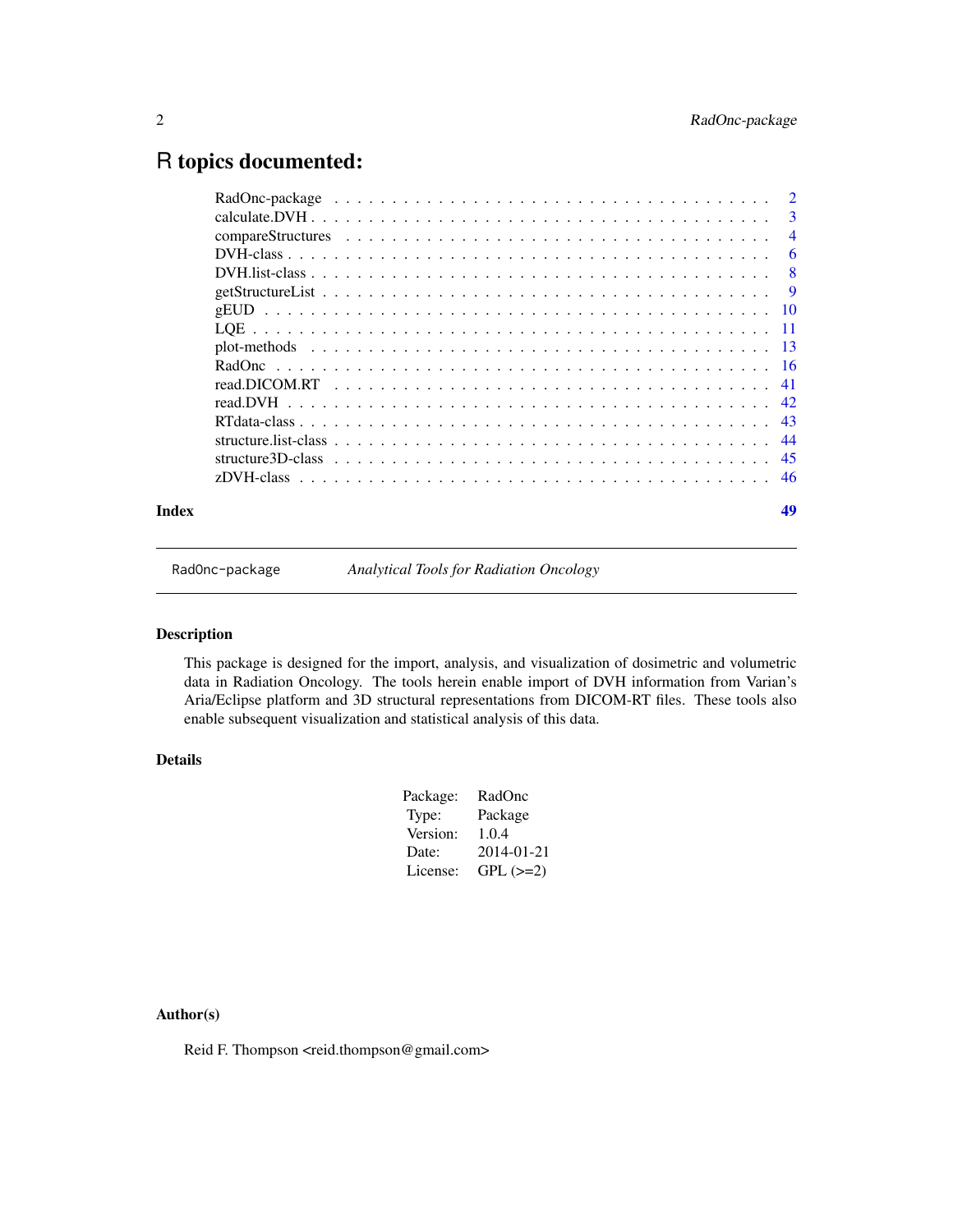## <span id="page-1-0"></span>R topics documented:

| Index | 49 |
|-------|----|

RadOnc-package *Analytical Tools for Radiation Oncology*

## Description

This package is designed for the import, analysis, and visualization of dosimetric and volumetric data in Radiation Oncology. The tools herein enable import of DVH information from Varian's Aria/Eclipse platform and 3D structural representations from DICOM-RT files. These tools also enable subsequent visualization and statistical analysis of this data.

## Details

| Package: | RadOnc     |
|----------|------------|
| Type:    | Package    |
| Version: | 1.0.4      |
| Date:    | 2014-01-21 |
| License: | $GPL (=2)$ |

## Author(s)

Reid F. Thompson <reid.thompson@gmail.com>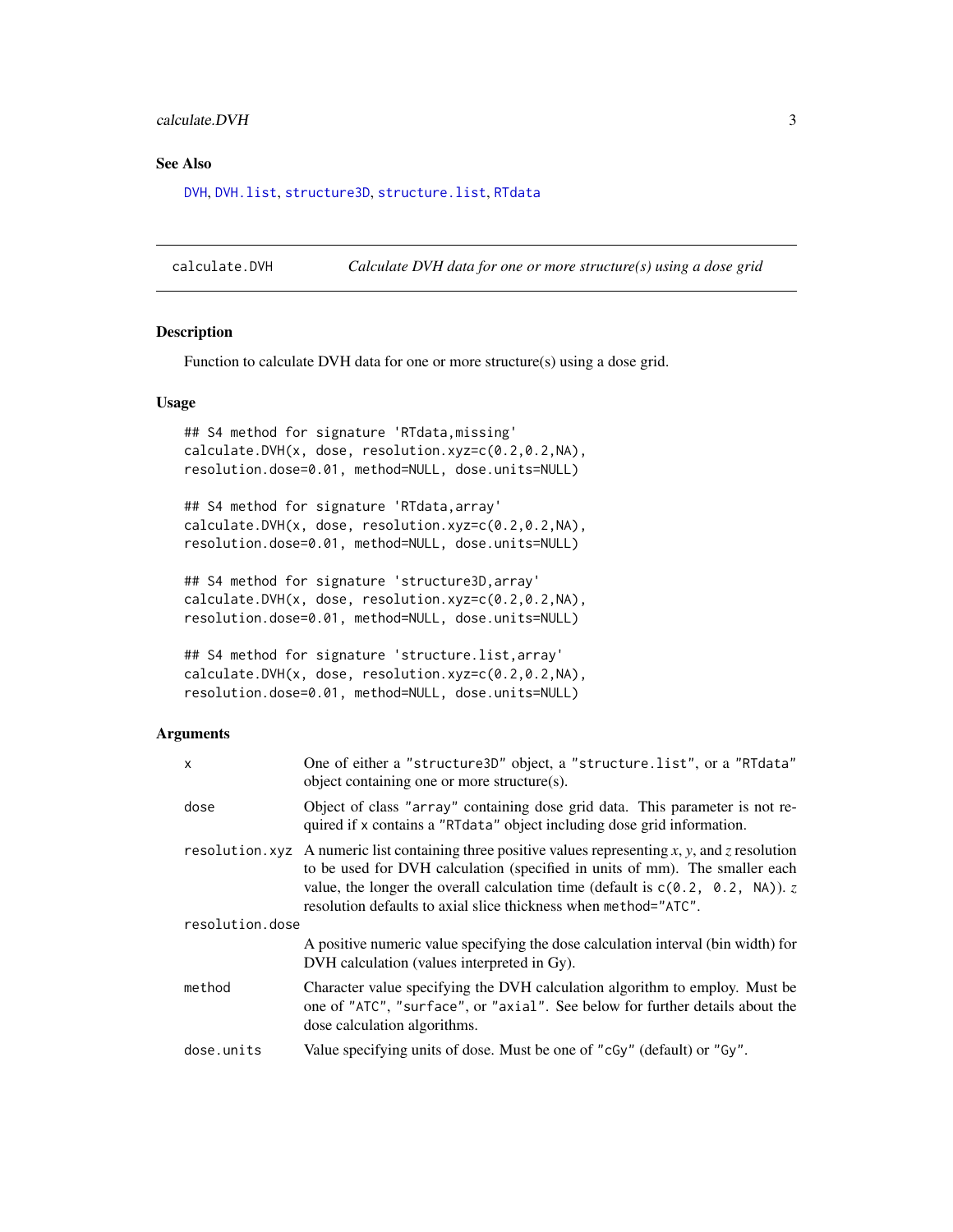## <span id="page-2-0"></span>calculate.DVH 3

## See Also

[DVH](#page-5-1), [DVH.list](#page-7-1), [structure3D](#page-0-0), [structure.list](#page-0-0), [RTdata](#page-0-0)

calculate.DVH *Calculate DVH data for one or more structure(s) using a dose grid*

## Description

Function to calculate DVH data for one or more structure(s) using a dose grid.

## Usage

```
## S4 method for signature 'RTdata,missing'
calculate.DVH(x, dose, resolution.xyz=c(0.2,0.2,NA),
resolution.dose=0.01, method=NULL, dose.units=NULL)
```
## S4 method for signature 'RTdata,array' calculate.DVH(x, dose, resolution.xyz=c(0.2,0.2,NA), resolution.dose=0.01, method=NULL, dose.units=NULL)

```
## S4 method for signature 'structure3D,array'
calculate.DVH(x, dose, resolution.xyz=c(0.2,0.2,NA),
resolution.dose=0.01, method=NULL, dose.units=NULL)
```

```
## S4 method for signature 'structure.list,array'
calculate.DVH(x, dose, resolution.xyz=c(0.2,0.2,NA),
resolution.dose=0.01, method=NULL, dose.units=NULL)
```
## **Arguments**

| $\boldsymbol{\mathsf{x}}$ | One of either a "structure3D" object, a "structure.list", or a "RTdata"<br>object containing one or more structure(s).                                                                                                                                                                                                                     |  |  |  |  |  |
|---------------------------|--------------------------------------------------------------------------------------------------------------------------------------------------------------------------------------------------------------------------------------------------------------------------------------------------------------------------------------------|--|--|--|--|--|
| dose                      | Object of class "array" containing dose grid data. This parameter is not re-<br>quired if x contains a "RTdata" object including dose grid information.                                                                                                                                                                                    |  |  |  |  |  |
|                           | resolution. xyz A numeric list containing three positive values representing x, y, and z resolution<br>to be used for DVH calculation (specified in units of mm). The smaller each<br>value, the longer the overall calculation time (default is $c(0.2, 0.2, NA)$ ). z<br>resolution defaults to axial slice thickness when method="ATC". |  |  |  |  |  |
| resolution.dose           |                                                                                                                                                                                                                                                                                                                                            |  |  |  |  |  |
|                           | A positive numeric value specifying the dose calculation interval (bin width) for<br>DVH calculation (values interpreted in Gy).                                                                                                                                                                                                           |  |  |  |  |  |
| method                    | Character value specifying the DVH calculation algorithm to employ. Must be<br>one of "ATC", "surface", or "axial". See below for further details about the<br>dose calculation algorithms.                                                                                                                                                |  |  |  |  |  |
| dose.units                | Value specifying units of dose. Must be one of "cGy" (default) or "Gy".                                                                                                                                                                                                                                                                    |  |  |  |  |  |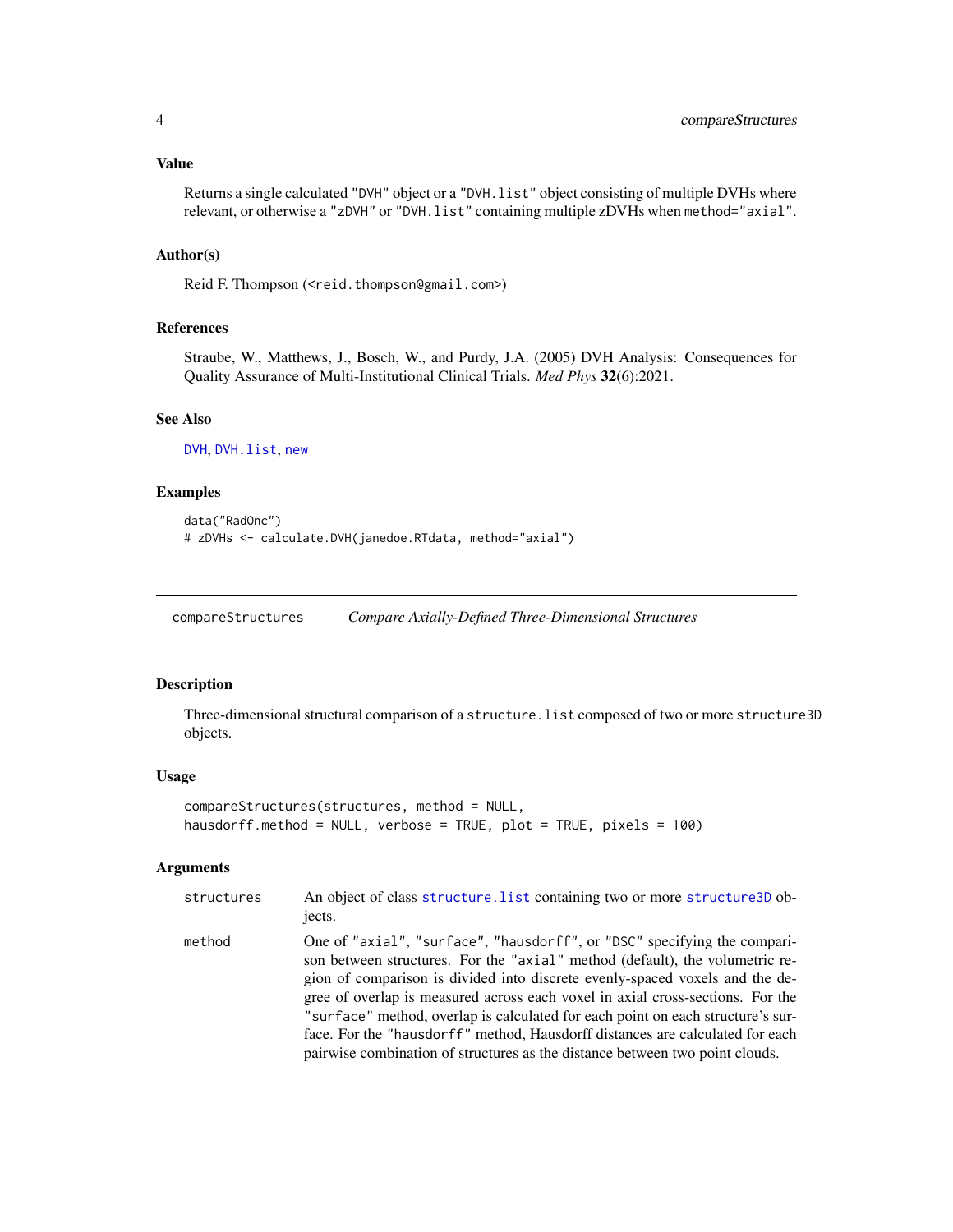## <span id="page-3-0"></span>Value

```
Returns a single calculated "DVH" object or a "DVH. list" object consisting of multiple DVHs where
relevant, or otherwise a "zDVH" or "DVH.list" containing multiple zDVHs when method="axial".
```
## Author(s)

Reid F. Thompson (<reid.thompson@gmail.com>)

#### References

Straube, W., Matthews, J., Bosch, W., and Purdy, J.A. (2005) DVH Analysis: Consequences for Quality Assurance of Multi-Institutional Clinical Trials. *Med Phys* 32(6):2021.

## See Also

[DVH](#page-5-1), [DVH.list](#page-7-1), [new](#page-0-0)

#### Examples

```
data("RadOnc")
# zDVHs <- calculate.DVH(janedoe.RTdata, method="axial")
```
compareStructures *Compare Axially-Defined Three-Dimensional Structures*

## Description

Three-dimensional structural comparison of a structure.list composed of two or more structure3D objects.

#### Usage

```
compareStructures(structures, method = NULL,
hausdorff.method = NULL, verbose = TRUE, plot = TRUE, pixels = 100)
```
## Arguments

| structures | An object of class structure. List containing two or more structure 3D ob-<br>jects.                                                                                                                                                                                                                                                                                                                                                                                                                                                                                           |
|------------|--------------------------------------------------------------------------------------------------------------------------------------------------------------------------------------------------------------------------------------------------------------------------------------------------------------------------------------------------------------------------------------------------------------------------------------------------------------------------------------------------------------------------------------------------------------------------------|
| method     | One of "axial", "surface", "hausdorff", or "DSC" specifying the compari-<br>son between structures. For the "axial" method (default), the volumetric re-<br>gion of comparison is divided into discrete evenly-spaced voxels and the de-<br>gree of overlap is measured across each voxel in axial cross-sections. For the<br>"surface" method, overlap is calculated for each point on each structure's sur-<br>face. For the "hausdorff" method, Hausdorff distances are calculated for each<br>pairwise combination of structures as the distance between two point clouds. |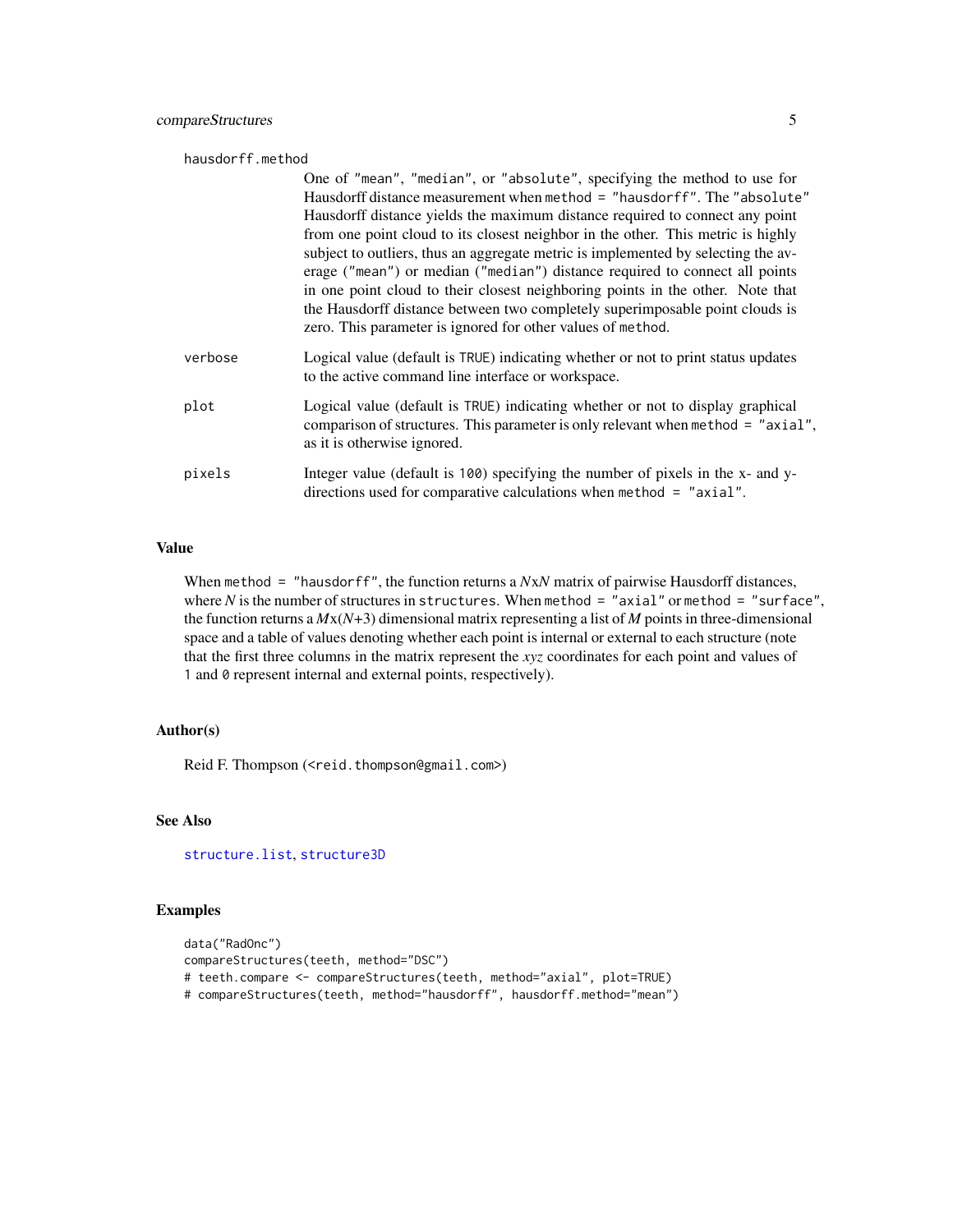#### <span id="page-4-0"></span>hausdorff.method

|         | One of "mean", "median", or "absolute", specifying the method to use for<br>Hausdorff distance measurement when method = "hausdorff". The "absolute"<br>Hausdorff distance yields the maximum distance required to connect any point<br>from one point cloud to its closest neighbor in the other. This metric is highly<br>subject to outliers, thus an aggregate metric is implemented by selecting the av-<br>erage ("mean") or median ("median") distance required to connect all points<br>in one point cloud to their closest neighboring points in the other. Note that<br>the Hausdorff distance between two completely superimposable point clouds is<br>zero. This parameter is ignored for other values of method. |
|---------|-------------------------------------------------------------------------------------------------------------------------------------------------------------------------------------------------------------------------------------------------------------------------------------------------------------------------------------------------------------------------------------------------------------------------------------------------------------------------------------------------------------------------------------------------------------------------------------------------------------------------------------------------------------------------------------------------------------------------------|
| verbose | Logical value (default is TRUE) indicating whether or not to print status updates<br>to the active command line interface or workspace.                                                                                                                                                                                                                                                                                                                                                                                                                                                                                                                                                                                       |
| plot    | Logical value (default is TRUE) indicating whether or not to display graphical<br>comparison of structures. This parameter is only relevant when method = "axial",<br>as it is otherwise ignored.                                                                                                                                                                                                                                                                                                                                                                                                                                                                                                                             |
| pixels  | Integer value (default is 100) specifying the number of pixels in the x- and y-<br>directions used for comparative calculations when method $=$ "axial".                                                                                                                                                                                                                                                                                                                                                                                                                                                                                                                                                                      |

## Value

When method = "hausdorff", the function returns a *NxN* matrix of pairwise Hausdorff distances, where *N* is the number of structures in structures. When method = "axial" or method = "surface", the function returns a  $Mx(N+3)$  dimensional matrix representing a list of *M* points in three-dimensional space and a table of values denoting whether each point is internal or external to each structure (note that the first three columns in the matrix represent the *xyz* coordinates for each point and values of 1 and 0 represent internal and external points, respectively).

## Author(s)

Reid F. Thompson (<reid.thompson@gmail.com>)

## See Also

[structure.list](#page-0-0), [structure3D](#page-0-0)

#### Examples

```
data("RadOnc")
compareStructures(teeth, method="DSC")
# teeth.compare <- compareStructures(teeth, method="axial", plot=TRUE)
# compareStructures(teeth, method="hausdorff", hausdorff.method="mean")
```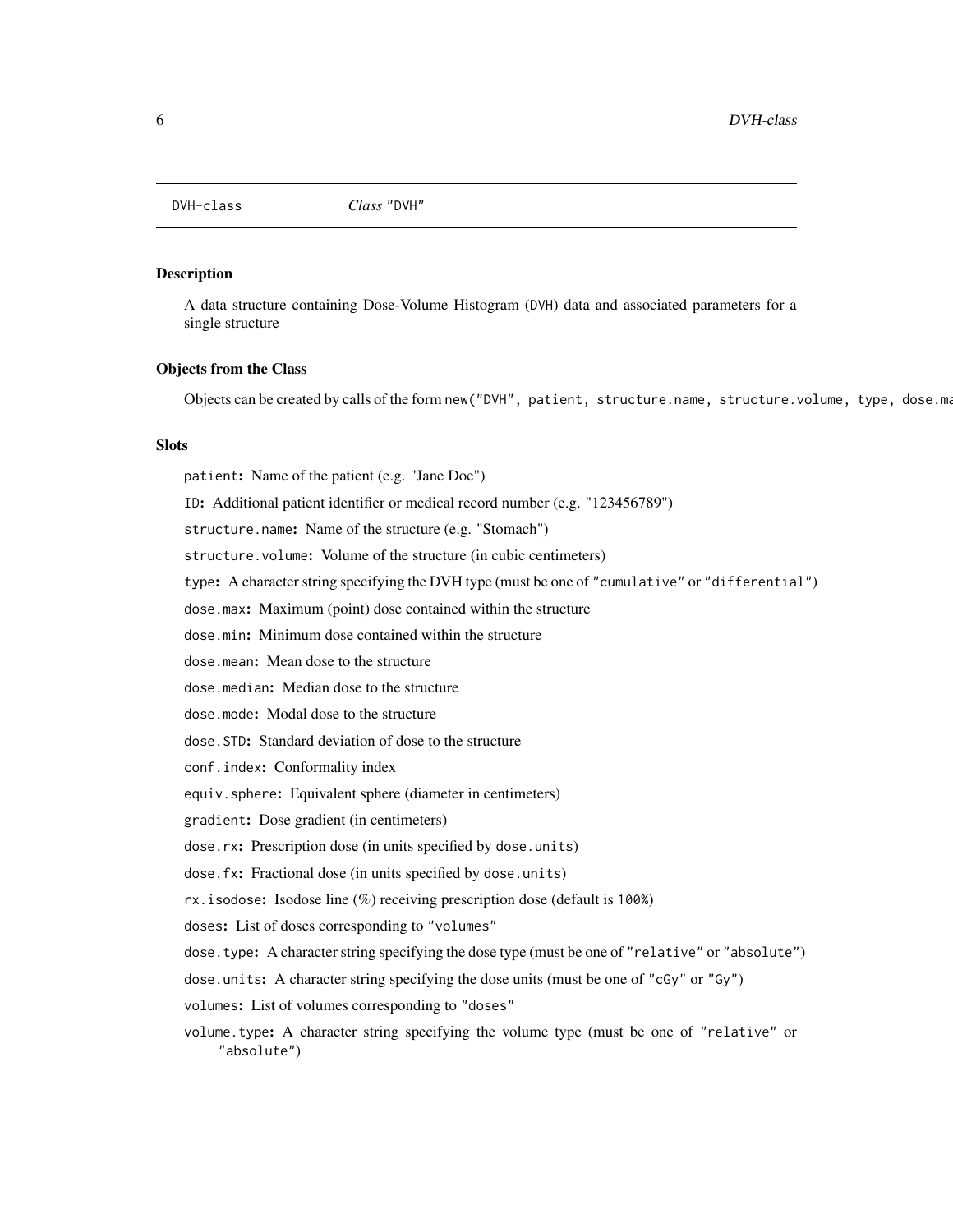<span id="page-5-0"></span>DVH-class *Class* "DVH"

#### <span id="page-5-1"></span>**Description**

A data structure containing Dose-Volume Histogram (DVH) data and associated parameters for a single structure

#### Objects from the Class

Objects can be created by calls of the form new ("DVH", patient, structure.name, structure.volume, type, dose.ma

## **Slots**

patient: Name of the patient (e.g. "Jane Doe") ID: Additional patient identifier or medical record number (e.g. "123456789") structure.name: Name of the structure (e.g. "Stomach") structure.volume: Volume of the structure (in cubic centimeters) type: A character string specifying the DVH type (must be one of "cumulative" or "differential") dose.max: Maximum (point) dose contained within the structure dose.min: Minimum dose contained within the structure dose.mean: Mean dose to the structure dose.median: Median dose to the structure dose.mode: Modal dose to the structure dose.STD: Standard deviation of dose to the structure conf.index: Conformality index equiv.sphere: Equivalent sphere (diameter in centimeters) gradient: Dose gradient (in centimeters) dose.rx: Prescription dose (in units specified by dose.units) dose.fx: Fractional dose (in units specified by dose.units) rx.isodose: Isodose line (%) receiving prescription dose (default is 100%) doses: List of doses corresponding to "volumes" dose.type: A character string specifying the dose type (must be one of "relative" or "absolute") dose.units: A character string specifying the dose units (must be one of "cGy" or "Gy") volumes: List of volumes corresponding to "doses" volume.type: A character string specifying the volume type (must be one of "relative" or "absolute")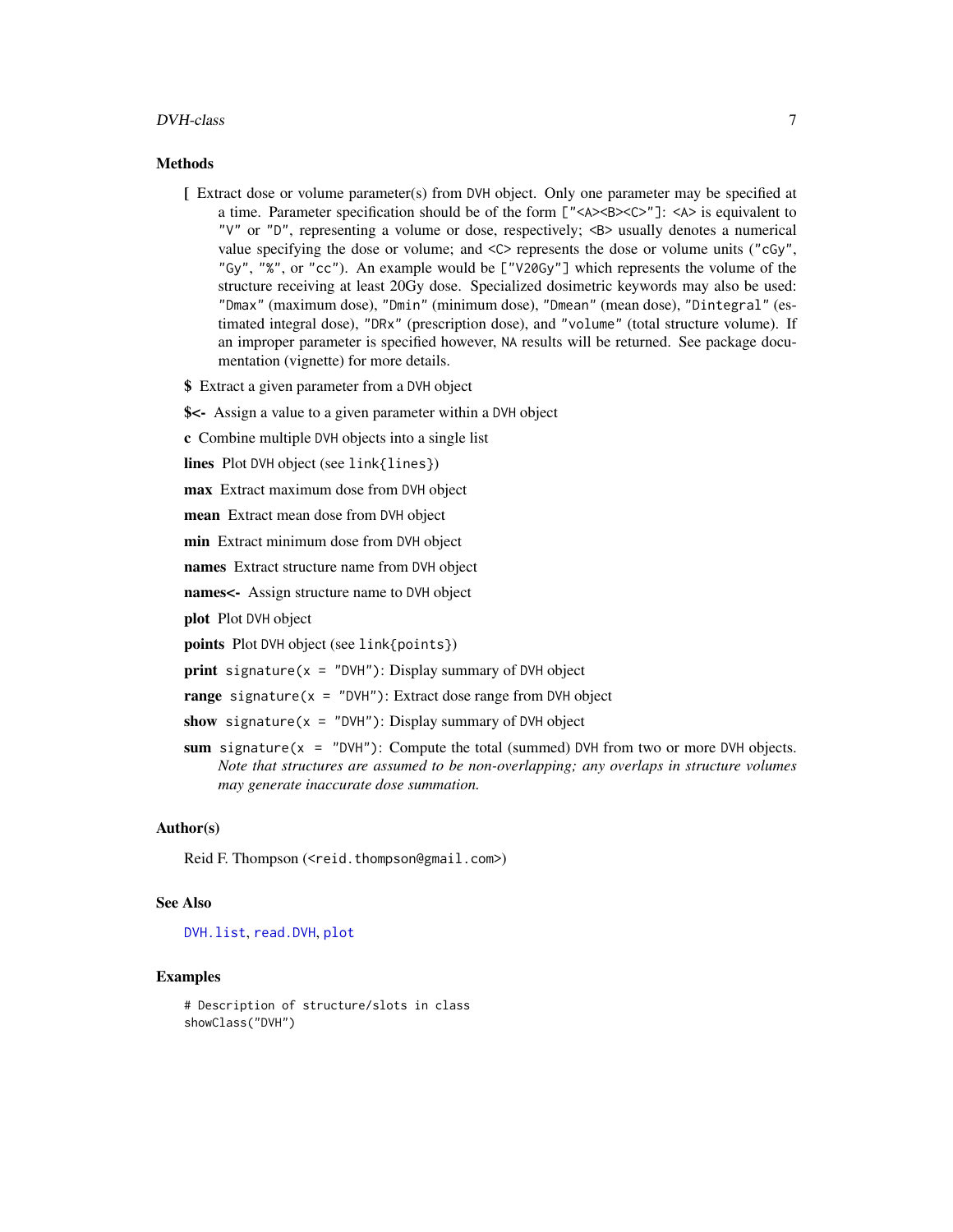#### <span id="page-6-0"></span>DVH-class 7

#### Methods

- [ Extract dose or volume parameter(s) from DVH object. Only one parameter may be specified at a time. Parameter specification should be of the form  $\lfloor$  "<A><B><C>"]: <A> is equivalent to "V" or "D", representing a volume or dose, respectively; <B> usually denotes a numerical value specifying the dose or volume; and  $\langle \rangle$  represents the dose or volume units ("cGy", "Gy", "%", or "cc"). An example would be ["V20Gy"] which represents the volume of the structure receiving at least 20Gy dose. Specialized dosimetric keywords may also be used: "Dmax" (maximum dose), "Dmin" (minimum dose), "Dmean" (mean dose), "Dintegral" (estimated integral dose), "DRx" (prescription dose), and "volume" (total structure volume). If an improper parameter is specified however, NA results will be returned. See package documentation (vignette) for more details.
- \$ Extract a given parameter from a DVH object
- \$<- Assign a value to a given parameter within a DVH object
- c Combine multiple DVH objects into a single list

lines Plot DVH object (see link{lines})

max Extract maximum dose from DVH object

mean Extract mean dose from DVH object

min Extract minimum dose from DVH object

names Extract structure name from DVH object

names<- Assign structure name to DVH object

plot Plot DVH object

points Plot DVH object (see link{points})

**print** signature( $x = "DVH")$ : Display summary of DVH object

range signature( $x = "DVH")$ : Extract dose range from DVH object

show signature( $x =$  "DVH"): Display summary of DVH object

sum signature( $x = "DVH")$ : Compute the total (summed) DVH from two or more DVH objects. *Note that structures are assumed to be non-overlapping; any overlaps in structure volumes may generate inaccurate dose summation.*

#### Author(s)

Reid F. Thompson (<reid.thompson@gmail.com>)

#### See Also

[DVH.list](#page-7-1), [read.DVH](#page-41-1), [plot](#page-0-0)

### Examples

```
# Description of structure/slots in class
showClass("DVH")
```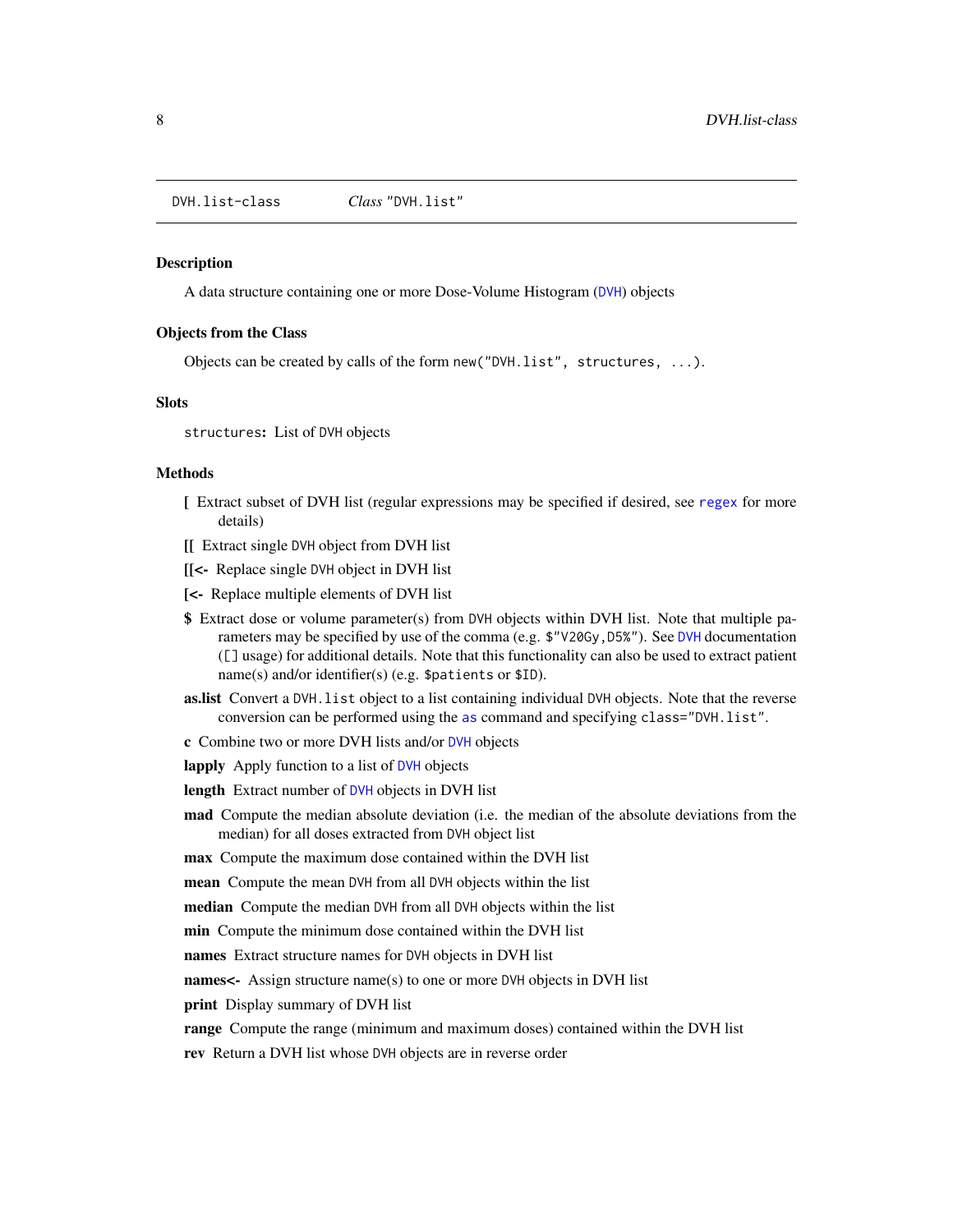<span id="page-7-0"></span>DVH.list-class *Class* "DVH.list"

#### <span id="page-7-1"></span>Description

A data structure containing one or more Dose-Volume Histogram ([DVH](#page-5-1)) objects

#### Objects from the Class

Objects can be created by calls of the form new("DVH.list", structures, ...).

## Slots

structures: List of DVH objects

## Methods

- [ Extract subset of DVH list (regular expressions may be specified if desired, see [regex](#page-0-0) for more details)
- [[ Extract single DVH object from DVH list
- [[<- Replace single DVH object in DVH list
- [<- Replace multiple elements of DVH list
- \$ Extract dose or volume parameter(s) from DVH objects within DVH list. Note that multiple parameters may be specified by use of the comma (e.g. \$"V20Gy,D5%"). See [DVH](#page-5-1) documentation ([] usage) for additional details. Note that this functionality can also be used to extract patient name(s) and/or identifier(s) (e.g. \$patients or \$ID).
- as.list Convert a DVH. list object to a list containing individual DVH objects. Note that the reverse conversion can be performed using the [as](#page-0-0) command and specifying class="DVH.list".
- c Combine two or more DVH lists and/or [DVH](#page-5-1) objects
- lapply Apply function to a list of [DVH](#page-5-1) objects

length Extract number of [DVH](#page-5-1) objects in DVH list

mad Compute the median absolute deviation (i.e. the median of the absolute deviations from the median) for all doses extracted from DVH object list

max Compute the maximum dose contained within the DVH list

mean Compute the mean DVH from all DVH objects within the list

median Compute the median DVH from all DVH objects within the list

min Compute the minimum dose contained within the DVH list

names Extract structure names for DVH objects in DVH list

names<- Assign structure name(s) to one or more DVH objects in DVH list

**print** Display summary of DVH list

range Compute the range (minimum and maximum doses) contained within the DVH list

rev Return a DVH list whose DVH objects are in reverse order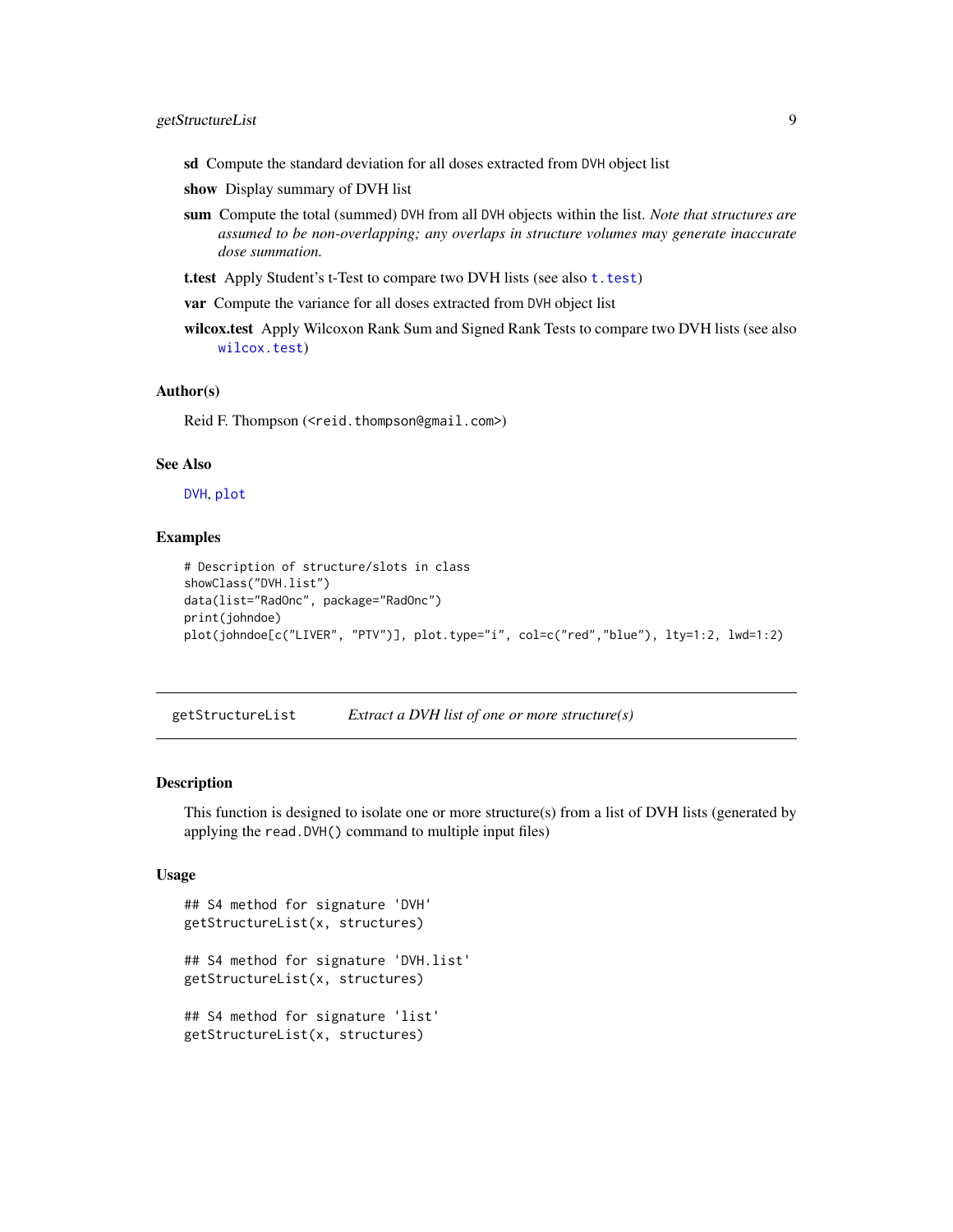- <span id="page-8-0"></span>sd Compute the standard deviation for all doses extracted from DVH object list
- show Display summary of DVH list
- sum Compute the total (summed) DVH from all DVH objects within the list. *Note that structures are assumed to be non-overlapping; any overlaps in structure volumes may generate inaccurate dose summation.*
- [t.test](#page-0-0) Apply Student's t-Test to compare two DVH lists (see also t. test)

var Compute the variance for all doses extracted from DVH object list

wilcox.test Apply Wilcoxon Rank Sum and Signed Rank Tests to compare two DVH lists (see also [wilcox.test](#page-0-0))

#### Author(s)

Reid F. Thompson (<reid.thompson@gmail.com>)

#### See Also

[DVH](#page-5-1), [plot](#page-0-0)

#### Examples

```
# Description of structure/slots in class
showClass("DVH.list")
data(list="RadOnc", package="RadOnc")
print(johndoe)
plot(johndoe[c("LIVER", "PTV")], plot.type="i", col=c("red","blue"), lty=1:2, lwd=1:2)
```
getStructureList *Extract a DVH list of one or more structure(s)*

#### Description

This function is designed to isolate one or more structure(s) from a list of DVH lists (generated by applying the read.DVH() command to multiple input files)

#### Usage

```
## S4 method for signature 'DVH'
getStructureList(x, structures)
## S4 method for signature 'DVH.list'
getStructureList(x, structures)
## S4 method for signature 'list'
getStructureList(x, structures)
```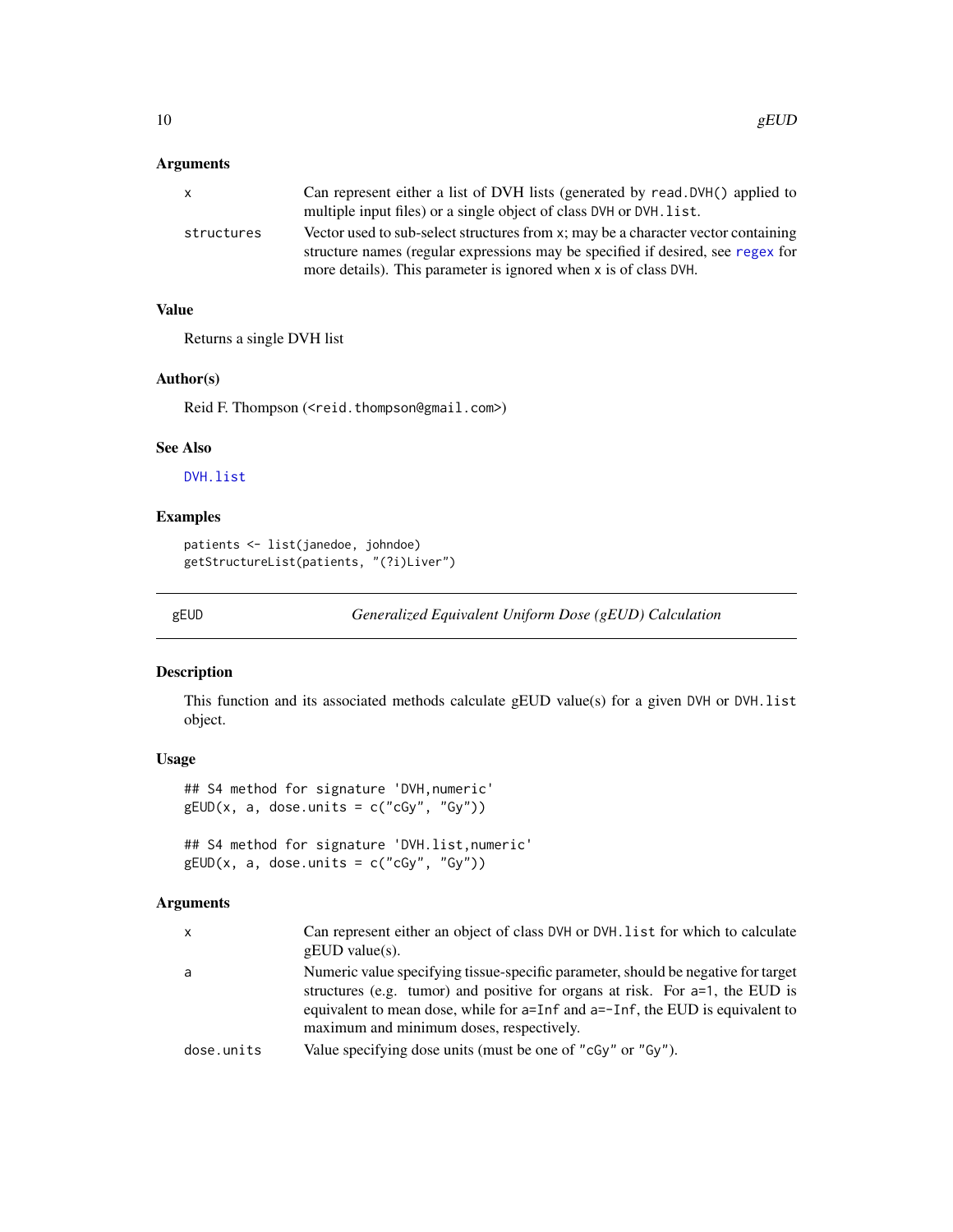## <span id="page-9-0"></span>Arguments

| Can represent either a list of DVH lists (generated by read. DVH() applied to     |
|-----------------------------------------------------------------------------------|
| multiple input files) or a single object of class DVH or DVH. list.               |
| Vector used to sub-select structures from x; may be a character vector containing |
| structure names (regular expressions may be specified if desired, see regex for   |
| more details). This parameter is ignored when x is of class DVH.                  |
|                                                                                   |

## Value

Returns a single DVH list

#### Author(s)

Reid F. Thompson (<reid.thompson@gmail.com>)

## See Also

[DVH.list](#page-7-1)

## Examples

```
patients <- list(janedoe, johndoe)
getStructureList(patients, "(?i)Liver")
```
gEUD *Generalized Equivalent Uniform Dose (gEUD) Calculation*

## Description

This function and its associated methods calculate gEUD value(s) for a given DVH or DVH.list object.

## Usage

## S4 method for signature 'DVH,numeric'  $gEUD(x, a, does. units = c("cGy", "Gy"))$ 

## S4 method for signature 'DVH.list,numeric'  $gEUD(x, a, does. units = c("cGy", "Gy"))$ 

## Arguments

| x          | Can represent either an object of class DVH or DVH. list for which to calculate<br>$gEUD$ value(s).                                                                                                                                                                                               |
|------------|---------------------------------------------------------------------------------------------------------------------------------------------------------------------------------------------------------------------------------------------------------------------------------------------------|
| a          | Numeric value specifying tissue-specific parameter, should be negative for target<br>structures (e.g. tumor) and positive for organs at risk. For $a=1$ , the EUD is<br>equivalent to mean dose, while for a=Inf and a=-Inf, the EUD is equivalent to<br>maximum and minimum doses, respectively. |
| dose.units | Value specifying dose units (must be one of "cGy" or "Gy").                                                                                                                                                                                                                                       |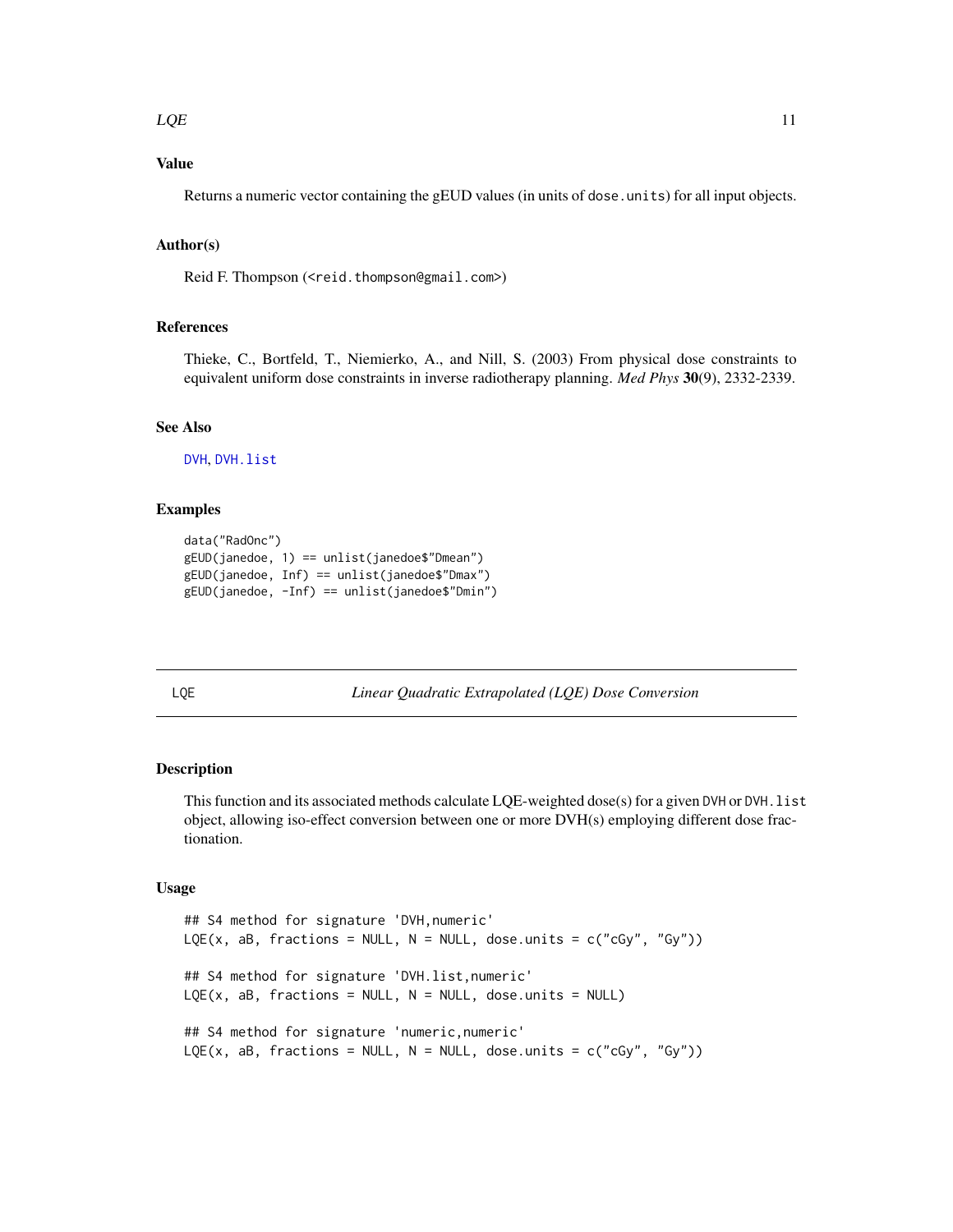#### <span id="page-10-0"></span> $LQE$  11

## Value

Returns a numeric vector containing the gEUD values (in units of dose.units) for all input objects.

## Author(s)

Reid F. Thompson (<reid.thompson@gmail.com>)

#### References

Thieke, C., Bortfeld, T., Niemierko, A., and Nill, S. (2003) From physical dose constraints to equivalent uniform dose constraints in inverse radiotherapy planning. *Med Phys* 30(9), 2332-2339.

## See Also

[DVH](#page-5-1), [DVH.list](#page-7-1)

#### Examples

```
data("RadOnc")
gEUD(janedoe, 1) == unlist(janedoe$"Dmean")
gEUD(janedoe, Inf) == unlist(janedoe$"Dmax")
gEUD(janedoe, -Inf) == unlist(janedoe$"Dmin")
```
LQE *Linear Quadratic Extrapolated (LQE) Dose Conversion*

## Description

This function and its associated methods calculate LQE-weighted dose(s) for a given DVH or DVH. list object, allowing iso-effect conversion between one or more DVH(s) employing different dose fractionation.

## Usage

```
## S4 method for signature 'DVH,numeric'
LQE(x, aB, fractions = NULL, N = NULL, dose.units = c("cGy", "Gy"))
## S4 method for signature 'DVH.list,numeric'
LQE(x, aB, fractions = NULL, N = NULL, dose. units = NULL)## S4 method for signature 'numeric,numeric'
LQE(x, aB, fractions = NULL, N = NULL, dose.units = c("cGy", "Gy"))
```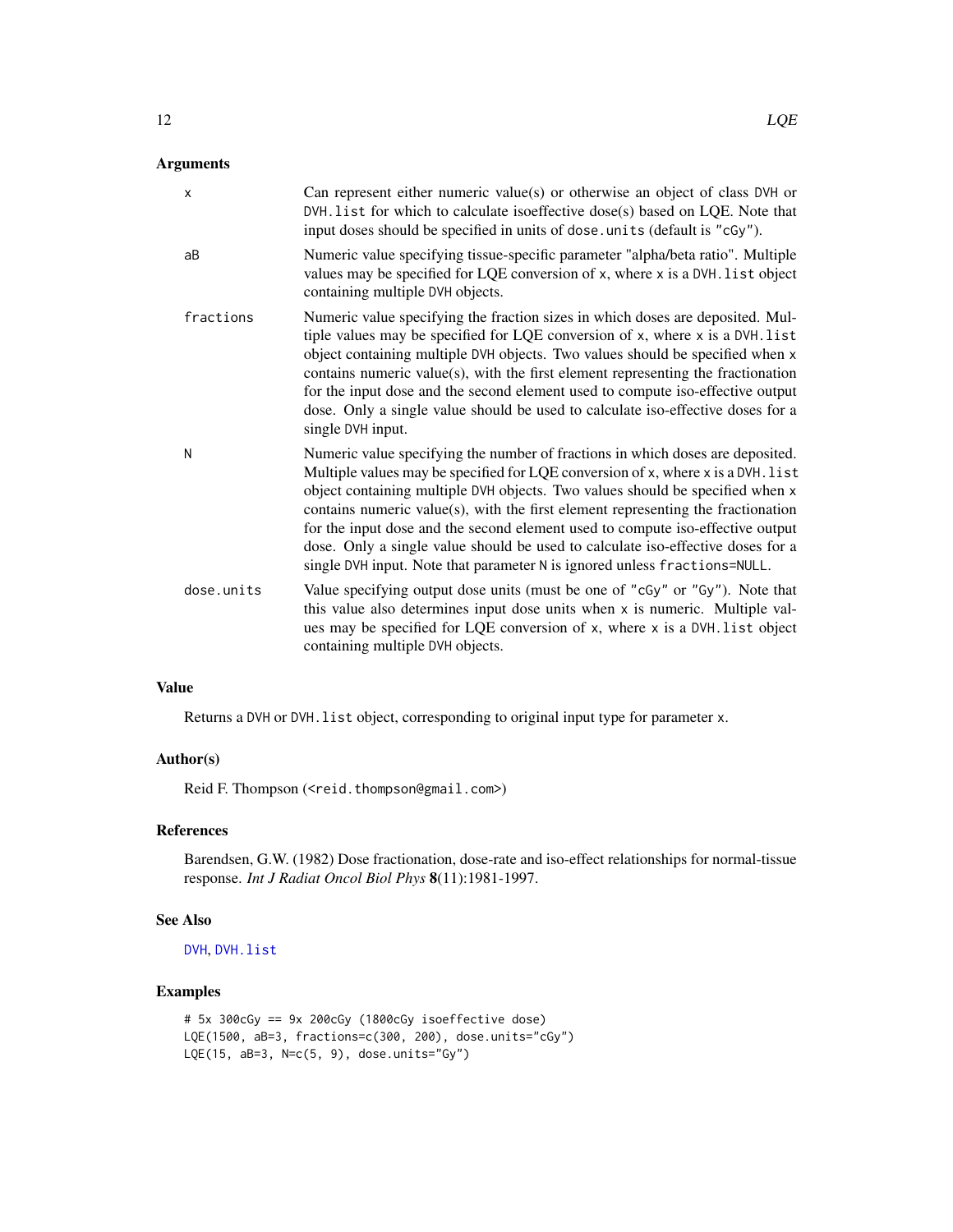## <span id="page-11-0"></span>Arguments

| X          | Can represent either numeric value(s) or otherwise an object of class DVH or<br>DVH. list for which to calculate isoeffective dose(s) based on LQE. Note that<br>input doses should be specified in units of dose. units (default is "cGy").                                                                                                                                                                                                                                                                                                                                              |
|------------|-------------------------------------------------------------------------------------------------------------------------------------------------------------------------------------------------------------------------------------------------------------------------------------------------------------------------------------------------------------------------------------------------------------------------------------------------------------------------------------------------------------------------------------------------------------------------------------------|
| aB         | Numeric value specifying tissue-specific parameter "alpha/beta ratio". Multiple<br>values may be specified for LQE conversion of x, where x is a DVH. list object<br>containing multiple DVH objects.                                                                                                                                                                                                                                                                                                                                                                                     |
| fractions  | Numeric value specifying the fraction sizes in which doses are deposited. Mul-<br>tiple values may be specified for LQE conversion of x, where x is a DVH. list<br>object containing multiple DVH objects. Two values should be specified when x<br>contains numeric value(s), with the first element representing the fractionation<br>for the input dose and the second element used to compute iso-effective output<br>dose. Only a single value should be used to calculate iso-effective doses for a<br>single DVH input.                                                            |
| N          | Numeric value specifying the number of fractions in which doses are deposited.<br>Multiple values may be specified for LQE conversion of x, where x is a DVH. list<br>object containing multiple DVH objects. Two values should be specified when x<br>contains numeric value(s), with the first element representing the fractionation<br>for the input dose and the second element used to compute iso-effective output<br>dose. Only a single value should be used to calculate iso-effective doses for a<br>single DVH input. Note that parameter N is ignored unless fractions=NULL. |
| dose.units | Value specifying output dose units (must be one of "cGy" or "Gy"). Note that<br>this value also determines input dose units when x is numeric. Multiple val-<br>ues may be specified for LQE conversion of x, where x is a DVH. list object<br>containing multiple DVH objects.                                                                                                                                                                                                                                                                                                           |

## Value

Returns a DVH or DVH.list object, corresponding to original input type for parameter x.

#### Author(s)

Reid F. Thompson (<reid.thompson@gmail.com>)

## References

Barendsen, G.W. (1982) Dose fractionation, dose-rate and iso-effect relationships for normal-tissue response. *Int J Radiat Oncol Biol Phys* 8(11):1981-1997.

## See Also

[DVH](#page-5-1), [DVH.list](#page-7-1)

## Examples

```
# 5x 300cGy == 9x 200cGy (1800cGy isoeffective dose)
LQE(1500, aB=3, fractions=c(300, 200), dose.units="cGy")
LQE(15, aB=3, N=c(5, 9), dose.units="Gy")
```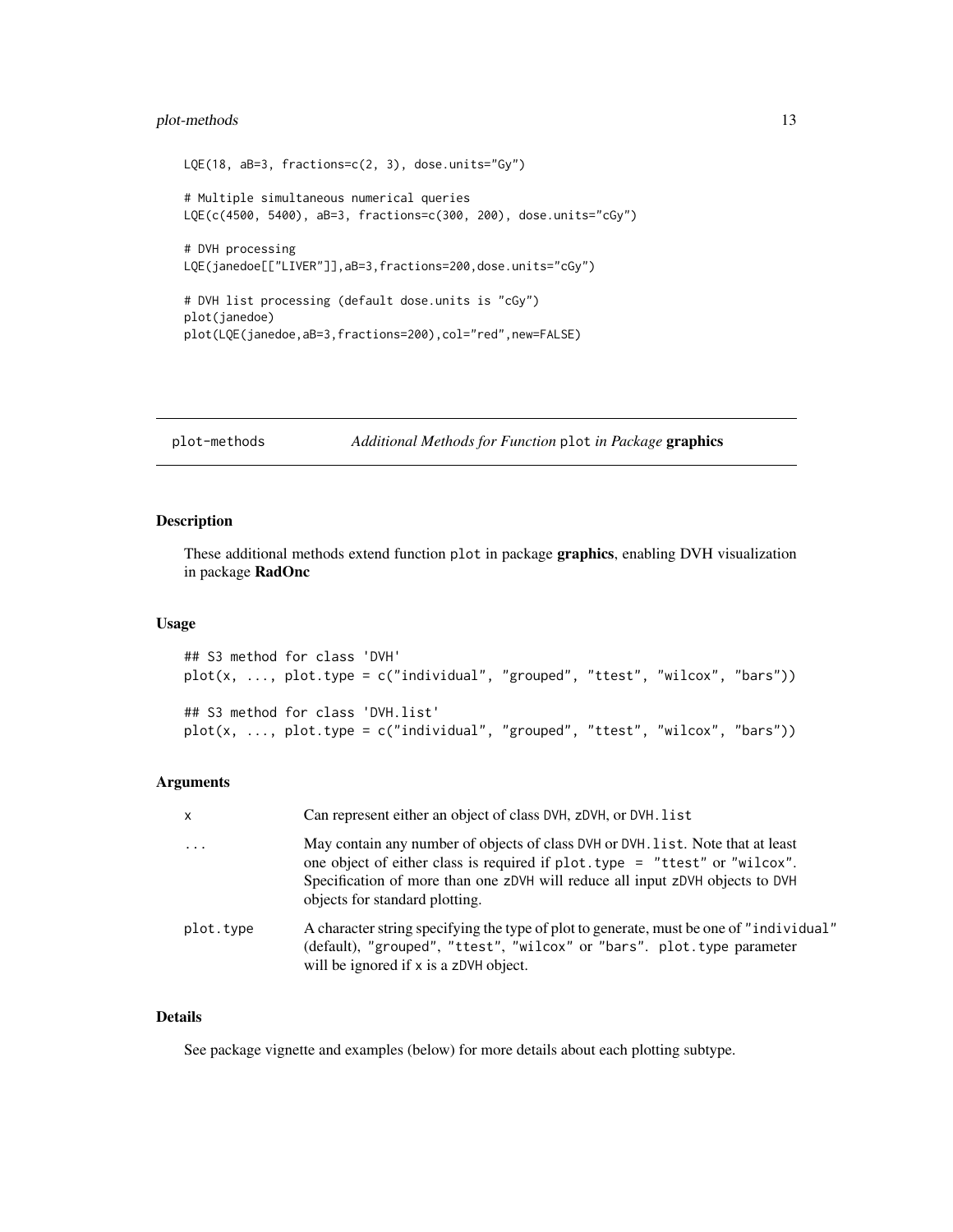## <span id="page-12-0"></span>plot-methods 13

```
LQE(18, aB=3, fractions=c(2, 3), dose.units="Gy")
# Multiple simultaneous numerical queries
LQE(c(4500, 5400), aB=3, fractions=c(300, 200), dose.units="cGy")
# DVH processing
LQE(janedoe[["LIVER"]],aB=3,fractions=200,dose.units="cGy")
# DVH list processing (default dose.units is "cGy")
plot(janedoe)
plot(LQE(janedoe,aB=3,fractions=200),col="red",new=FALSE)
```
plot-methods *Additional Methods for Function* plot *in Package* graphics

## Description

These additional methods extend function plot in package graphics, enabling DVH visualization in package RadOnc

## Usage

```
## S3 method for class 'DVH'
plot(x, ..., plot.type = c("individual", "grouped", "ttest", "wilcox", "bars"))
## S3 method for class 'DVH.list'
plot(x, ..., plot.type = c("individual", "grouped", "ttest", "wilcox", "bars"))
```
#### Arguments

| X                       | Can represent either an object of class DVH, zDVH, or DVH, list                                                                                                                                                                                                                   |
|-------------------------|-----------------------------------------------------------------------------------------------------------------------------------------------------------------------------------------------------------------------------------------------------------------------------------|
| $\cdot$ $\cdot$ $\cdot$ | May contain any number of objects of class DVH or DVH. list. Note that at least<br>one object of either class is required if plot. type = "ttest" or "wilcox".<br>Specification of more than one zDVH will reduce all input zDVH objects to DVH<br>objects for standard plotting. |
| plot.type               | A character string specifying the type of plot to generate, must be one of "individual"<br>(default), "grouped", "ttest", "wilcox" or "bars". plot.type parameter<br>will be ignored if x is a zDVH object.                                                                       |

## Details

See package vignette and examples (below) for more details about each plotting subtype.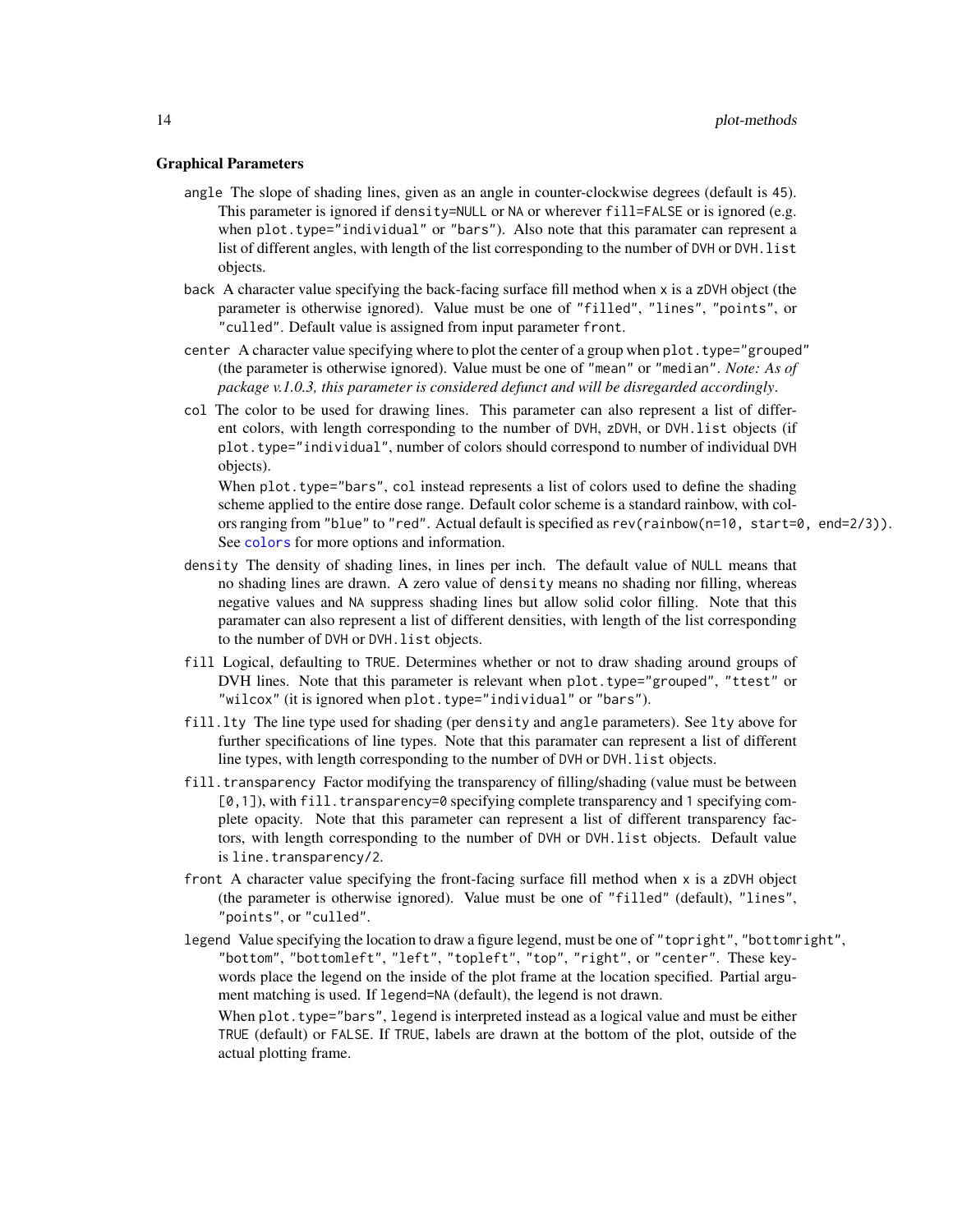#### <span id="page-13-0"></span>Graphical Parameters

- angle The slope of shading lines, given as an angle in counter-clockwise degrees (default is 45). This parameter is ignored if density=NULL or NA or wherever fill=FALSE or is ignored (e.g. when plot.type="individual" or "bars"). Also note that this paramater can represent a list of different angles, with length of the list corresponding to the number of DVH or DVH.list objects.
- back A character value specifying the back-facing surface fill method when x is a zDVH object (the parameter is otherwise ignored). Value must be one of "filled", "lines", "points", or "culled". Default value is assigned from input parameter front.
- center A character value specifying where to plot the center of a group when plot. type="grouped" (the parameter is otherwise ignored). Value must be one of "mean" or "median". *Note: As of package v.1.0.3, this parameter is considered defunct and will be disregarded accordingly*.
- col The color to be used for drawing lines. This parameter can also represent a list of different colors, with length corresponding to the number of DVH, zDVH, or DVH.list objects (if plot.type="individual", number of colors should correspond to number of individual DVH objects).

When plot.type="bars", col instead represents a list of colors used to define the shading scheme applied to the entire dose range. Default color scheme is a standard rainbow, with colors ranging from "blue" to "red". Actual default is specified as rev(rainbow(n=10, start=0, end=2/3)). See [colors](#page-0-0) for more options and information.

- density The density of shading lines, in lines per inch. The default value of NULL means that no shading lines are drawn. A zero value of density means no shading nor filling, whereas negative values and NA suppress shading lines but allow solid color filling. Note that this paramater can also represent a list of different densities, with length of the list corresponding to the number of DVH or DVH.list objects.
- fill Logical, defaulting to TRUE. Determines whether or not to draw shading around groups of DVH lines. Note that this parameter is relevant when plot.type="grouped", "ttest" or "wilcox" (it is ignored when plot.type="individual" or "bars").
- fill.lty The line type used for shading (per density and angle parameters). See lty above for further specifications of line types. Note that this paramater can represent a list of different line types, with length corresponding to the number of DVH or DVH.list objects.
- fill.transparency Factor modifying the transparency of filling/shading (value must be between [0,1]), with fill.transparency=0 specifying complete transparency and 1 specifying complete opacity. Note that this parameter can represent a list of different transparency factors, with length corresponding to the number of DVH or DVH.list objects. Default value is line.transparency/2.
- front A character value specifying the front-facing surface fill method when x is a zDVH object (the parameter is otherwise ignored). Value must be one of "filled" (default), "lines", "points", or "culled".
- legend Value specifying the location to draw a figure legend, must be one of "topright", "bottomright", "bottom", "bottomleft", "left", "topleft", "top", "right", or "center". These keywords place the legend on the inside of the plot frame at the location specified. Partial argument matching is used. If legend=NA (default), the legend is not drawn.

When plot.type="bars", legend is interpreted instead as a logical value and must be either TRUE (default) or FALSE. If TRUE, labels are drawn at the bottom of the plot, outside of the actual plotting frame.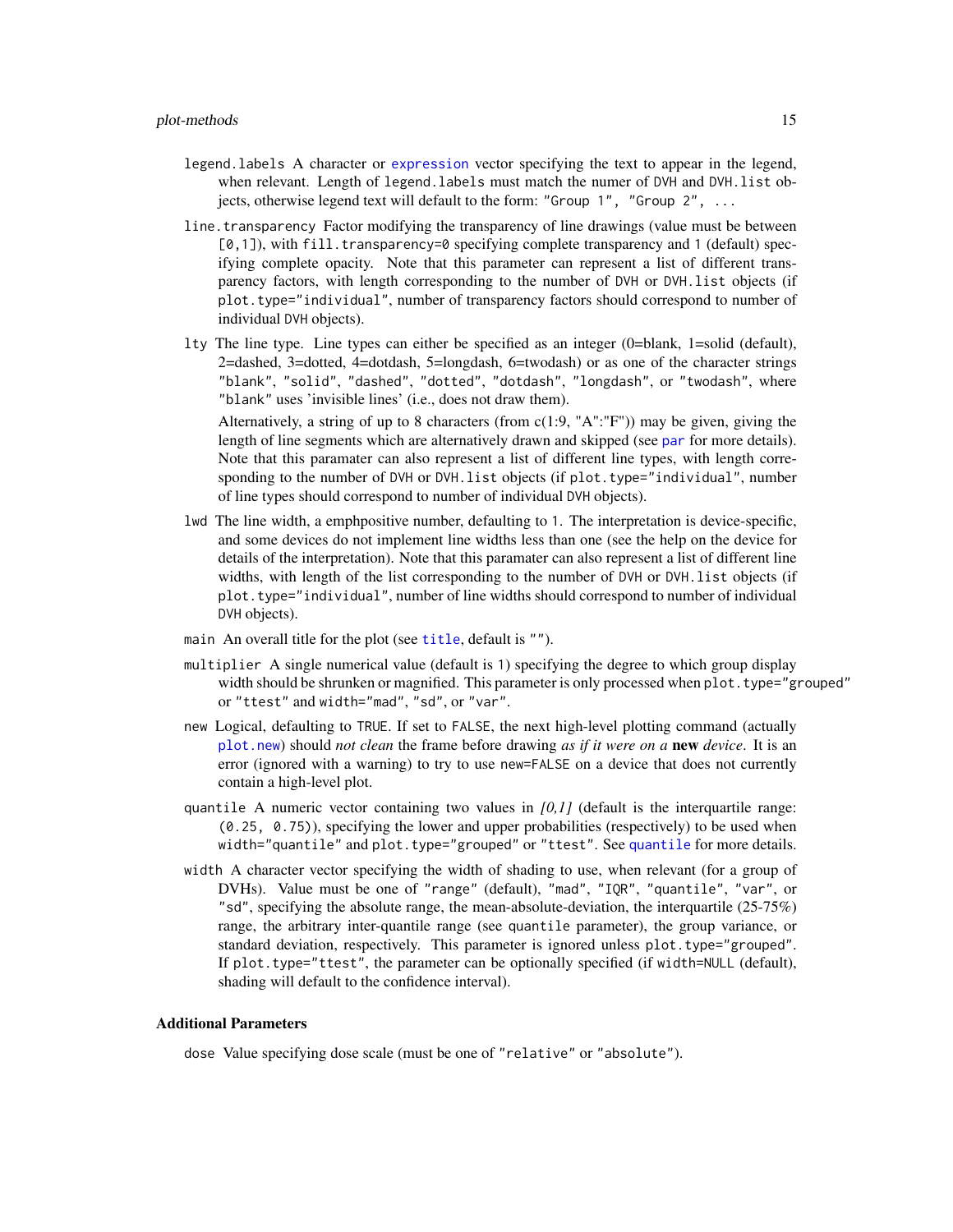- <span id="page-14-0"></span>legend.labels A character or [expression](#page-0-0) vector specifying the text to appear in the legend, when relevant. Length of legend.labels must match the numer of DVH and DVH.list objects, otherwise legend text will default to the form: "Group  $1$ ", "Group  $2$ ", ...
- line. transparency Factor modifying the transparency of line drawings (value must be between  $[0,1]$ ), with fill.transparency=0 specifying complete transparency and 1 (default) specifying complete opacity. Note that this parameter can represent a list of different transparency factors, with length corresponding to the number of DVH or DVH.list objects (if plot.type="individual", number of transparency factors should correspond to number of individual DVH objects).
- lty The line type. Line types can either be specified as an integer (0=blank, 1=solid (default), 2=dashed, 3=dotted, 4=dotdash, 5=longdash, 6=twodash) or as one of the character strings "blank", "solid", "dashed", "dotted", "dotdash", "longdash", or "twodash", where "blank" uses 'invisible lines' (i.e., does not draw them).

Alternatively, a string of up to 8 characters (from  $c(1:9, "A": "F")$ ) may be given, giving the length of line segments which are alternatively drawn and skipped (see [par](#page-0-0) for more details). Note that this paramater can also represent a list of different line types, with length corresponding to the number of DVH or DVH. list objects (if plot.type="individual", number of line types should correspond to number of individual DVH objects).

- lwd The line width, a emphpositive number, defaulting to 1. The interpretation is device-specific, and some devices do not implement line widths less than one (see the help on the device for details of the interpretation). Note that this paramater can also represent a list of different line widths, with length of the list corresponding to the number of DVH or DVH.list objects (if plot.type="individual", number of line widths should correspond to number of individual DVH objects).
- main An overall [title](#page-0-0) for the plot (see title, default is "").
- multiplier A single numerical value (default is 1) specifying the degree to which group display width should be shrunken or magnified. This parameter is only processed when plot. type="grouped" or "ttest" and width="mad", "sd", or "var".
- new Logical, defaulting to TRUE. If set to FALSE, the next high-level plotting command (actually [plot.new](#page-0-0)) should *not clean* the frame before drawing *as if it were on a* new *device*. It is an error (ignored with a warning) to try to use new=FALSE on a device that does not currently contain a high-level plot.
- quantile A numeric vector containing two values in *[0,1]* (default is the interquartile range: (0.25, 0.75)), specifying the lower and upper probabilities (respectively) to be used when width="[quantile](#page-0-0)" and plot.type="grouped" or "ttest". See quantile for more details.
- width A character vector specifying the width of shading to use, when relevant (for a group of DVHs). Value must be one of "range" (default), "mad", "IQR", "quantile", "var", or "sd", specifying the absolute range, the mean-absolute-deviation, the interquartile  $(25-75%)$ range, the arbitrary inter-quantile range (see quantile parameter), the group variance, or standard deviation, respectively. This parameter is ignored unless plot.type="grouped". If plot.type="ttest", the parameter can be optionally specified (if width=NULL (default), shading will default to the confidence interval).

#### Additional Parameters

dose Value specifying dose scale (must be one of "relative" or "absolute").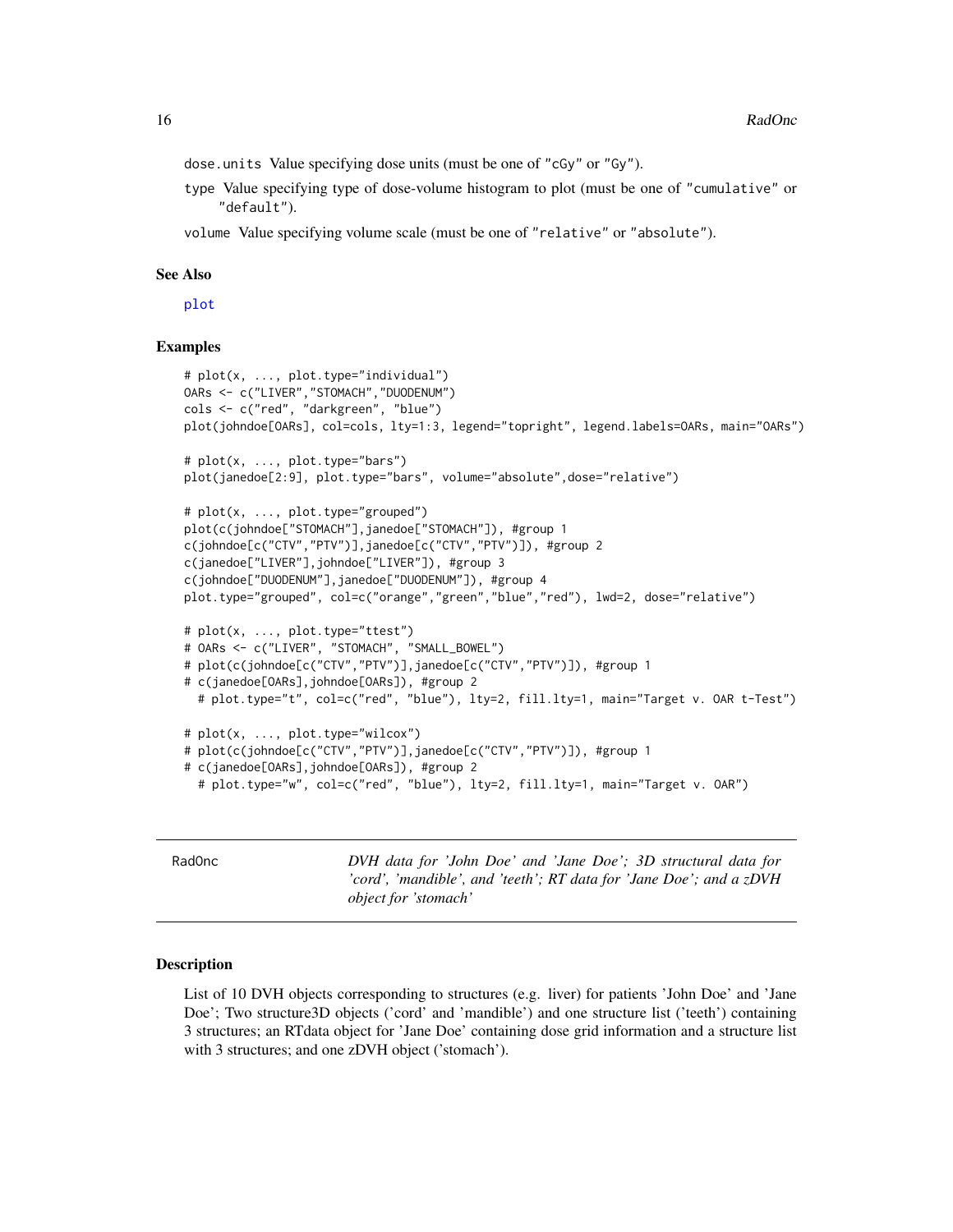<span id="page-15-0"></span>dose.units Value specifying dose units (must be one of "cGy" or "Gy").

type Value specifying type of dose-volume histogram to plot (must be one of "cumulative" or "default").

volume Value specifying volume scale (must be one of "relative" or "absolute").

#### See Also

[plot](#page-0-0)

#### Examples

```
# plot(x, ..., plot.type="individual")
OARs <- c("LIVER","STOMACH","DUODENUM")
cols <- c("red", "darkgreen", "blue")
plot(johndoe[OARs], col=cols, lty=1:3, legend="topright", legend.labels=OARs, main="OARs")
# plot(x, ..., plot.type="bars")
plot(janedoe[2:9], plot.type="bars", volume="absolute",dose="relative")
# plot(x, ..., plot.type="grouped")
plot(c(johndoe["STOMACH"],janedoe["STOMACH"]), #group 1
c(johndoe[c("CTV","PTV")],janedoe[c("CTV","PTV")]), #group 2
c(janedoe["LIVER"],johndoe["LIVER"]), #group 3
c(johndoe["DUODENUM"],janedoe["DUODENUM"]), #group 4
plot.type="grouped", col=c("orange","green","blue","red"), lwd=2, dose="relative")
# plot(x, ..., plot.type="ttest")
# OARs <- c("LIVER", "STOMACH", "SMALL_BOWEL")
# plot(c(johndoe[c("CTV","PTV")],janedoe[c("CTV","PTV")]), #group 1
# c(janedoe[OARs],johndoe[OARs]), #group 2
 # plot.type="t", col=c("red", "blue"), lty=2, fill.lty=1, main="Target v. OAR t-Test")
# plot(x, ..., plot.type="wilcox")
# plot(c(johndoe[c("CTV","PTV")],janedoe[c("CTV","PTV")]), #group 1
# c(janedoe[OARs],johndoe[OARs]), #group 2
  # plot.type="w", col=c("red", "blue"), lty=2, fill.lty=1, main="Target v. OAR")
```
RadOnc *DVH data for 'John Doe' and 'Jane Doe'; 3D structural data for 'cord', 'mandible', and 'teeth'; RT data for 'Jane Doe'; and a zDVH object for 'stomach'*

#### Description

List of 10 DVH objects corresponding to structures (e.g. liver) for patients 'John Doe' and 'Jane Doe'; Two structure3D objects ('cord' and 'mandible') and one structure list ('teeth') containing 3 structures; an RTdata object for 'Jane Doe' containing dose grid information and a structure list with 3 structures; and one zDVH object ('stomach').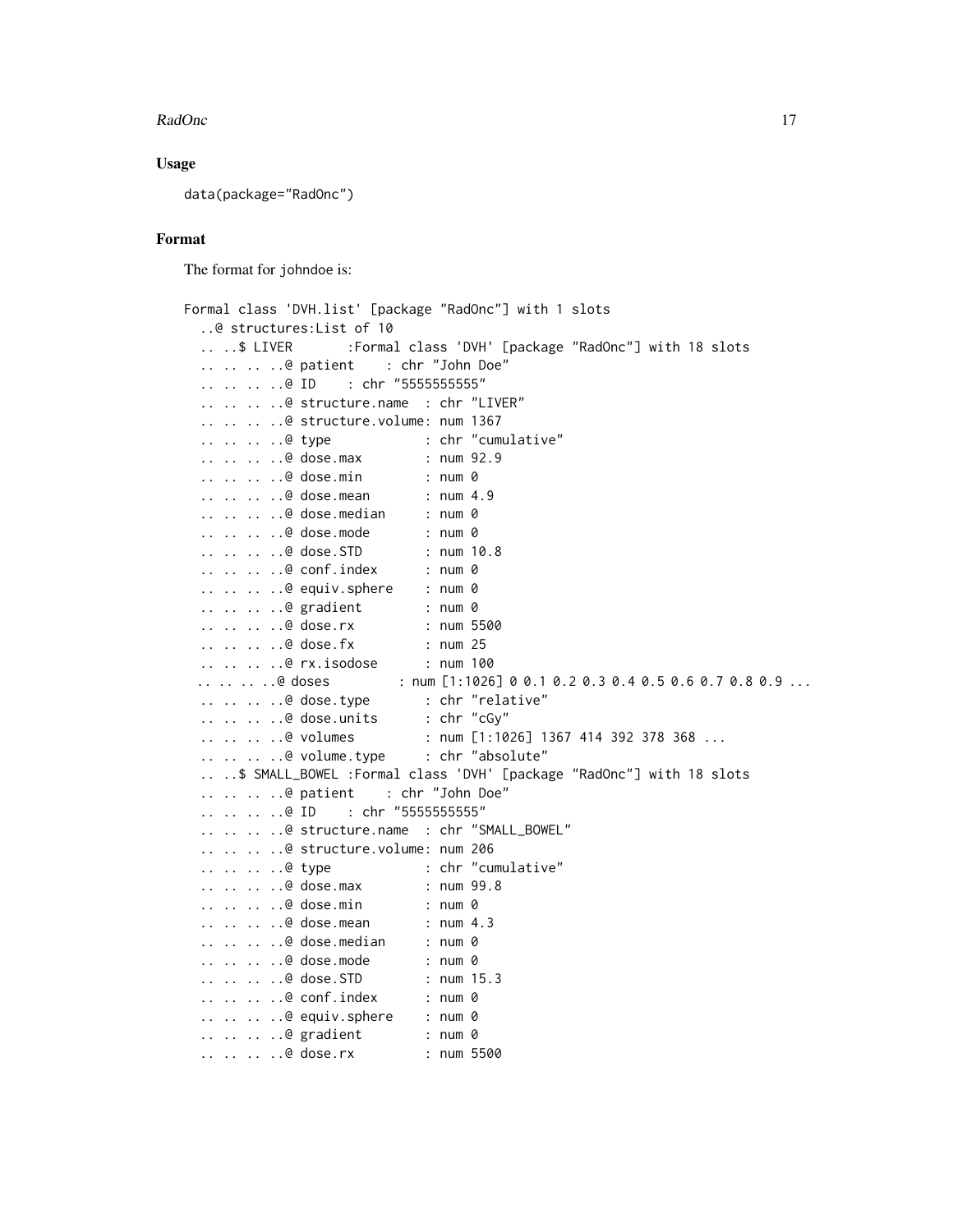### Usage

data(package="RadOnc")

## Format

The format for johndoe is:

```
Formal class 'DVH.list' [package "RadOnc"] with 1 slots
 ..@ structures:List of 10
 ....$ LIVER :Formal class 'DVH' [package "RadOnc"] with 18 slots
 .. .. .. ..@ patient : chr "John Doe"
 .. .. .. ..@ ID : chr "55555555555"
  .. .. .. ..@ structure.name : chr "LIVER"
 .. .. .. ..@ structure.volume: num 1367
 .. .. .. ..@ type : chr "cumulative"
  .. .. .. ..@ dose.max : num 92.9
 .. .. .. ..@ dose.min : num 0
 .. .. .. ..@ dose.mean : num 4.9
 .. .. .. ..@ dose.median : num 0
  .. .. .. ..@ dose.mode : num 0
 .. .. .. ..@ dose.STD : num 10.8
 .. .. .. ..@ conf.index : num 0
  .. .. .. ..@ equiv.sphere : num 0
 .. .. .. ..@ gradient : num 0
 .. .. .. ..@ dose.rx : num 5500
 .. .. .. ..@ dose.fx : num 25
 .. .. .. ..@ rx.isodose : num 100
 .. .. .. ..@ doses : num [1:1026] 0 0.1 0.2 0.3 0.4 0.5 0.6 0.7 0.8 0.9 ...
 .. .. .. ..@ dose.type : chr "relative"
 .. .. .. ..@ dose.units : chr "cGy"
 .. .. .. ..@ volumes : num [1:1026] 1367 414 392 378 368 ...
 .. .. .. ..@ volume.type : chr "absolute"
 .. ..$ SMALL_BOWEL :Formal class 'DVH' [package "RadOnc"] with 18 slots
 .. .. .. ..@ patient : chr "John Doe"
  .. .. .. ..@ ID : chr "5555555555"
 .. .. .. ..@ structure.name : chr "SMALL_BOWEL"
 .. .. .. ..@ structure.volume: num 206
 .. .. .. ..@ type : chr "cumulative"
  .. .. .. ..@ dose.max : num 99.8
 .. .. .. ..@ dose.min : num 0
 .. .. .. ..@ dose.mean : num 4.3
 .. .. .. ..@ dose.median : num 0
  .. .. .. ..@ dose.mode : num 0
 .. .. .. ..@ dose.STD : num 15.3
 .. .. .. ..@ conf.index : num 0
 .. .. .. ..@ equiv.sphere : num 0
 .. .. .. ..@ gradient : num 0
 .. .. .. ..@ dose.rx : num 5500
```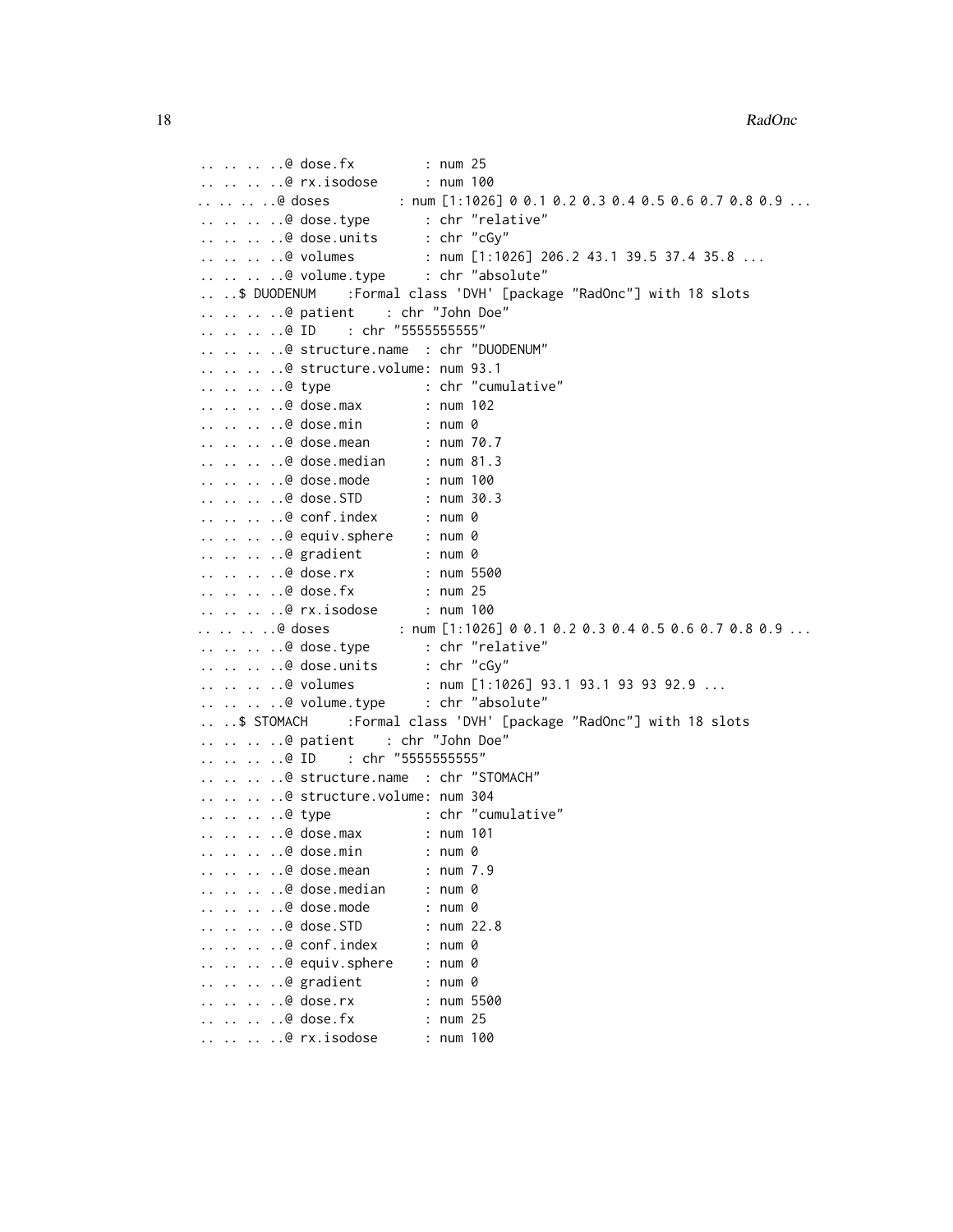.. .. .. ..@ dose.fx : num 25<br>.. .. .. ..@ rx.isodose : num 100  $\ldots$   $\ldots$   $\ldots$   $\ldots$   $\blacksquare$  .  $\blacksquare$  $\ldots$ ... .. @ doses : num [1:1026] 0 0.1 0.2 0.3 0.4 0.5 0.6 0.7 0.8 0.9 ... .. .. .. ..@ dose.type : chr "relative" .. .. .. ..@ dose.units : chr "cGy"<br>.. .. .. ..@ volumes : num [1:10  $: num [1:1026] 206.2 43.1 39.5 37.4 35.8 ...$ .. .. .. ..@ volume.type : chr "absolute" .. ..\$ DUODENUM :Formal class 'DVH' [package "RadOnc"] with 18 slots .. .. .. ..@ patient : chr "John Doe" .. .. .. ..@ ID : chr "5555555555" .. .. .. ..@ structure.name : chr "DUODENUM" .. .. .. ..@ structure.volume: num 93.1 .. .. .. ..@ type : chr "cumulative" .. .. .. ..@ dose.max : num 102 .. .. .. ..@ dose.min : num 0 .. .. .. ..@ dose.mean : num 70.7 .. .. .. ..@ dose.median : num 81.3 .. .. .. ..@ dose.mode : num 100 .. .. .. ..@ dose.STD : num 30.3 .. .. .. ..@ conf.index : num 0 .. .. .. ..@ equiv.sphere : num 0 .. .. .. ..@ gradient : num 0 .. .. .. ..@ dose.rx : num 5500 .. .. .. ..@ dose.fx : num 25 .. .. .. ..@ rx.isodose : num 100 .. .. .. ..@ doses : num [1:1026] 0 0.1 0.2 0.3 0.4 0.5 0.6 0.7 0.8 0.9 ... .. .. .. ..@ dose.type : chr "relative" .. .. .. ..@ dose.units : chr "cGy" .. .. .. ..@ volumes : num [1:1026] 93.1 93.1 93 93 92.9 ...<br>.. .. .. .@ volume.type : chr "absolute"  $\ldots$   $\ldots$   $\ldots$   $\ldots$   $\heartsuit$  volume.type .. ..\$ STOMACH :Formal class 'DVH' [package "RadOnc"] with 18 slots .. .. .. ..@ patient : chr "John Doe" .. .. .. ..@ ID : chr "55555555555" .. .. .. ..@ structure.name : chr "STOMACH" .. .. .. ..@ structure.volume: num 304 .. .. .. ..@ type : chr "cumulative" .. .. .. ..@ dose.max : num 101 .. .. .. ..@ dose.min : num 0 .. .. .. ..@ dose.mean : num 7.9 .. .. .. ..@ dose.median : num 0 .. .. .. ..@ dose.mode : num 0 .. .. .. ..@ dose.STD : num 22.8 .. .. .. ..@ conf.index : num 0 .. .. .. ..@ equiv.sphere : num 0 .. .. .. ..@ gradient : num 0 .. .. .. ..@ dose.rx : num 5500 .. .. .. ..@ dose.fx : num 25 .. .. .. ..@ rx.isodose : num 100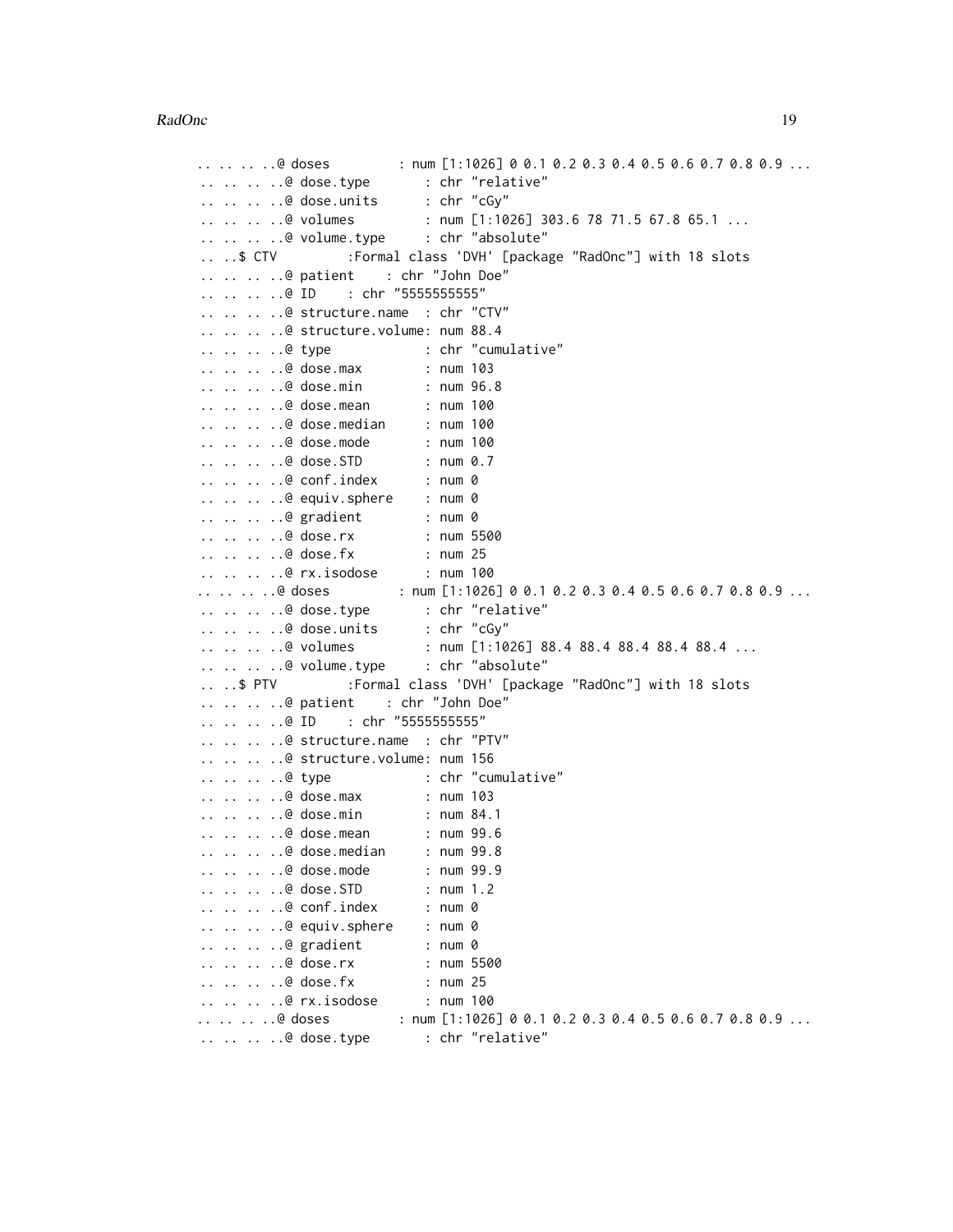#### RadOnc 2008 and 2008 and 2008 and 2008 and 2008 and 2008 and 2008 and 2008 and 2008 and 2008 and 2008 and 2008 and 2008 and 2008 and 2008 and 2008 and 2008 and 2008 and 2008 and 2008 and 2008 and 2008 and 2008 and 2008 and

```
.. .. .. .. @ doses : num [1:1026] 0 0.1 0.2 0.3 0.4 0.5 0.6 0.7 0.8 0.9 ...
.. .. .. ..@ dose.type : chr "relative"
.. .. .. ..@ dose.units : chr "cGy"
.. .. .. ..@ volumes : num [1:1026] 303.6 78 71.5 67.8 65.1 ...
.. .. .. ..@ volume.type : chr "absolute"
                 :Formal class 'DVH' [package "RadOnc"] with 18 slots
.. .. .. ..@ patient : chr "John Doe"
.. .. .. ..@ ID : chr "5555555555"
.. .. .. ..@ structure.name : chr "CTV"
.. .. .. ..@ structure.volume: num 88.4
.. .. .. ..@ type : chr "cumulative"
.. .. .. ..@ dose.max : num 103
.. .. .. ..@ dose.min : num 96.8
.. .. .. ..@ dose.mean : num 100
.. .. .. ..@ dose.median : num 100
.. .. .. ..@ dose.mode : num 100
.. .. .. ..@ dose.STD : num 0.7
.. .. .. ..@ conf.index : num 0
.. .. .. ..@ equiv.sphere : num 0
.. .. .. ..@ gradient : num 0<br>.. .. .. ..@ dose.rx : num 5500
\ldots \ldots \ldots \oplus dose.rx
.. .. .. ..@ dose.fx : num 25
.. .. .. ..@ rx.isodose : num 100
.. .. .. ..@ doses : num [1:1026] 0 0.1 0.2 0.3 0.4 0.5 0.6 0.7 0.8 0.9 ...
.. .. .. ..@ dose.type : chr "relative"
.. .. .. ..@ dose.units : chr "cGy"
.. .. .. .@ volumes : num [1:1026] 88.4 88.4 88.4 88.4 88.4 ...
.. .. .. ..@ volume.type : chr "absolute"
.. ..$ PTV :Formal class 'DVH' [package "RadOnc"] with 18 slots
.. .. .. ..@ patient : chr "John Doe"
.. .. .. ..@ ID : chr "5555555555"
.. .. .. ..@ structure.name : chr "PTV"
.. .. .. ..@ structure.volume: num 156
.. .. .. ..@ type : chr "cumulative"
.. .. .. ..@ dose.max : num 103<br>.. .. .. ..@ dose.min : num 84.1
\dots \dots \dots \theta dose.min
.. .. .. ..@ dose.mean : num 99.6
.. .. .. ..@ dose.median : num 99.8
.. .. .. ..@ dose.mode : num 99.9
.. .. .. ..@ dose.STD : num 1.2
.. .. .. ..@ conf.index : num 0
.. .. .. ..@ equiv.sphere : num 0
.. .. .. ..@ gradient : num 0
.. .. .. ..@ dose.rx : num 5500
.. .. .. ..@ dose.fx : num 25
.. .. .. ..@ rx.isodose : num 100
.. .. .. .. @ doses : num [1:1026] 0 0.1 0.2 0.3 0.4 0.5 0.6 0.7 0.8 0.9 ...
.. .. .. ..@ dose.type : chr "relative"
```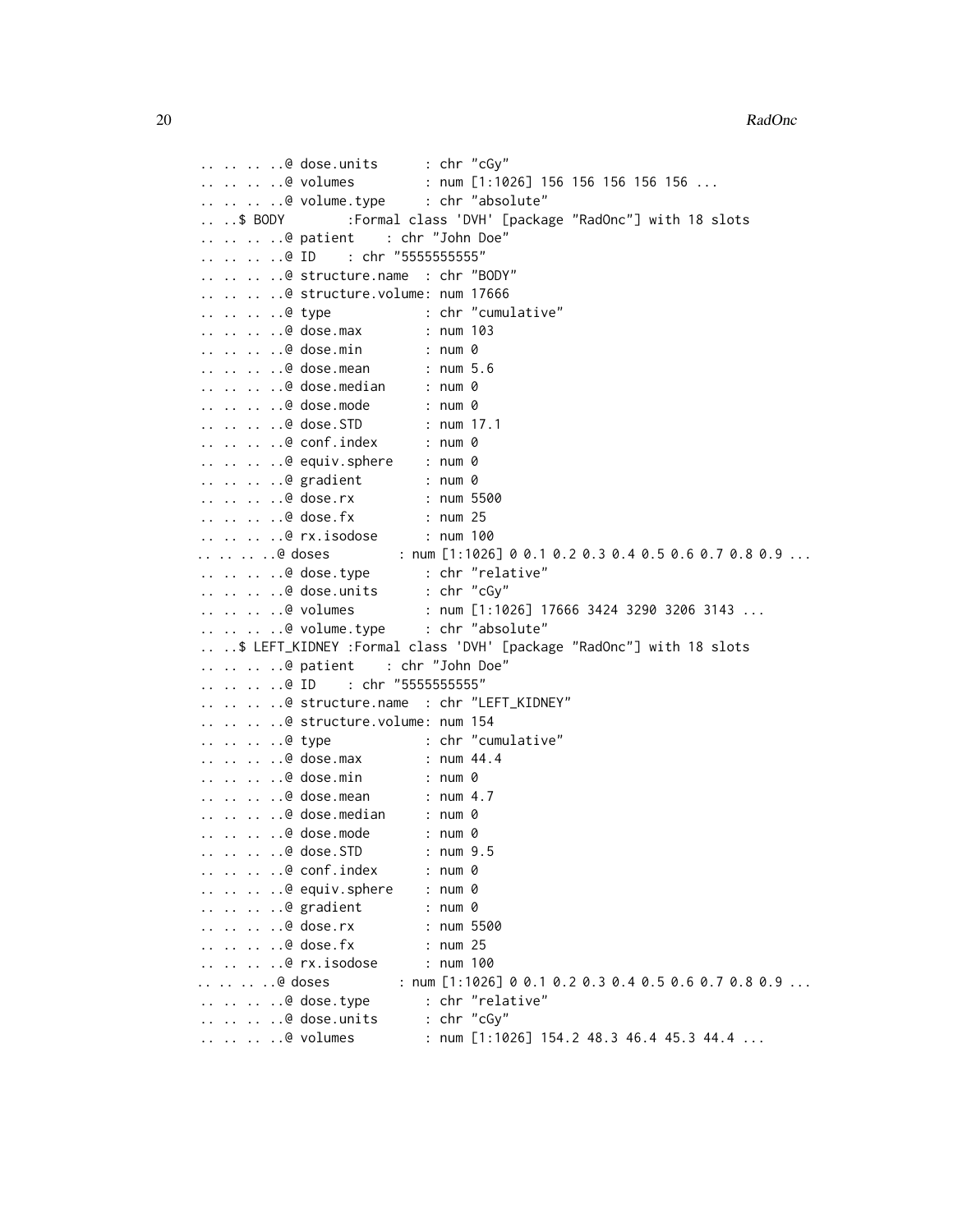```
.. .. .. ..@ dose.units : chr "cGy"
.. .. .. ..@ volumes : num [1:1026] 156 156 156 156 156 ...
.. .. .. ..@ volume.type : chr "absolute"
.. ..$ BODY :Formal class 'DVH' [package "RadOnc"] with 18 slots
.. .. .. ..@ patient : chr "John Doe"
.. .. .. ..@ ID : chr "5555555555"
.. .. .. ..@ structure.name : chr "BODY"
.. .. .. ..@ structure.volume: num 17666
.. .. .. ..@ type : chr "cumulative"
.. .. .. ..@ dose.max : num 103
.. .. .. ..@ dose.min : num 0
.. .. .. ..@ dose.mean : num 5.6
.. .. .. ..@ dose.median : num 0
.. .. .. ..@ dose.mode : num 0
.. .. .. ..@ dose.STD : num 17.1
.. .. .. ..@ conf.index : num 0
.. .. .. ..@ equiv.sphere : num 0
.. .. .. ..@ gradient : num 0
.. .. .. ..@ dose.rx : num 5500
.. .. .. ..@ dose.fx : num 25
.. .. .. ..@ rx.isodose : num 100
.. .. .. .. @ doses : num [1:1026] 0 0.1 0.2 0.3 0.4 0.5 0.6 0.7 0.8 0.9 ...
.. .. .. ..@ dose.type : chr "relative"
.. .. .. ..@ dose.units : chr "cGy"
.. .. .. @ volumes : num [1:1026] 17666 3424 3290 3206 3143 ...
.. .. .. ..@ volume.type : chr "absolute"
.. ..$ LEFT_KIDNEY :Formal class 'DVH' [package "RadOnc"] with 18 slots
.. .. .. ..@ patient : chr "John Doe"
.. .. .. ..@ ID : chr "5555555555"
.. .. .. ..@ structure.name : chr "LEFT_KIDNEY"
.. .. .. ..@ structure.volume: num 154
.. .. .. ..@ type : chr "cumulative"
.. .. .. ..@ dose.max : num 44.4
.. .. .. ..@ dose.min : num 0
.. .. .. ..@ dose.mean : num 4.7
.. .. .. ..@ dose.median : num 0
.. .. .. ..@ dose.mode : num 0
.. .. .. ..@ dose.STD : num 9.5
.. .. .. ..@ conf.index : num 0
.. .. .. ..@ equiv.sphere : num 0
.. .. .. ..@ gradient : num 0
.. .. .. ..@ dose.rx : num 5500
.. .. .. ..@ dose.fx : num 25
.. .. .. ..@ rx.isodose : num 100
.. .. .. ..@ doses : num [1:1026] 0 0.1 0.2 0.3 0.4 0.5 0.6 0.7 0.8 0.9 ...
.. .. .. ..@ dose.type : chr "relative"
.. .. .. ..@ dose.units : chr "cGy"
.. .. .. @ volumes : num [1:1026] 154.2 48.3 46.4 45.3 44.4 ...
```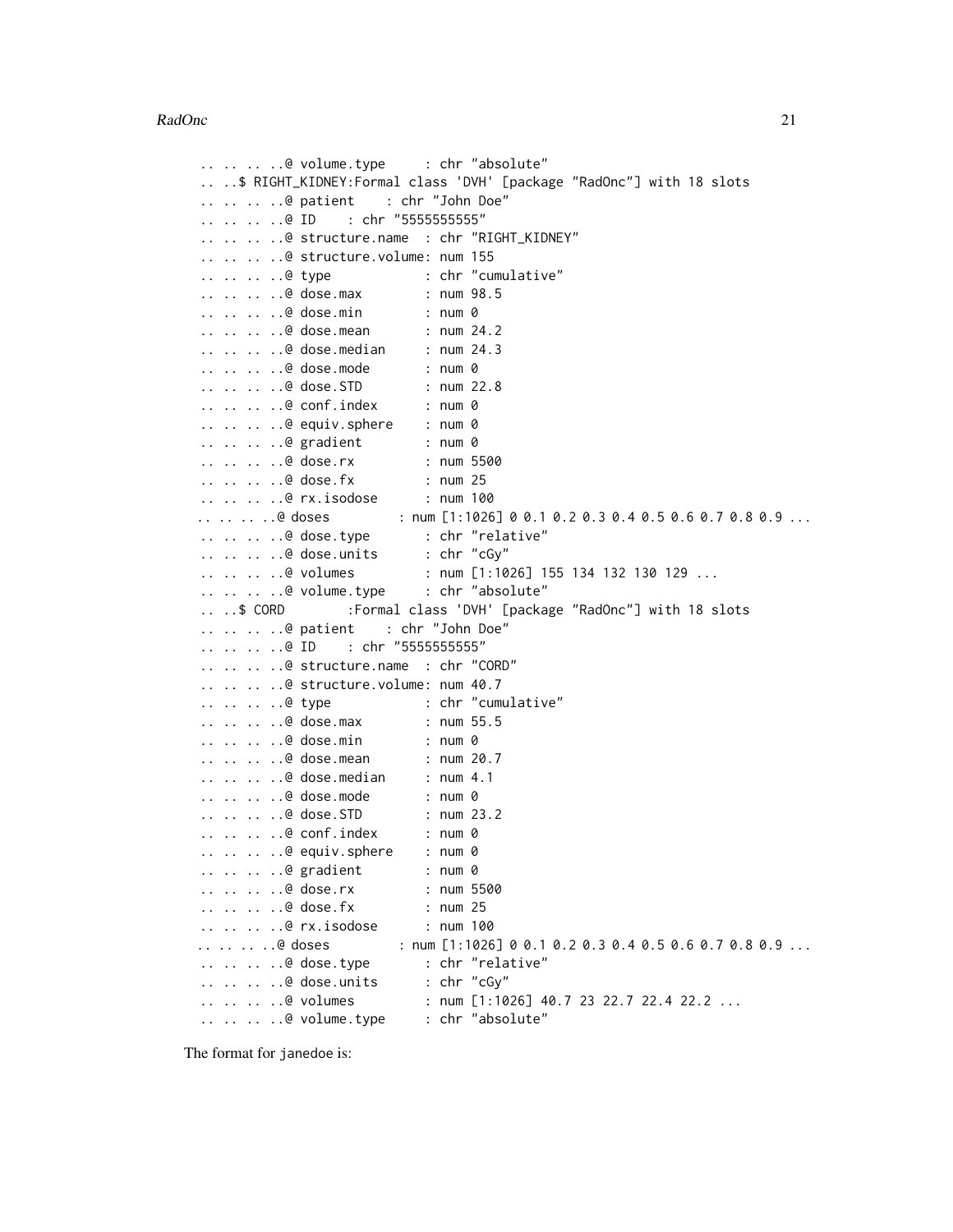```
.. .. .. ..@ volume.type : chr "absolute"
.. ..$ RIGHT_KIDNEY:Formal class 'DVH' [package "RadOnc"] with 18 slots
.. .. .. ..@ patient : chr "John Doe"
.. .. .. ..@ ID : chr "5555555555"
.. .. .. ..@ structure.name : chr "RIGHT_KIDNEY"
.. .. .. ..@ structure.volume: num 155
.. .. .. ..@ type : chr "cumulative"
.. .. .. ..@ dose.max : num 98.5
.. .. .. ..@ dose.min : num 0
.. .. .. ..@ dose.mean : num 24.2
.. .. .. ..@ dose.median : num 24.3
.. .. .. ..@ dose.mode : num 0
.. .. .. ..@ dose.STD : num 22.8
.. .. .. ..@ conf.index : num 0
.. .. .. ..@ equiv.sphere : num 0
.. .. .. ..@ gradient : num 0
.. .. .. ..@ dose.rx : num 5500
.. .. .. ..@ dose.fx : num 25
.. .. .. ..@ rx.isodose : num 100
.. .. .. .@ doses : num [1:1026] 0 0.1 0.2 0.3 0.4 0.5 0.6 0.7 0.8 0.9 ...
.. .. .. ..@ dose.type : chr "relative"
.. .. .. ..@ dose.units : chr "cGy"
.. .. .. ..@ volumes : num [1:1026] 155 134 132 130 129 ...
.. .. .. ..@ volume.type : chr "absolute"
.. ..$ CORD :Formal class 'DVH' [package "RadOnc"] with 18 slots
.. .. .. ..@ patient : chr "John Doe"
.. .. .. ..@ ID : chr "5555555555"
.. .. .. ..@ structure.name : chr "CORD"
.. .. .. ..@ structure.volume: num 40.7
.. .. .. ..@ type : chr "cumulative"
.. .. .. ..@ dose.max : num 55.5
.. .. .. ..@ dose.min : num 0
.. .. .. ..@ dose.mean : num 20.7
.. .. .. ..@ dose.median : num 4.1
.. .. .. ..@ dose.mode : num 0
\ldots \ldots \ldots \ldots dose.STD
.. .. .. ..@ conf.index : num 0
.. .. .. ..@ equiv.sphere : num 0<br>.. .. .. ..@ gradient : num 0
\ldots \ldots \ldots \theta gradient
.. .. .. ..@ dose.rx : num 5500
.. .. .. ..@ dose.fx : num 25
.. .. .. ..@ rx.isodose : num 100
.. .. .. .. @ doses : num [1:1026] 0 0.1 0.2 0.3 0.4 0.5 0.6 0.7 0.8 0.9 ...
.. .. .. ..@ dose.type : chr "relative"
.. .. .. ..@ dose.units : chr "cGy"
.. .. .. .@ volumes : num [1:1026] 40.7 23 22.7 22.4 22.2 ...
.. .. .. ..@ volume.type : chr "absolute"
```
The format for janedoe is: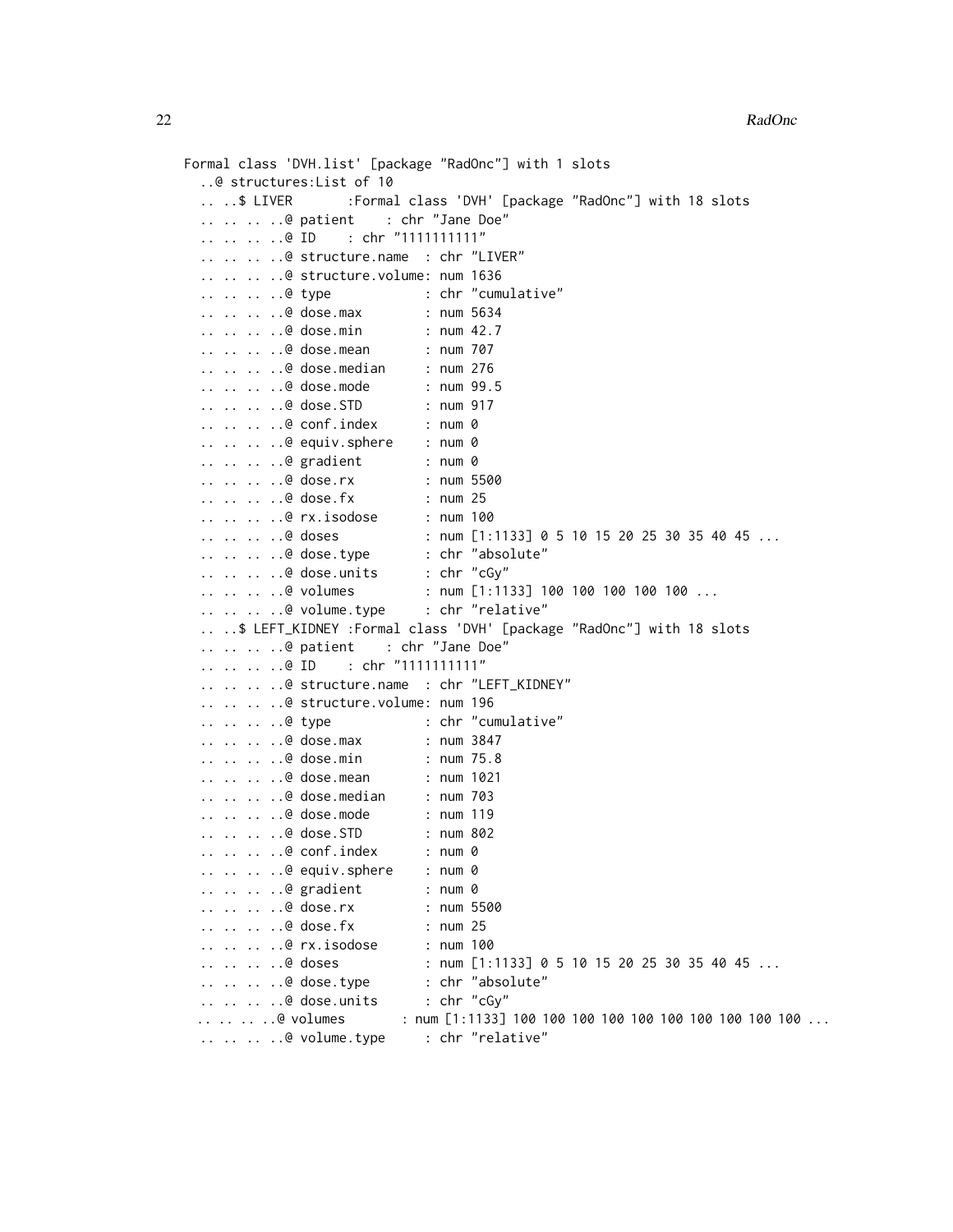```
Formal class 'DVH.list' [package "RadOnc"] with 1 slots
 ..@ structures:List of 10
 .. ..$ LIVER :Formal class 'DVH' [package "RadOnc"] with 18 slots
 .. .. .. ..@ patient : chr "Jane Doe"
  .. .. .. ..@ ID : chr "1111111111"
 .. .. .. ..@ structure.name : chr "LIVER"
 .. .. .. ..@ structure.volume: num 1636
 .. .. .. ..@ type : chr "cumulative"
 .. .. .. ..@ dose.max : num 5634
 .. .. .. ..@ dose.min : num 42.7
 .. .. .. ..@ dose.mean : num 707
  .. .. .. ..@ dose.median : num 276
 .. .. .. ..@ dose.mode : num 99.5
 .. .. .. ..@ dose.STD : num 917
 .. .. .. ..@ conf.index : num 0
 .. .. .. ..@ equiv.sphere : num 0
 .. .. .. ..@ gradient : num 0
 .. .. .. ..@ dose.rx : num 5500
 .. .. .. ..@ dose.fx : num 25
 .. .. .. ..@ rx.isodose : num 100<br>.. .. .. ..@ doses : num [1:
                           : num [1:1133] 0 5 10 15 20 25 30 35 40 45 ..... .. .. ..@ dose.type : chr "absolute"
  .. .. .. ..@ dose.units : chr "cGy"
 .. .. .. ..@ volumes : num [1:1133] 100 100 100 100 100 ...
 .. .. .. ..@ volume.type : chr "relative"
 .. ..$ LEFT_KIDNEY :Formal class 'DVH' [package "RadOnc"] with 18 slots
 .. .. .. ..@ patient : chr "Jane Doe"
 .. .. .. ..@ ID : chr "1111111111"
 .. .. .. ..@ structure.name : chr "LEFT_KIDNEY"
 .. .. .. ..@ structure.volume: num 196
 .. .. .. ..@ type : chr "cumulative"
 .. .. .. ..@ dose.max : num 3847
 .. .. .. ..@ dose.min : num 75.8
 .. .. .. ..@ dose.mean : num 1021
  .. .. .. ..@ dose.median : num 703
 .. .. .. ..@ dose.mode : num 119
 .. .. .. ..@ dose.STD : num 802
 .. .. .. ..@ conf.index : num 0
 .. .. .. ..@ equiv.sphere : num 0
 .. .. .. ..@ gradient : num 0
 .. .. .. ..@ dose.rx : num 5500
 .. .. .. ..@ dose.fx : num 25
 .. .. .. ..@ rx.isodose : num 100
 \ldots \ldots \ldots \ldots doses : num [1:1133] 0 5 10 15 20 25 30 35 40 45 \ldots.. .. .. ..@ dose.type : chr "absolute"
 .. .. .. ..@ dose.units : chr "cGy"
 .. .. .. .@ volumes : num [1:1133] 100 100 100 100 100 100 100 100 100 ...
 .. .. .. ..@ volume.type : chr "relative"
```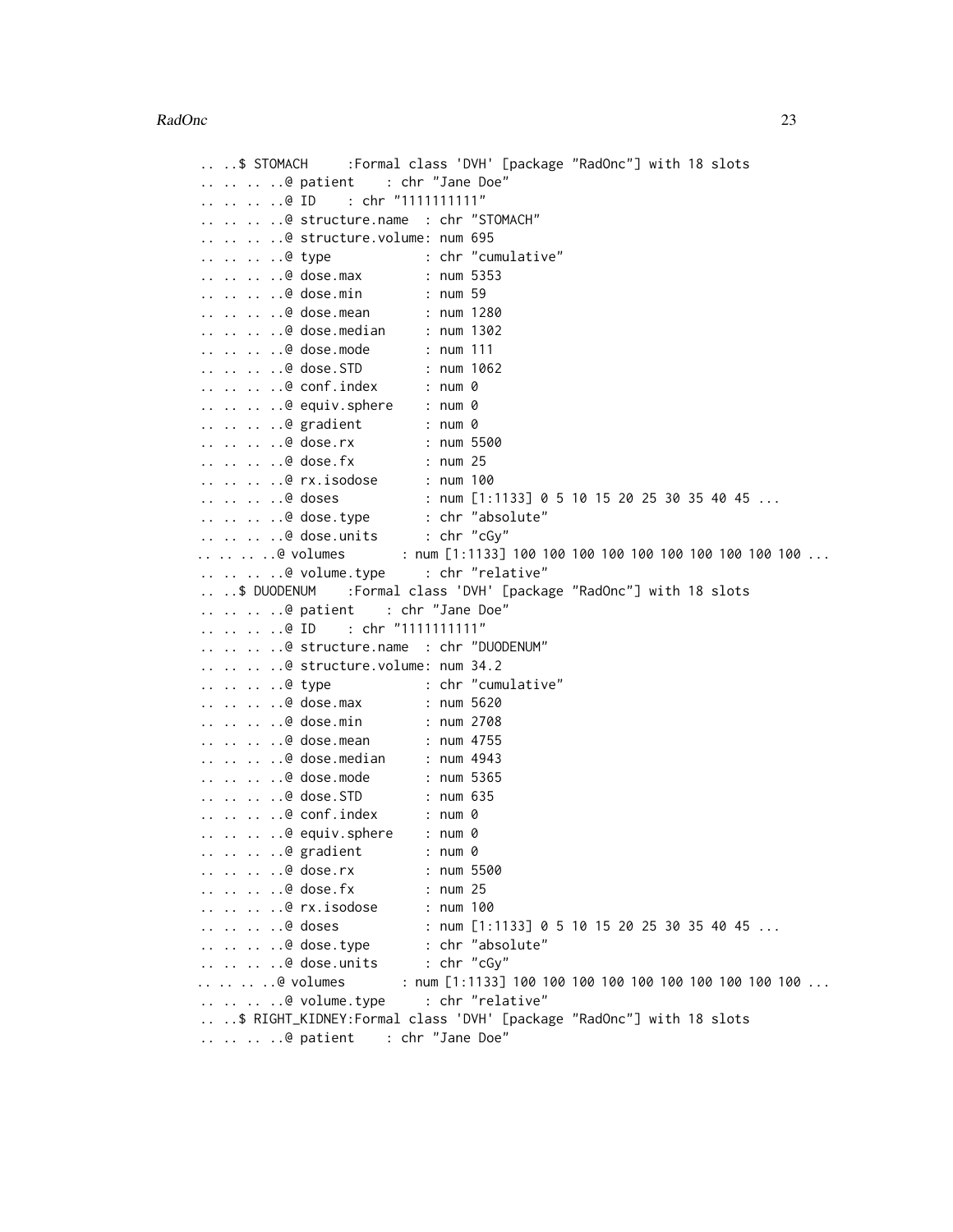```
.. ..$ STOMACH :Formal class 'DVH' [package "RadOnc"] with 18 slots
.. .. .. ..@ patient : chr "Jane Doe"
.. .. .. ..@ ID : chr "1111111111"
.. .. .. ..@ structure.name : chr "STOMACH"
.. .. .. ..@ structure.volume: num 695
.. .. .. ..@ type : chr "cumulative"
.. .. .. ..@ dose.max : num 5353
.. .. .. ..@ dose.min : num 59
.. .. .. ..@ dose.mean : num 1280
.. .. .. ..@ dose.median : num 1302
.. .. .. ..@ dose.mode : num 111
.. .. .. ..@ dose.STD : num 1062
.. .. .. ..@ conf.index : num 0
.. .. .. ..@ equiv.sphere : num 0
.. .. .. ..@ gradient : num 0
.. .. .. ..@ dose.rx : num 5500
.. .. .. ..@ dose.fx : num 25
.. .. .. ..@ rx.isodose : num 100
.. .. .. ..@ doses : num [1:1133] 0 5 10 15 20 25 30 35 40 45 ...<br>.. .. .. .@ dose.type : chr "absolute"
.. .. .. ..@ dose.type : chr "absolute"
.. .. .. ..@ dose.units : chr "cGy"
.. .. .. ..@ volumes : num [1:1133] 100 100 100 100 100 100 100 100 100 100 ...
.. .. .. ..@ volume.type : chr "relative"
.. ..$ DUODENUM :Formal class 'DVH' [package "RadOnc"] with 18 slots
.. .. .. ..@ patient : chr "Jane Doe"
.. .. .. ..@ ID : chr "1111111111"
.. .. .. ..@ structure.name : chr "DUODENUM"
.. .. .. ..@ structure.volume: num 34.2
.. .. .. ..@ type : chr "cumulative"
.. .. .. ..@ dose.max : num 5620
.. .. .. ..@ dose.min : num 2708
.. .. .. ..@ dose.mean : num 4755
.. .. .. ..@ dose.median : num 4943
.. .. .. ..@ dose.mode : num 5365
.. .. .. ..@ dose.STD         : num 635<br>.. .. .. ..@ conf.index       : num 0
\ldots \ldots \ldots \ldots conf.index
.. .. .. ..@ equiv.sphere : num 0
.. .. .. ..@ gradient : num 0
.. .. .. ..@ dose.rx : num 5500
.. .. .. ..@ dose.fx : num 25
.. .. .. ..@ rx.isodose : num 100
.. .. .. ..@ doses : num [1:1133] 0 5 10 15 20 25 30 35 40 45 ...
.. .. .. ..@ dose.type : chr "absolute"<br>.. .. .. ..@ dose.units : chr "cGy"
\ldots \ldots \ldots \ldots dose.units
.. .. .. .. @ volumes : num [1:1133] 100 100 100 100 100 100 100 100 100 ...
.. .. .. ..@ volume.type : chr "relative"
.. ..$ RIGHT_KIDNEY:Formal class 'DVH' [package "RadOnc"] with 18 slots
.. .. .. ..@ patient : chr "Jane Doe"
```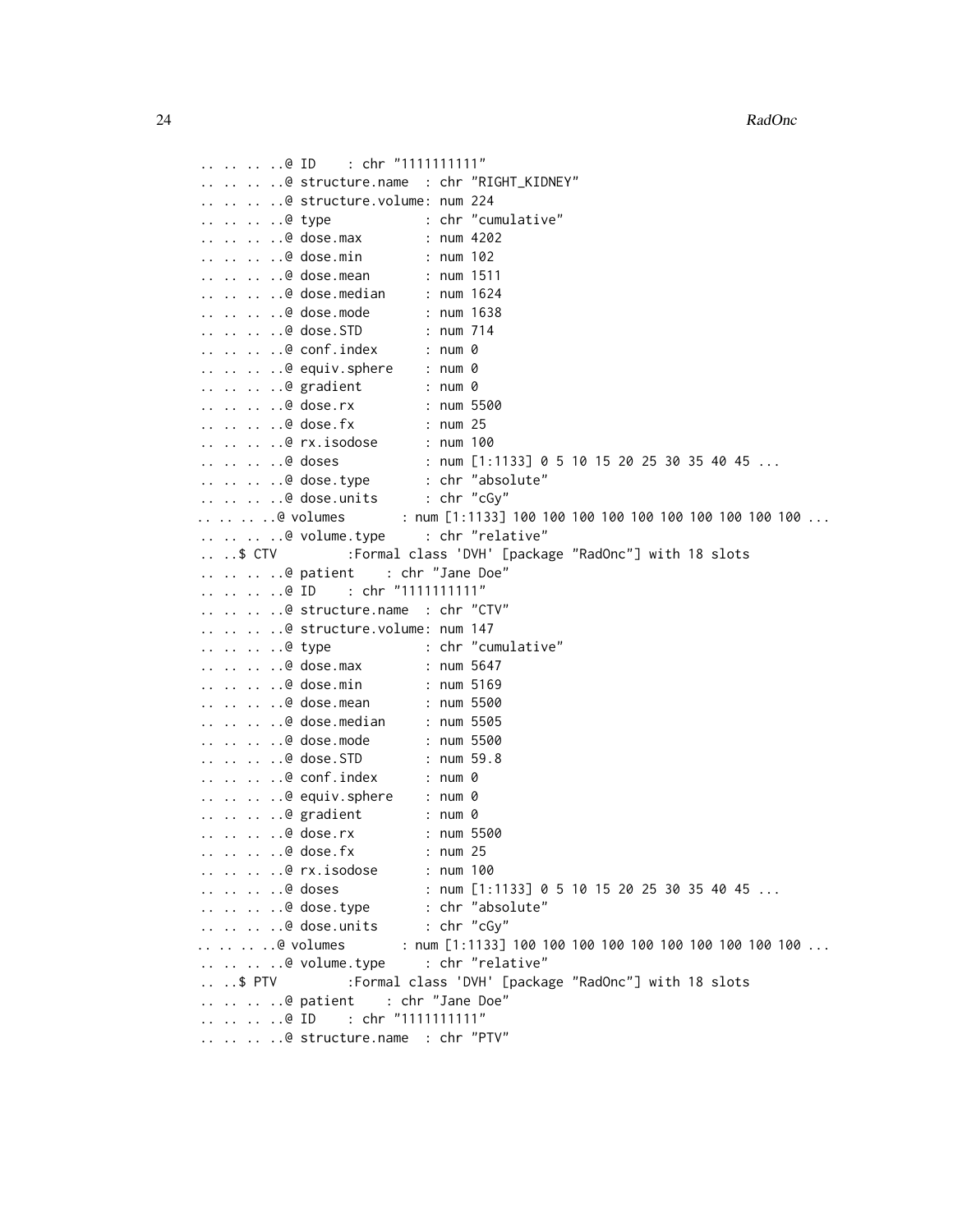```
.. .. .. ..@ ID : chr "1111111111"
.. .. .. ..@ structure.name : chr "RIGHT_KIDNEY"
.. .. .. ..@ structure.volume: num 224
.. .. .. ..@ type : chr "cumulative"
.. .. .. ..@ dose.max : num 4202
.. .. .. ..@ dose.min : num 102
.. .. .. ..@ dose.mean : num 1511
.. .. .. ..@ dose.median : num 1624
.. .. .. ..@ dose.mode : num 1638
.. .. .. ..@ dose.STD : num 714
.. .. .. ..@ conf.index : num 0
.. .. .. ..@ equiv.sphere : num 0
.. .. .. ..@ gradient : num 0
.. .. .. ..@ dose.rx : num 5500
.. .. .. ..@ dose.fx : num 25
.. .. .. ..@ rx.isodose : num 100
.. .. .. ..@ doses : num [1:1133] 0 5 10 15 20 25 30 35 40 45 ...
.. .. .. ..@ dose.type : chr "absolute"<br>.. .. .. ..@ dose.units : chr "cGy"
\ldots \ldots \ldots \ldots dose.units
.. .. .. @ volumes : num [1:1133] 100 100 100 100 100 100 100 100 100 ...
.. .. .. ..@ volume.type : chr "relative"
....$ CTV :Formal class 'DVH' [package "RadOnc"] with 18 slots
.. .. .. ..@ patient : chr "Jane Doe"
.. .. .. ..@ ID : chr "1111111111"
.. .. .. ..@ structure.name : chr "CTV"
.. .. .. ..@ structure.volume: num 147
.. .. .. ..@ type : chr "cumulative"
.. .. .. ..@ dose.max : num 5647
.. .. .. ..@ dose.min : num 5169
.. .. .. ..@ dose.mean : num 5500
.. .. .. ..@ dose.median : num 5505
.. .. .. ..@ dose.mode : num 5500
.. .. .. ..@ dose.STD : num 59.8
.. .. .. ..@ conf.index : num 0
.. .. .. ..@ equiv.sphere : num 0
.. .. .. ..@ gradient : num 0
.. .. .. ..@ dose.rx : num 5500
.. .. .. ..@ dose.fx : num 25
.. .. .. ..@ rx.isodose : num 100
.. .. .. ..@ doses : num [1:1133] 0 5 10 15 20 25 30 35 40 45 ...
.. .. .. ..@ dose.type : chr "absolute"
.. .. .. ..@ dose.units : chr "cGy"
\ldots.. .. @ volumes : num [1:1133] 100 100 100 100 100 100 100 100 100 ...
.. .. .. ..@ volume.type : chr "relative"
.. ..$ PTV :Formal class 'DVH' [package "RadOnc"] with 18 slots
.. .. .. ..@ patient : chr "Jane Doe"
.. .. .. ..@ ID : chr "11111111111"
.. .. .. ..@ structure.name : chr "PTV"
```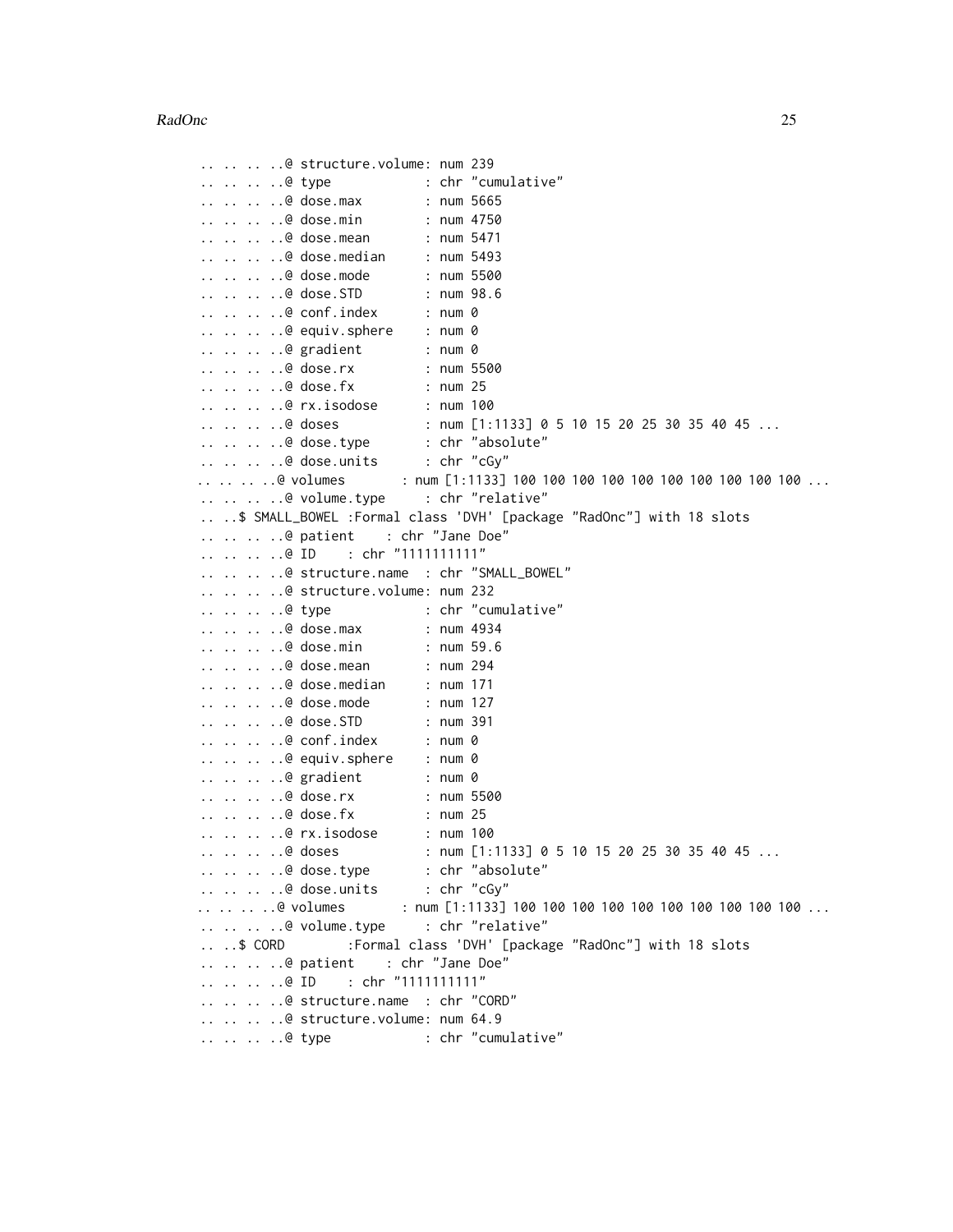```
.. .. .. ..@ structure.volume: num 239
.. .. .. ..@ type : chr "cumulative"
.. .. .. ..@ dose.max : num 5665
.. .. .. ..@ dose.min : num 4750
.. .. .. ..@ dose.mean : num 5471
.. .. .. ..@ dose.median : num 5493
.. .. .. ..@ dose.mode : num 5500
.. .. .. ..@ dose.STD : num 98.6
.. .. .. ..@ conf.index : num 0
.. .. .. ..@ equiv.sphere : num 0
.. .. .. ..@ gradient : num 0
.. .. .. ..@ dose.rx : num 5500
.. .. .. ..@ dose.fx : num 25
.. .. .. ..@ rx.isodose : num 100
\ldots \ldots \ldots doses : num [1:1133] 0 5 10 15 20 25 30 35 40 45 \ldots.. .. .. ..@ dose.type : chr "absolute"
.. .. .. ..@ dose.units : chr "cGy"
\ldots.. .. @ volumes : num [1:1133] 100 100 100 100 100 100 100 100 ...
.. .. .. ..@ volume.type : chr "relative"
.. ..$ SMALL_BOWEL :Formal class 'DVH' [package "RadOnc"] with 18 slots
.. .. .. ..@ patient : chr "Jane Doe"
.. .. .. ..@ ID : chr "1111111111"
.. .. .. ..@ structure.name : chr "SMALL_BOWEL"
.. .. .. ..@ structure.volume: num 232
.. .. .. ..@ type : chr "cumulative"
.. .. .. ..@ dose.max : num 4934
.. .. .. ..@ dose.min : num 59.6
.. .. .. ..@ dose.mean : num 294
.. .. .. ..@ dose.median : num 171
.. .. .. ..@ dose.mode : num 127
.. .. .. ..@ dose.STD : num 391
.. .. .. ..@ conf.index : num 0
.. .. .. ..@ equiv.sphere : num 0
.. .. .. ..@ gradient : num 0
.. .. .. ..@ dose.rx : num 5500<br>.. .. .. ..@ dose.fx : num 25
\ldots \ldots \ldots \ldots dose.fx
.. .. .. ..@ rx.isodose : num 100
.. .. .. ..@ doses : num [1:1133] 0 5 10 15 20 25 30 35 40 45 ...<br>.. .. .. .@ dose.type : chr "absolute"
\ldots \ldots \ldots \ldots dose.type
.. .. .. ..@ dose.units : chr "cGy"
.. .. .. ..@ volumes : num [1:1133] 100 100 100 100 100 100 100 100 100 100 ...
.. .. .. ..@ volume.type : chr "relative"
.. ..$ CORD :Formal class 'DVH' [package "RadOnc"] with 18 slots
.. .. .. ..@ patient : chr "Jane Doe"
.. .. .. ..@ ID : chr "1111111111"
.. .. .. ..@ structure.name : chr "CORD"
.. .. .. ..@ structure.volume: num 64.9
.. .. .. ..@ type : chr "cumulative"
```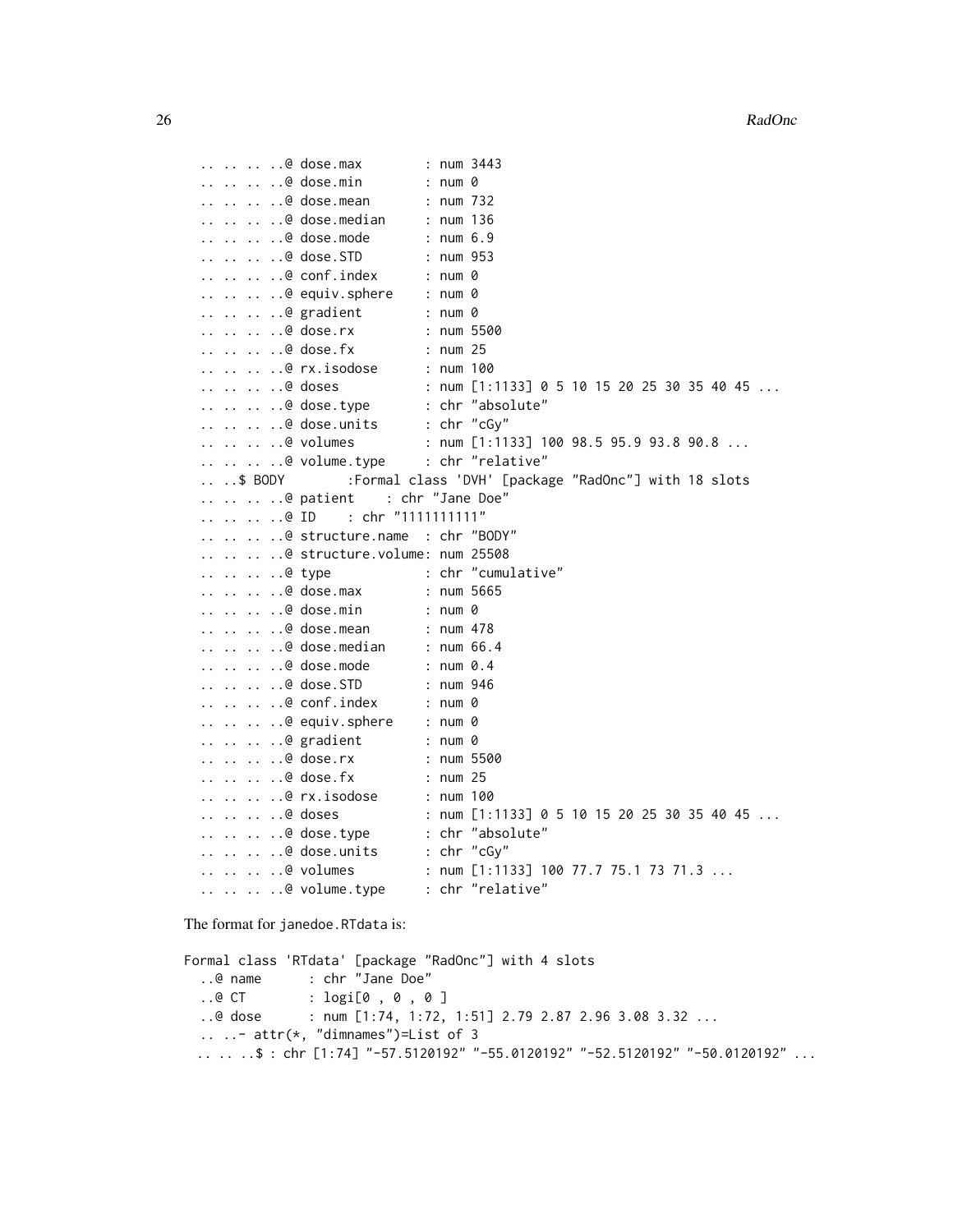```
.. .. .. ..@ dose.max : num 3443
.. .. .. ..@ dose.min : num 0
.. .. .. ..@ dose.mean : num 732
.. .. .. ..@ dose.median : num 136
.. .. .. ..@ dose.mode : num 6.9
.. .. .. ..@ dose.STD : num 953
.. .. .. ..@ conf.index : num 0
.. .. .. ..@ equiv.sphere : num 0
.. .. .. ..@ gradient : num 0
.. .. .. ..@ dose.rx : num 5500
.. .. .. ..@ dose.fx : num 25
.. .. .. ..@ rx.isodose : num 100
\ldots \ldots \ldots doses : num [1:1133] 0 5 10 15 20 25 30 35 40 45 \ldots.. .. .. ..@ dose.type : chr "absolute"
.. .. .. ..@ dose.units : chr "cGy"
.. .. .. ..@ volumes : num [1:1133] 100 98.5 95.9 93.8 90.8 ...<br>.. .. .. ..@ volume.type : chr "relative"
.. .. .. ..@ volume.type
.. ..$ BODY :Formal class 'DVH' [package "RadOnc"] with 18 slots
.. .. .. ..@ patient : chr "Jane Doe"
.. .. .. ..@ ID : chr "1111111111"
.. .. .. ..@ structure.name : chr "BODY"
.. .. .. ..@ structure.volume: num 25508
.. .. .. ..@ type : chr "cumulative"
.. .. .. ..@ dose.max : num 5665
.. .. .. ..@ dose.min : num 0
.. .. .. ..@ dose.mean : num 478
.. .. .. ..@ dose.median : num 66.4
.. .. .. ..@ dose.mode : num 0.4
.. .. .. ..@ dose.STD : num 946
.. .. .. ..@ conf.index : num 0
.. .. .. ..@ equiv.sphere : num 0
.. .. .. ..@ gradient : num 0
.. .. .. ..@ dose.rx : num 5500
.. .. .. ..@ dose.fx : num 25
.. .. .. ..@ rx.isodose : num 100<br>.. .. .. ..@ doses : num [1:
                         : num [1:1133] 0 5 10 15 20 25 30 35 40 45 ...
.. .. .. ..@ dose.type : chr "absolute"
.. .. .. ..@ dose.units : chr "cGy"
.. .. .. ..@ volumes : num [1:1133] 100 77.7 75.1 73 71.3 ...
.. .. .. ..@ volume.type : chr "relative"
```
The format for janedoe.RTdata is:

```
Formal class 'RTdata' [package "RadOnc"] with 4 slots
  ..@ name : chr "Jane Doe"
  ..@ CT : logi[0 , 0 , 0 ]
  ..@ dose : num [1:74, 1:72, 1:51] 2.79 2.87 2.96 3.08 3.32 ...
  \ldots \ldots attr(*, "dimnames")=List of 3
 \ldots.. \frac{\text{1}}{2} : chr [1:74] "-57.5120192" "-55.0120192" "-52.5120192" "-50.0120192" ...
```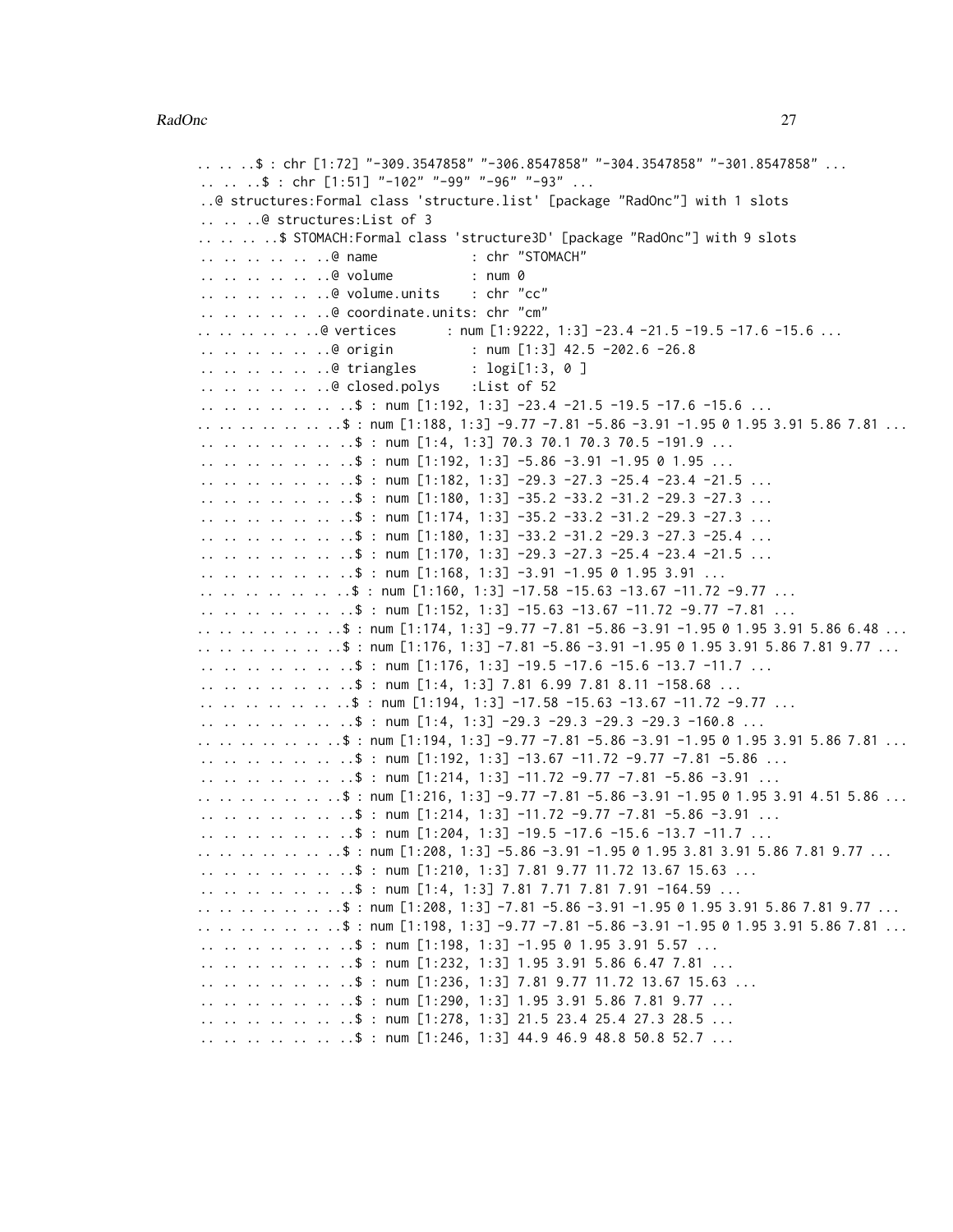```
\ldots.. \mathfrak{s}: chr [1:72] "-309.3547858" "-306.8547858" "-304.3547858" "-301.8547858" ...
.. .. ..$ : chr [1:51] "-102" "-99" "-96" "-93" ...
..@ structures:Formal class 'structure.list' [package "RadOnc"] with 1 slots
.. .. ..@ structures:List of 3
.......$ STOMACH:Formal class 'structure3D' [package "RadOnc"] with 9 slots
.. .. .. .. .. ..@ name : chr "STOMACH"
.. .. .. .. .. ..@ volume : num 0
.. .. .. .. .. ..@ volume.units : chr "cc"
.. .. .. .. .. ..@ coordinate.units: chr "cm"
.. .. .. .. .. @ vertices : num [1:9222, 1:3] -23.4 -21.5 -19.5 -17.6 -15.6 ...
.. .. .. .. .. @ origin : num [1:3] 42.5 -202.6 -26.8
.. .. .. .. .. ..@ triangles : logi[1:3, 0 ]
.. .. .. .. .. ..@ closed.polys :List of 52
.. .. .. .. .. .. .$ : num [1:192, 1:3] -23.4 -21.5 -19.5 -17.6 -15.6 ...
.. .. .. .. .. .. ..$ : num [1:188, 1:3] -9.77 -7.81 -5.86 -3.91 -1.95 0 1.95 3.91 5.86 7.81 ...
.. .. .. .. .. .. .$ : num [1:4, 1:3] 70.3 70.1 70.3 70.5 -191.9 ...
.. .. .. .. .. .. .$ : num [1:192, 1:3] -5.86 -3.91 -1.95 0 1.95 ...
.. .. .. .. .. ..$ : num [1:182, 1:3] -29.3 -27.3 -25.4 -23.4 -21.5 ...
.. .. .. .. .. .. ..$ : num [1:180, 1:3] -35.2 -33.2 -31.2 -29.3 -27.3 ...
.. .. .. .. .. .. $ : num [1:174, 1:3] -35.2 -33.2 -31.2 -29.3 -27.3 ...
.. .. .. .. .. .. \therefore : num [1:180, 1:3] -33.2 -31.2 -29.3 -27.3 -25.4 ...
.. .. .. .. .. .. $ : num [1:170, 1:3] -29.3 -27.3 -25.4 -23.4 -21.5 ...
\ldots .. .. .. .. ..$ : num [1:168, 1:3] -3.91 -1.95 0 1.95 3.91 ...
.. .. .. .. .. .. .$ : num [1:160, 1:3] -17.58 -15.63 -13.67 -11.72 -9.77 ...
.. .. .. .. .. .. .$ : num [1:152, 1:3] -15.63 -13.67 -11.72 -9.77 -7.81 ...
.. .. .. .. .. .. ..$ : num [1:174, 1:3] -9.77 -7.81 -5.86 -3.91 -1.95 0 1.95 3.91 5.86 6.48 ...
.. .. .. .. .. .. ..$ : num [1:176, 1:3] -7.81 -5.86 -3.91 -1.95 0 1.95 3.91 5.86 7.81 9.77 ...
.. .. .. .. .. .. ..$ : num [1:176, 1:3] -19.5 -17.6 -15.6 -13.7 -11.7 ...
\ldots .. .. .. .. .. $ : num [1:4, 1:3] 7.81 6.99 7.81 8.11 -158.68 ...
.. .. .. .. .. .. ..$ : num [1:194, 1:3] -17.58 -15.63 -13.67 -11.72 -9.77 ...
.. .. .. .. .. .. $ : num [1:4, 1:3] -29.3 -29.3 -29.3 -29.3 -160.8 ...
.. .. .. .. .. .. ..$ : num [1:194, 1:3] -9.77 -7.81 -5.86 -3.91 -1.95 0 1.95 3.91 5.86 7.81 ...
.. .. .. .. .. .. ..$ : num [1:192, 1:3] -13.67 -11.72 -9.77 -7.81 -5.86 ...
.. .. .. .. .. .. .$ : num [1:214, 1:3] -11.72 -9.77 -7.81 -5.86 -3.91 ...
.. .. .. .. .. .. ..$ : num [1:216, 1:3] -9.77 -7.81 -5.86 -3.91 -1.95 0 1.95 3.91 4.51 5.86 ...
.. .. .. .. .. .. $ : num [1:214, 1:3] -11.72 -9.77 -7.81 -5.86 -3.91 ...
.. .. .. .. .. .. $ : num [1:204, 1:3] -19.5 -17.6 -15.6 -13.7 -11.7 ...
.. .. .. .. .. .. .$ : num [1:208, 1:3] -5.86 -3.91 -1.95 0 1.95 3.81 3.91 5.86 7.81 9.77 ...
.. .. .. .. .. .. ..$ : num [1:210, 1:3] 7.81 9.77 11.72 13.67 15.63 ...
.. .. .. .. .. .. ..$ : num [1:4, 1:3] 7.81 7.71 7.81 7.91 -164.59 ...
.. .. .. .. .. .. .$ : num [1:208, 1:3] -7.81 -5.86 -3.91 -1.95 0 1.95 3.91 5.86 7.81 9.77 ...
.. .. .. .. .. .. ..$ : num [1:198, 1:3] -9.77 -7.81 -5.86 -3.91 -1.95 0 1.95 3.91 5.86 7.81 ...
.. .. .. .. .. .. ..$ : num [1:198, 1:3] -1.95 0 1.95 3.91 5.57 ...
\ldots .. .. .. .. .. $ : num [1:232, 1:3] 1.95 3.91 5.86 6.47 7.81 ...
.. .. .. .. .. .. ..$ : num [1:236, 1:3] 7.81 9.77 11.72 13.67 15.63 ...
.. .. .. .. .. .. ..$ : num [1:290, 1:3] 1.95 3.91 5.86 7.81 9.77 ...
.. .. .. .. .. .. ..$ : num [1:278, 1:3] 21.5 23.4 25.4 27.3 28.5 ...
\ldots \ldots \ldots \ldots \ldots \ldots \ddot{\text{s}} : num [1:246, 1:3] 44.9 46.9 48.8 50.8 52.7 \ldots
```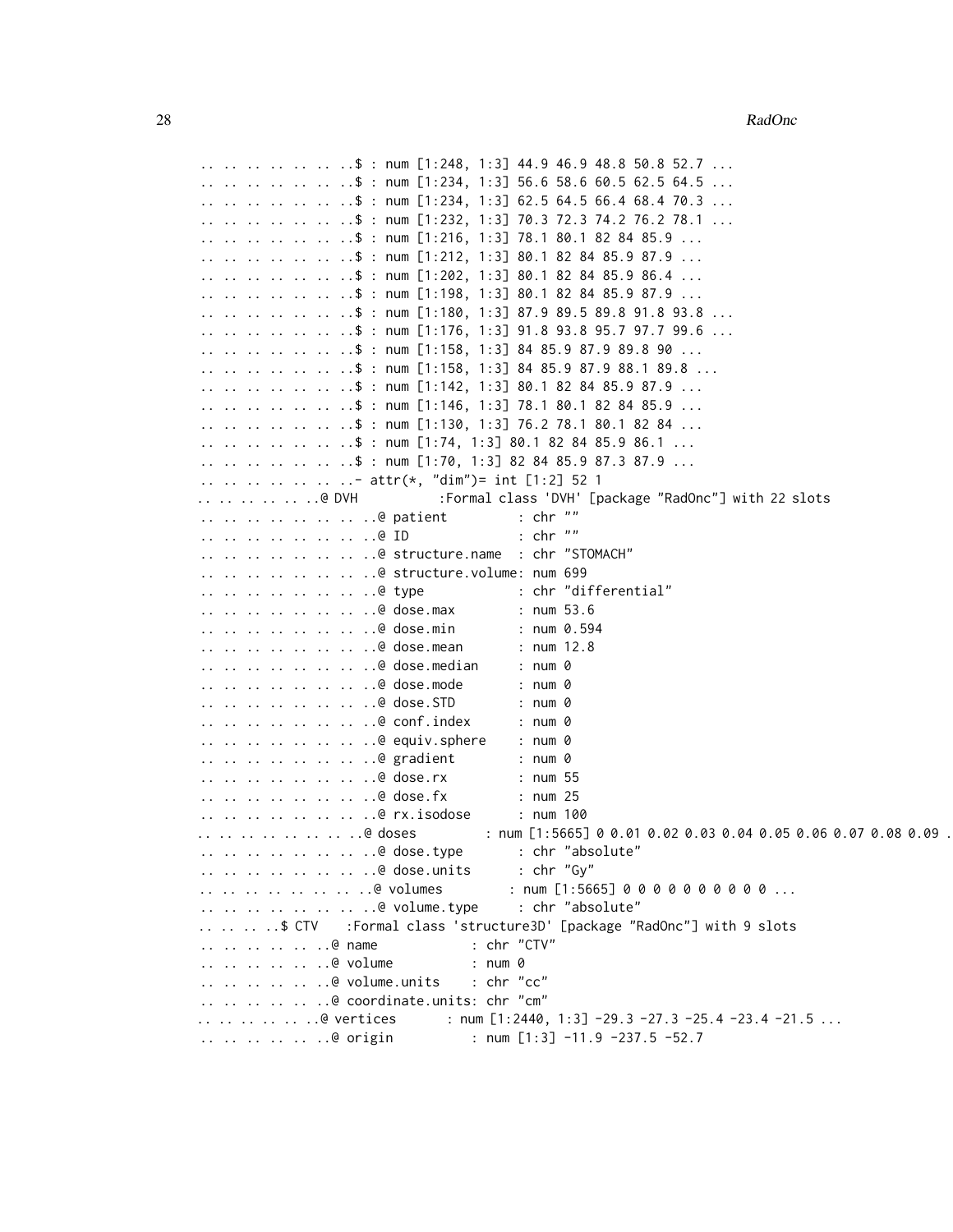```
.. .. .. .. .. .. ..$ : num [1:248, 1:3] 44.9 46.9 48.8 50.8 52.7 ...
\ldots \ldots \ldots \ldots \ldots \ldots$ : num [1:234, 1:3] 56.6 58.6 60.5 62.5 64.5 \ldots\ldots \ldots \ldots \ldots \ldots \ddots \ddots num [1:234, 1:3] 62.5 64.5 66.4 68.4 70.3 \ldots.. .. .. .. .. .. ..$ : num [1:232, 1:3] 70.3 72.3 74.2 76.2 78.1 ...
.. .. .. .. .. .. ..$ : num [1:216, 1:3] 78.1 80.1 82 84 85.9 ...
.. .. .. .. .. .. ..$ : num [1:212, 1:3] 80.1 82 84 85.9 87.9 ...
.. .. .. .. .. .. ..$ : num [1:202, 1:3] 80.1 82 84 85.9 86.4 ...
\ldots .. .. .. .. ..$ : num [1:198, 1:3] 80.1 82 84 85.9 87.9 ...
.. .. .. .. .. .. ..$ : num [1:180, 1:3] 87.9 89.5 89.8 91.8 93.8 ...
.. .. .. .. .. .. ..$ : num [1:176, 1:3] 91.8 93.8 95.7 97.7 99.6 ...
.. .. .. .. .. .. .$ : num [1:158, 1:3] 84 85.9 87.9 89.8 90 ...
.. .. .. .. .. .. .$ : num [1:158, 1:3] 84 85.9 87.9 88.1 89.8 ...
.. .. .. .. .. .. .$ : num [1:142, 1:3] 80.1 82 84 85.9 87.9 ...
.. .. .. .. .. .. ..$ : num [1:146, 1:3] 78.1 80.1 82 84 85.9 ...
.. .. .. .. .. .. ..$ : num [1:130, 1:3] 76.2 78.1 80.1 82 84 ...
.. .. .. .. .. .. ..$ : num [1:74, 1:3] 80.1 82 84 85.9 86.1 ...
.. .. .. .. .. .. .$ : num [1:70, 1:3] 82 84 85.9 87.3 87.9 ...
.. .. .. .. .. .. ..- attr(*, "dim")= int [1:2] 52 1
.. .. .. .. .. @ DVH :Formal class 'DVH' [package "RadOnc"] with 22 slots
.. .. .. .. .. .. .. ..@ patient : chr ""
.. .. .. .. .. .. .. ..@ ID : chr ""
.. .. .. .. .. .. .. ..@ structure.name : chr "STOMACH"
.. .. .. .. .. .. .. ..@ structure.volume: num 699
.. .. .. .. .. .. .. ..@ type : chr "differential"
.. .. .. .. .. .. .. ..@ dose.max : num 53.6
.. .. .. .. .. .. .. ..@ dose.min : num 0.594
.. .. .. .. .. .. .. ..@ dose.mean : num 12.8
.. .. .. .. .. .. .. ..@ dose.median : num 0
.. .. .. .. .. .. .. ..@ dose.mode : num 0
.. .. .. .. .. .. .. ..@ dose.STD : num 0
.. .. .. .. .. .. .. ..@ conf.index : num 0
.. .. .. .. .. .. .. ..@ equiv.sphere : num 0
.. .. .. .. .. .. .. ..@ gradient : num 0
.. .. .. .. .. .. .. ..@ dose.rx : num 55
.. .. .. .. .. .. .. ..@ dose.fx : num 25
.. .. .. .. .. .. .. ..@ rx.isodose : num 100
\ldots.. .. .. .. .. .. @ doses : num [1:5665] 0 0.01 0.02 0.03 0.04 0.05 0.06 0.07 0.08 0.09 ...
.. .. .. .. .. .. .. ..@ dose.type : chr "absolute"
.. .. .. .. .. .. .. ..@ dose.units : chr "Gy"
.. .. .. .. .. .. .. @ volumes : num [1:5665] 0 0 0 0 0 0 0 0 0 0 ...
.. .. .. .. .. .. .. ..@ volume.type : chr "absolute"
.. .. .. ..$ CTV :Formal class 'structure3D' [package "RadOnc"] with 9 slots
.. .. .. .. .. ..@ name : chr "CTV"
.. .. .. .. .. ..@ volume : num 0
.. .. .. .. .. ..@ volume.units : chr "cc"
.. .. .. .. .. ..@ coordinate.units: chr "cm"
.. .. .. .. .. @ vertices : num [1:2440, 1:3] -29.3 -27.3 -25.4 -23.4 -21.5 ...
.. .. .. .. ..@ origin : num [1:3] -11.9 -237.5 -52.7
```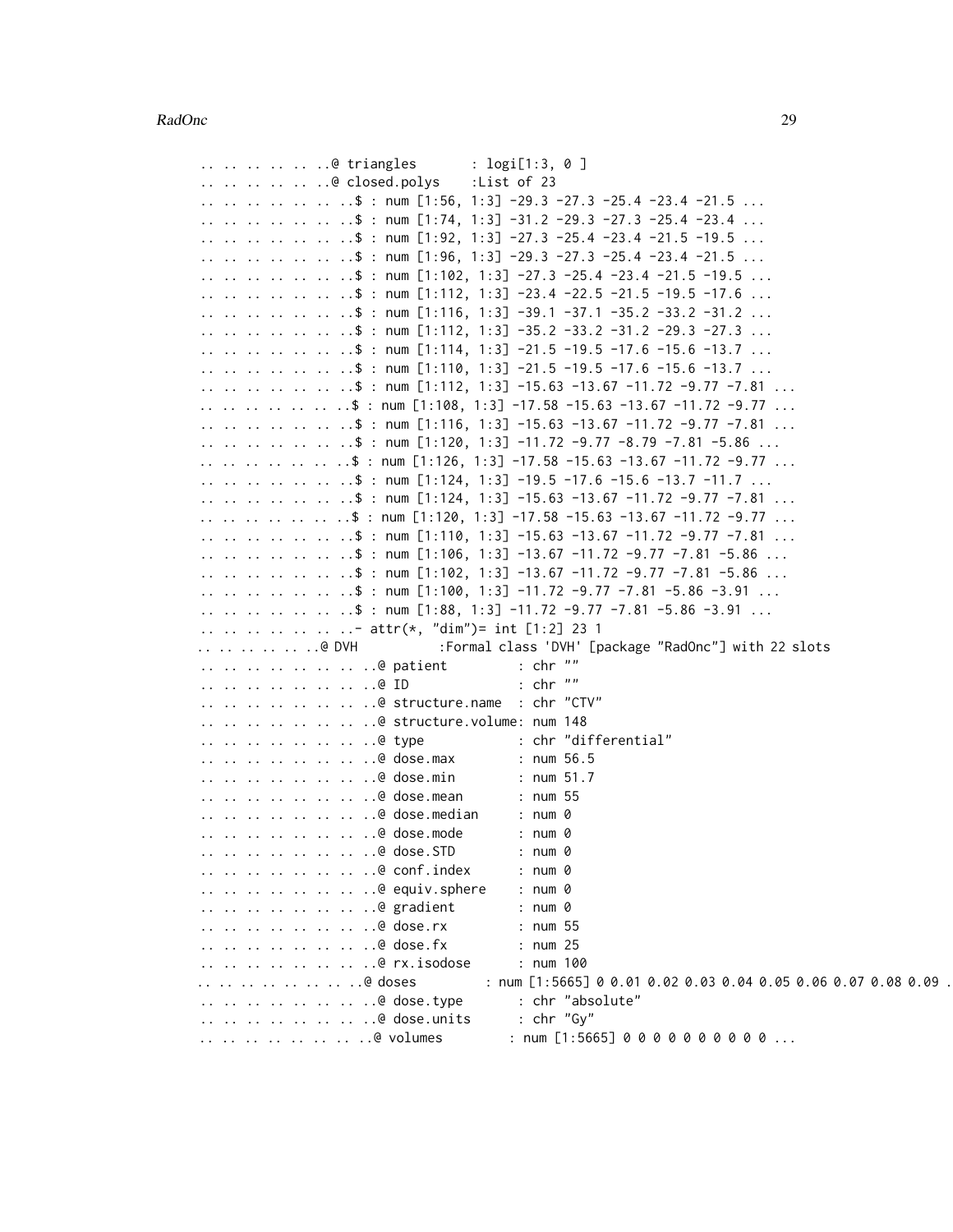|  |  |       | @ triangles<br>: logi[1:3, 0 ]                                             |
|--|--|-------|----------------------------------------------------------------------------|
|  |  |       | @ closed.polys<br>List of 23:                                              |
|  |  |       | \$ : num [1:56, 1:3] -29.3 -27.3 -25.4 -23.4 -21.5                         |
|  |  |       | \$ : num [1:74, 1:3] -31.2 -29.3 -27.3 -25.4 -23.4                         |
|  |  |       | \$ : num [1:92, 1:3] -27.3 -25.4 -23.4 -21.5 -19.5                         |
|  |  |       | \$ : num [1:96, 1:3] -29.3 -27.3 -25.4 -23.4 -21.5                         |
|  |  |       | \$ : num [1:102, 1:3] -27.3 -25.4 -23.4 -21.5 -19.5                        |
|  |  |       | .\$ : num [1:112, 1:3] -23.4 -22.5 -21.5 -19.5 -17.6                       |
|  |  |       | \$ : num [1:116, 1:3] -39.1 -37.1 -35.2 -33.2 -31.2                        |
|  |  |       | .\$ : num [1:112, 1:3] -35.2 -33.2 -31.2 -29.3 -27.3                       |
|  |  |       | \$ : num [1:114, 1:3] -21.5 -19.5 -17.6 -15.6 -13.7                        |
|  |  |       | \$ : num [1:110, 1:3] -21.5 -19.5 -17.6 -15.6 -13.7                        |
|  |  |       | \$ : num [1:112, 1:3] -15.63 -13.67 -11.72 -9.77 -7.81                     |
|  |  |       | .\$ : num [1:108, 1:3] -17.58 -15.63 -13.67 -11.72 -9.77                   |
|  |  |       | \$ : num [1:116, 1:3] -15.63 -13.67 -11.72 -9.77 -7.81                     |
|  |  |       | \$ : num [1:120, 1:3] -11.72 -9.77 -8.79 -7.81 -5.86                       |
|  |  |       | \$ : num [1:126, 1:3] -17.58 -15.63 -13.67 -11.72 -9.77                    |
|  |  |       | \$ : num [1:124, 1:3] -19.5 -17.6 -15.6 -13.7 -11.7                        |
|  |  |       | \$ : num [1:124, 1:3] -15.63 -13.67 -11.72 -9.77 -7.81                     |
|  |  |       | \$ : num [1:120, 1:3] -17.58 -15.63 -13.67 -11.72 -9.77                    |
|  |  |       | \$ : num [1:110, 1:3] -15.63 -13.67 -11.72 -9.77 -7.81                     |
|  |  |       | \$ : num [1:106, 1:3] -13.67 -11.72 -9.77 -7.81 -5.86                      |
|  |  |       | \$ : num [1:102, 1:3] -13.67 -11.72 -9.77 -7.81 -5.86                      |
|  |  |       | \$ : num [1:100, 1:3] -11.72 -9.77 -7.81 -5.86 -3.91                       |
|  |  |       | \$ : num [1:88, 1:3] -11.72 -9.77 -7.81 -5.86 -3.91                        |
|  |  |       | - attr(*, "dim")= int [1:2] 23 1                                           |
|  |  | @ DVH | :Formal class 'DVH' [package "RadOnc"] with 22 slots                       |
|  |  |       | @ patient<br>$: chr$ ""                                                    |
|  |  |       | @ ID<br>$:$ chr $"$                                                        |
|  |  |       | @ structure.name : chr "CTV"                                               |
|  |  |       | @ structure.volume: num 148                                                |
|  |  |       | @ type<br>: chr "differential"                                             |
|  |  |       | @ dose.max<br>: num 56.5                                                   |
|  |  |       | @ dose.min<br>: $num 51.7$                                                 |
|  |  |       | @ dose.mean<br>: num 55                                                    |
|  |  |       | @ dose.median<br>: num 0                                                   |
|  |  |       | @ dose.mode<br>: num 0                                                     |
|  |  |       | @ dose.STD<br>: num 0<br>@ conf.index<br>: num 0                           |
|  |  |       | @ equiv.sphere<br>: num 0                                                  |
|  |  |       | @ gradient<br>: num 0                                                      |
|  |  |       | @ dose.rx<br>: num 55                                                      |
|  |  |       | @ dose.fx<br>: num25                                                       |
|  |  |       | @ rx.isodose<br>: num 100                                                  |
|  |  |       | .@ doses<br>: num [1:5665] 0 0.01 0.02 0.03 0.04 0.05 0.06 0.07 0.08 0.09. |
|  |  |       | @ dose.type<br>: chr "absolute"                                            |
|  |  |       | : $chr''Gy''$<br>@ dose.units                                              |
|  |  |       | @ volumes<br>$:$ num [1:5665] 0000000000                                   |
|  |  |       |                                                                            |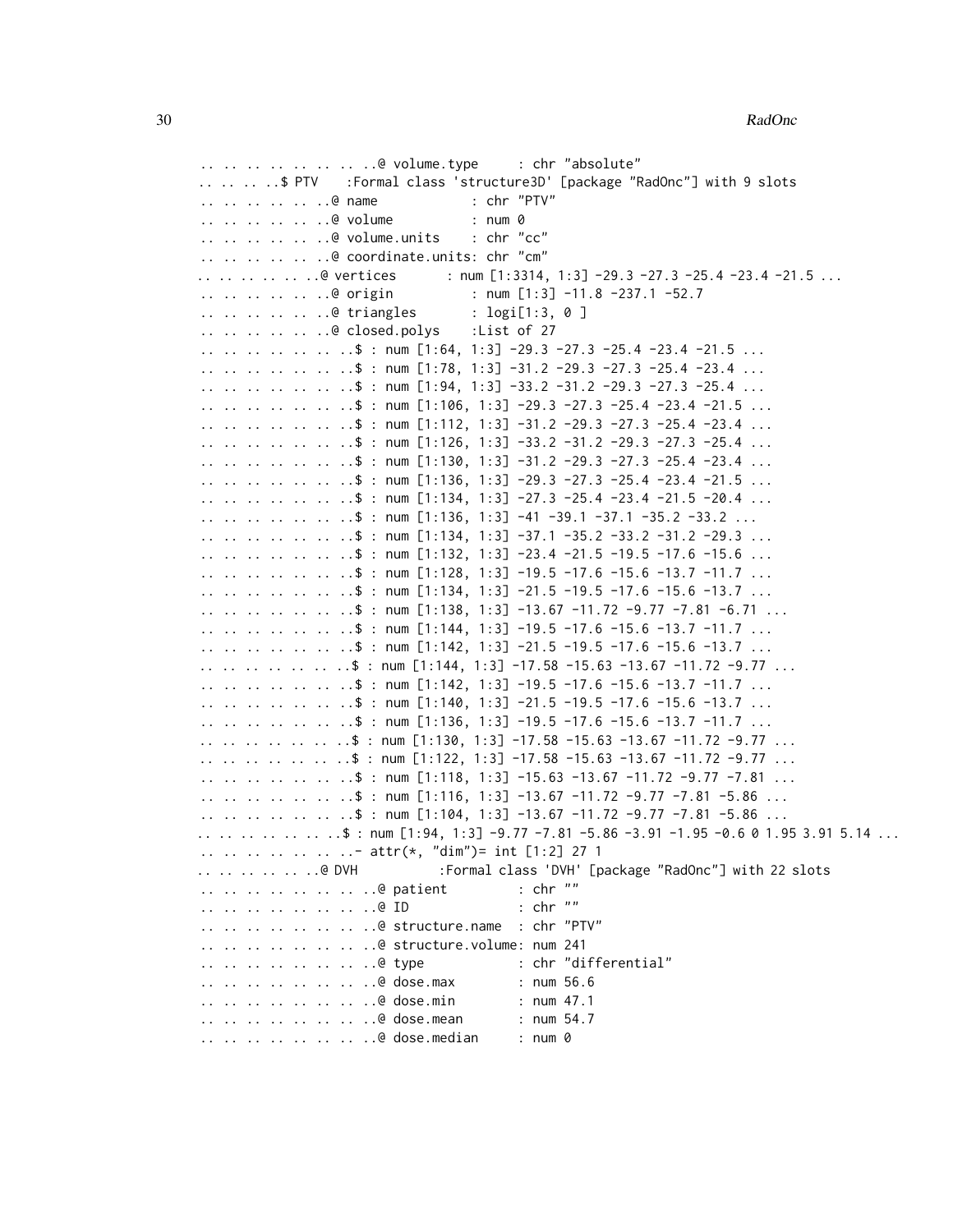.. .. .. .. .. .. .. ..@ volume.type : chr "absolute" .. .. .. ..\$ PTV :Formal class 'structure3D' [package "RadOnc"] with 9 slots .. .. .. .. .. ..@ name : chr "PTV" .. .. .. .. .. ..@ volume : num 0 .. .. .. .. .. ..@ volume.units : chr "cc" .. .. .. .. .. ..@ coordinate.units: chr "cm" .. .. .. .. .. @ vertices : num [1:3314, 1:3] -29.3 -27.3 -25.4 -23.4 -21.5 ... .. .. .. .. .. ..@ origin : num [1:3] -11.8 -237.1 -52.7 .. .. .. .. .. ..@ triangles : logi[1:3, 0 ] .. .. .. .. .. ..@ closed.polys :List of 27 .. .. .. .. .. .. ..\$ : num  $[1:64, 1:3]$  -29.3 -27.3 -25.4 -23.4 -21.5 ... .. .. .. .. .. .. \$ : num  $[1:78, 1:3]$  -31.2 -29.3 -27.3 -25.4 -23.4 ... .. .. .. .. .. .. \$ : num  $[1:94, 1:3]$  -33.2 -31.2 -29.3 -27.3 -25.4 ... .. .. .. .. .. .. \$ : num [1:106, 1:3] -29.3 -27.3 -25.4 -23.4 -21.5 ... .. .. .. .. .. .. \$ : num  $[1:112, 1:3]$  -31.2 -29.3 -27.3 -25.4 -23.4 ... .. .. .. .. .. .. ..\$ : num [1:126, 1:3] -33.2 -31.2 -29.3 -27.3 -25.4 ... .. .. .. .. .. .. \$ : num [1:130, 1:3] -31.2 -29.3 -27.3 -25.4 -23.4 ... .. .. .. .. .. ..\$ : num [1:136, 1:3] -29.3 -27.3 -25.4 -23.4 -21.5 ... .. .. .. .. .. .. \$ : num  $[1:134, 1:3]$  -27.3 -25.4 -23.4 -21.5 -20.4 ... .. .. .. .. .. .. \$ : num [1:136, 1:3] -41 -39.1 -37.1 -35.2 -33.2 ... .. .. .. .. .. .. ..\$ : num [1:134, 1:3] -37.1 -35.2 -33.2 -31.2 -29.3 ... .. .. .. .. .. .. .\$ : num  $[1:132, 1:3]$  -23.4 -21.5 -19.5 -17.6 -15.6 ... .. .. .. .. .. .. .\$ : num [1:128, 1:3] -19.5 -17.6 -15.6 -13.7 -11.7 ... .. .. .. .. .. .. ..\$ : num [1:134, 1:3] -21.5 -19.5 -17.6 -15.6 -13.7 ... .. .. .. .. .. .. .\$ : num [1:138, 1:3] -13.67 -11.72 -9.77 -7.81 -6.71 ... .. .. .. .. .. .. ..\$ : num [1:144, 1:3] -19.5 -17.6 -15.6 -13.7 -11.7 ... .. .. .. .. .. .. ..\$ : num [1:142, 1:3] -21.5 -19.5 -17.6 -15.6 -13.7 ... .. .. .. .. .. ..\$ : num [1:144, 1:3] -17.58 -15.63 -13.67 -11.72 -9.77 ... .. .. .. .. .. .. ..\$ : num [1:142, 1:3] -19.5 -17.6 -15.6 -13.7 -11.7 ... .. .. .. .. .. .. ..\$ : num [1:140, 1:3] -21.5 -19.5 -17.6 -15.6 -13.7 ... .. .. .. .. .. .. ..\$ : num [1:136, 1:3] -19.5 -17.6 -15.6 -13.7 -11.7 ... .. .. .. .. .. .. ..\$ : num [1:130, 1:3] -17.58 -15.63 -13.67 -11.72 -9.77 ... .. .. .. .. .. ..\$ : num [1:122, 1:3] -17.58 -15.63 -13.67 -11.72 -9.77 ... .. .. .. .. .. .. ..\$ : num [1:118, 1:3] -15.63 -13.67 -11.72 -9.77 -7.81 ... .. .. .. .. .. .. ..\$ : num [1:116, 1:3] -13.67 -11.72 -9.77 -7.81 -5.86 ... .. .. .. .. .. .. \$ : num  $[1:104, 1:3]$  -13.67 -11.72 -9.77 -7.81 -5.86 ... .. .. .. .. .. .. ..\$ : num [1:94, 1:3] -9.77 -7.81 -5.86 -3.91 -1.95 -0.6 0 1.95 3.91 5.14 ... .. .. .. .. .. .. ..- attr(\*, "dim")= int [1:2] 27 1 .. .. .. .. .. @ DVH :Formal class 'DVH' [package "RadOnc"] with 22 slots .. .. .. .. .. .. .. ..@ patient : chr "" .. .. .. .. .. .. .. ..@ ID : chr "" .. .. .. .. .. .. .. ..@ structure.name : chr "PTV" .. .. .. .. .. .. .. ..@ structure.volume: num 241 .. .. .. .. .. .. .. ..@ type : chr "differential" .. .. .. .. .. .. .. ..@ dose.max : num 56.6 .. .. .. .. .. .. .. ..@ dose.min : num 47.1 .. .. .. .. .. .. .. .@ dose.mean : num 54.7 .. .. .. .. .. .. .. ..@ dose.median : num 0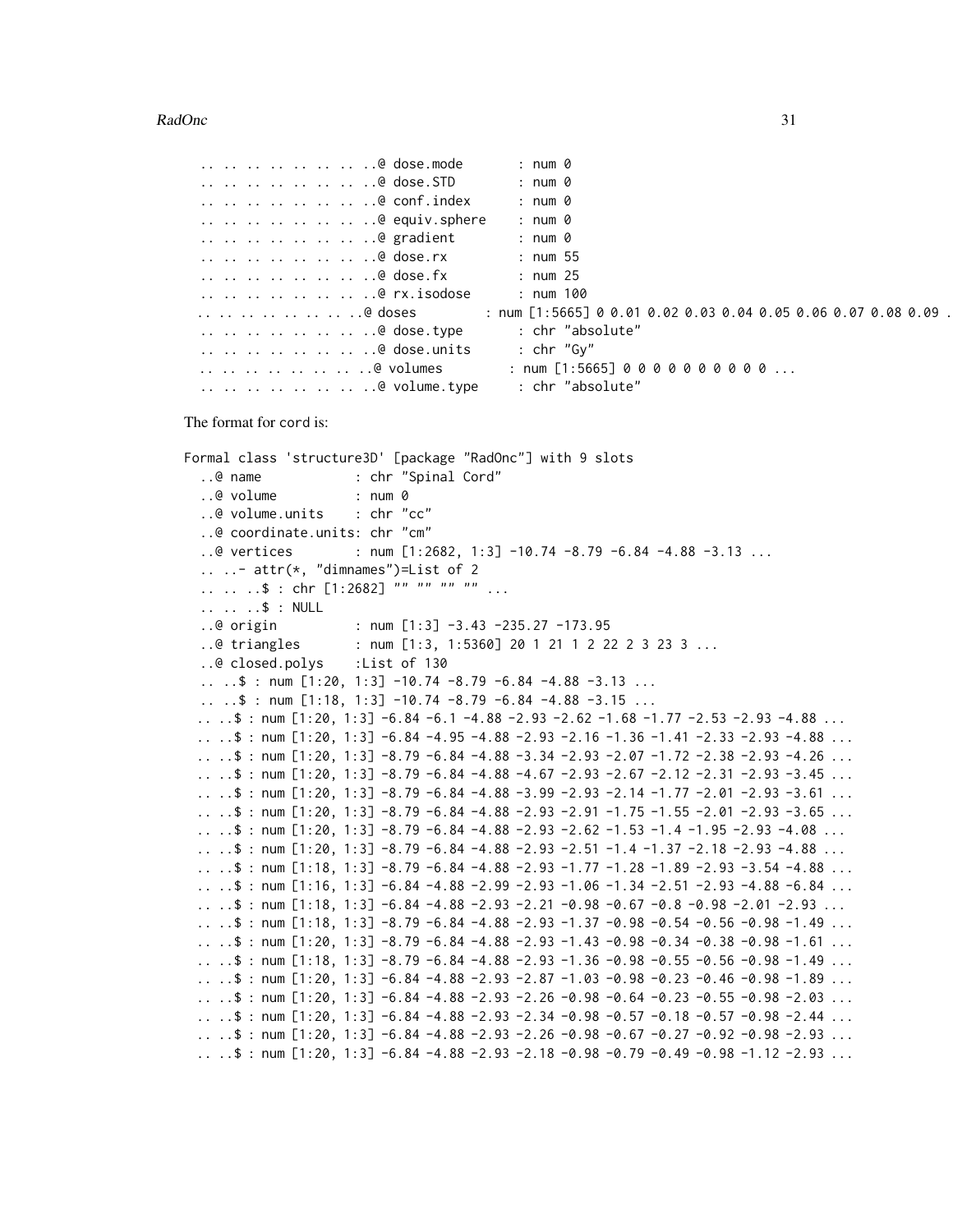#### $RadOne$  31

```
.. .. .. .. .. .. .. ..@ dose.mode : num 0
.. .. .. .. .. .. .. ..@ dose.STD : num 0
.. .. .. .. .. .. .. ..@ conf.index : num 0
.. .. .. .. .. .. .. ..@ equiv.sphere : num 0
.. .. .. .. .. .. .. .@ gradient : num 0
.. .. .. .. .. .. .. ..@ dose.rx : num 55
.. .. .. .. .. .. .. ..@ dose.fx : num 25
.. .. .. .. .. .. .. ..@ rx.isodose : num 100
\ldots.. .. .. .. .. .. @ doses : num [1:5665] 0 0.01 0.02 0.03 0.04 0.05 0.06 0.07 0.08 0.09 .
.. .. .. .. .. .. .. ..@ dose.type : chr "absolute"
.. .. .. .. .. .. .. ..@ dose.units : chr "Gy"
.. .. .. .. .. .. ..@ volumes : num [1:5665] 0 0 0 0 0 0 0 0 0 0 ...
.. .. .. .. .. .. .. ..@ volume.type : chr "absolute"
```
The format for cord is:

```
Formal class 'structure3D' [package "RadOnc"] with 9 slots
  ..@ name : chr "Spinal Cord"
  ..@ volume : num 0
  ..@ volume.units : chr "cc"
  ..@ coordinate.units: chr "cm"
  ..@ vertices : num [1:2682, 1:3] -10.74 -8.79 -6.84 -4.88 -3.13 ...
  \ldots \ldots attr(\star, "dimnames")=List of 2
  .. .. ..$ : chr [1:2682] "" "" "" "" ...
  .. .. ..$ : NULL
  ..@ origin : num [1:3] -3.43 -235.27 -173.95
  ..@ triangles : num [1:3, 1:5360] 20 1 21 1 2 22 2 3 23 3 ...
  ..@ closed.polys :List of 130
  .. ..$ : num [1:20, 1:3] -10.74 -8.79 -6.84 -4.88 -3.13 ...
  \ldots .. \frac{1}{2} : num [1:18, 1:3] -10.74 -8.79 -6.84 -4.88 -3.15 ...
 .. ..$ : num [1:20, 1:3] -6.84 -6.1 -4.88 -2.93 -2.62 -1.68 -1.77 -2.53 -2.93 -4.88 ...
 .. ..$ : num [1:20, 1:3] -6.84 -4.95 -4.88 -2.93 -2.16 -1.36 -1.41 -2.33 -2.93 -4.88 ...
 .. ..$ : num [1:20, 1:3] -8.79 -6.84 -4.88 -3.34 -2.93 -2.07 -1.72 -2.38 -2.93 -4.26 ...
 .. ..$ : num [1:20, 1:3] -8.79 -6.84 -4.88 -4.67 -2.93 -2.67 -2.12 -2.31 -2.93 -3.45 ...
 .. ..$ : num [1:20, 1:3] -8.79 -6.84 -4.88 -3.99 -2.93 -2.14 -1.77 -2.01 -2.93 -3.61 ...
 .. ..$ : num [1:20, 1:3] -8.79 -6.84 -4.88 -2.93 -2.91 -1.75 -1.55 -2.01 -2.93 -3.65 ...
 .. ..$ : num [1:20, 1:3] -8.79 -6.84 -4.88 -2.93 -2.62 -1.53 -1.4 -1.95 -2.93 -4.08 ...
 .. ..$ : num [1:20, 1:3] -8.79 -6.84 -4.88 -2.93 -2.51 -1.4 -1.37 -2.18 -2.93 -4.88 ...
 .. ..$ : num [1:18, 1:3] -8.79 -6.84 -4.88 -2.93 -1.77 -1.28 -1.89 -2.93 -3.54 -4.88 ...
 .. ..$ : num [1:16, 1:3] -6.84 -4.88 -2.99 -2.93 -1.06 -1.34 -2.51 -2.93 -4.88 -6.84 ...
 .. ..$ : num [1:18, 1:3] -6.84 -4.88 -2.93 -2.21 -0.98 -0.67 -0.8 -0.98 -2.01 -2.93 ...
 .. ..$ : num [1:18, 1:3] -8.79 -6.84 -4.88 -2.93 -1.37 -0.98 -0.54 -0.56 -0.98 -1.49 ...
 .. ..$ : num [1:20, 1:3] -8.79 -6.84 -4.88 -2.93 -1.43 -0.98 -0.34 -0.38 -0.98 -1.61 ...
 .. ..$ : num [1:18, 1:3] -8.79 -6.84 -4.88 -2.93 -1.36 -0.98 -0.55 -0.56 -0.98 -1.49 ...
 .. ..$ : num [1:20, 1:3] -6.84 -4.88 -2.93 -2.87 -1.03 -0.98 -0.23 -0.46 -0.98 -1.89 ...
 ....$: num [1:20, 1:3] -6.84 -4.88 -2.93 -2.26 -0.98 -0.64 -0.23 -0.55 -0.98 -2.03 ...
 .. ..$ : num [1:20, 1:3] -6.84 -4.88 -2.93 -2.34 -0.98 -0.57 -0.18 -0.57 -0.98 -2.44 ...
 .. ..$ : num [1:20, 1:3] -6.84 -4.88 -2.93 -2.26 -0.98 -0.67 -0.27 -0.92 -0.98 -2.93 ...
 .. ..$ : num [1:20, 1:3] -6.84 -4.88 -2.93 -2.18 -0.98 -0.79 -0.49 -0.98 -1.12 -2.93 ...
```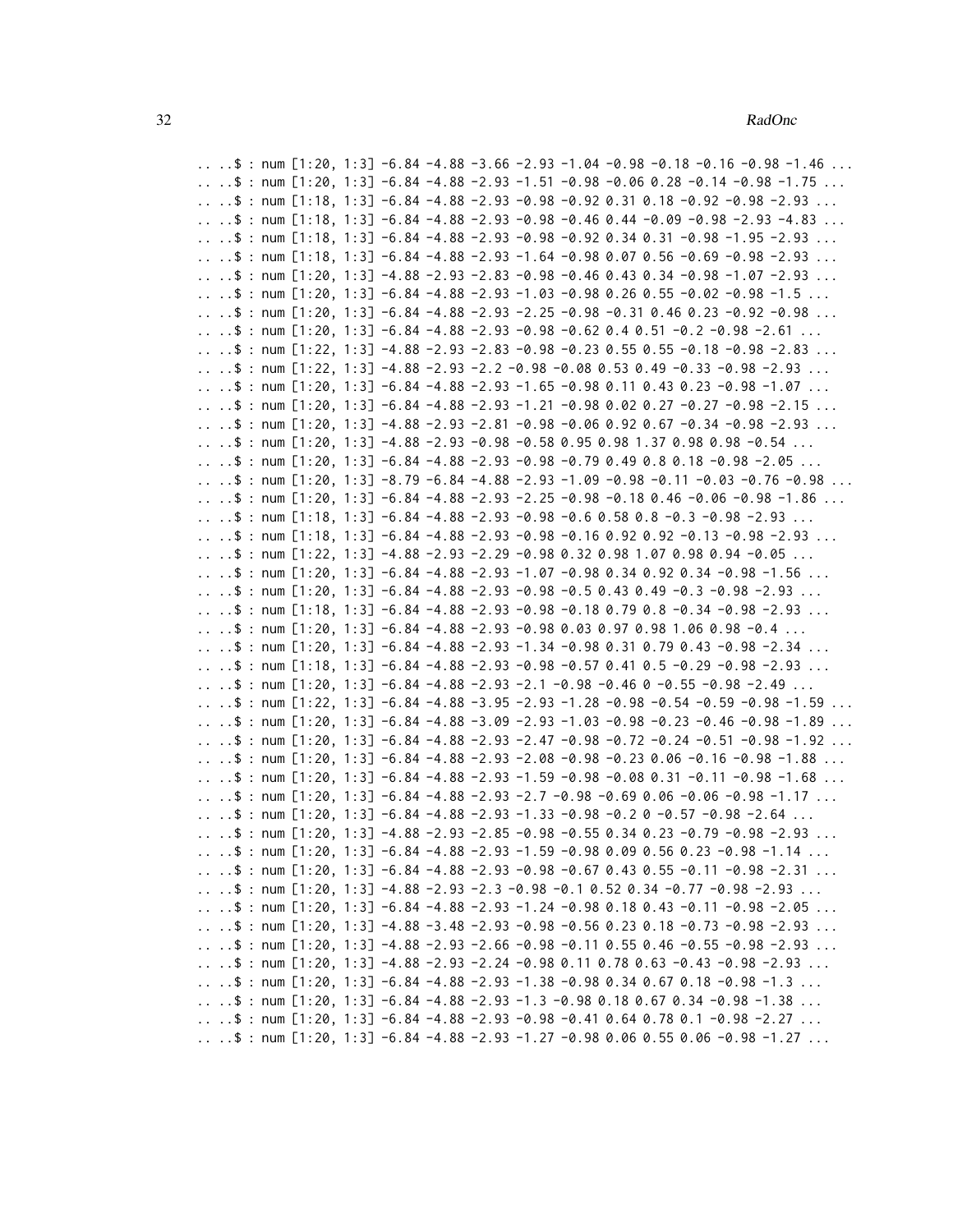.. ..\$ : num  $[1:20, 1:3]$  -6.84 -4.88 -3.66 -2.93 -1.04 -0.98 -0.18 -0.16 -0.98 -1.46 ... .. ..\$ : num  $[1:20, 1:3]$  -6.84 -4.88 -2.93 -1.51 -0.98 -0.06 0.28 -0.14 -0.98 -1.75 ... ..  $\therefore$  \$ : num [1:18, 1:3] -6.84 -4.88 -2.93 -0.98 -0.92 0.31 0.18 -0.92 -0.98 -2.93 ... .. ..\$ : num  $[1:18, 1:3]$  -6.84 -4.88 -2.93 -0.98 -0.46 0.44 -0.09 -0.98 -2.93 -4.83 ... .. ..\$ : num [1:18, 1:3] -6.84 -4.88 -2.93 -0.98 -0.92 0.34 0.31 -0.98 -1.95 -2.93 ... .. ..\$ : num [1:18, 1:3] -6.84 -4.88 -2.93 -1.64 -0.98 0.07 0.56 -0.69 -0.98 -2.93 ... .. ..\$ : num  $[1:20, 1:3]$  -4.88 -2.93 -2.83 -0.98 -0.46 0.43 0.34 -0.98 -1.07 -2.93 ... ..  $\therefore$  \$ : num [1:20, 1:3] -6.84 -4.88 -2.93 -1.03 -0.98 0.26 0.55 -0.02 -0.98 -1.5 ... .. ..\$ : num  $[1:20, 1:3]$  -6.84 -4.88 -2.93 -2.25 -0.98 -0.31 0.46 0.23 -0.92 -0.98 ... .. ..\$ : num  $[1:20, 1:3]$  -6.84 -4.88 -2.93 -0.98 -0.62 0.4 0.51 -0.2 -0.98 -2.61 ... .. ..\$ : num [1:22, 1:3] -4.88 -2.93 -2.83 -0.98 -0.23 0.55 0.55 -0.18 -0.98 -2.83 ... .. ..\$ : num  $[1:22, 1:3]$  -4.88 -2.93 -2.2 -0.98 -0.08 0.53 0.49 -0.33 -0.98 -2.93 ... .. ..\$ : num  $[1:20, 1:3]$  -6.84 -4.88 -2.93 -1.65 -0.98 0.11 0.43 0.23 -0.98 -1.07 ... .. ..\$ : num [1:20, 1:3] -6.84 -4.88 -2.93 -1.21 -0.98 0.02 0.27 -0.27 -0.98 -2.15 ... .. ..\$ : num [1:20, 1:3] -4.88 -2.93 -2.81 -0.98 -0.06 0.92 0.67 -0.34 -0.98 -2.93 ... .. ..\$ : num [1:20, 1:3]  $-4.88 - 2.93 - 0.98 - 0.58$  0.98 0.98 1.37 0.98 0.98  $-0.54$  ... .. ..\$ : num [1:20, 1:3] -6.84 -4.88 -2.93 -0.98 -0.79 0.49 0.8 0.18 -0.98 -2.05 ... .. ..\$ : num  $[1:20, 1:3]$  -8.79 -6.84 -4.88 -2.93 -1.09 -0.98 -0.11 -0.03 -0.76 -0.98 ... .. ..\$ : num  $[1:20, 1:3]$  -6.84 -4.88 -2.93 -2.25 -0.98 -0.18 0.46 -0.06 -0.98 -1.86 ... .. ..\$ : num  $[1:18, 1:3]$  -6.84 -4.88 -2.93 -0.98 -0.6 0.58 0.8 -0.3 -0.98 -2.93 ... .. ..\$ : num [1:18, 1:3] -6.84 -4.88 -2.93 -0.98 -0.16 0.92 0.92 -0.13 -0.98 -2.93 ...  $\ldots$  .\$ : num [1:22, 1:3] -4.88 -2.93 -2.29 -0.98 0.32 0.98 1.07 0.98 0.94 -0.05  $\ldots$ .. ..\$ : num [1:20, 1:3] -6.84 -4.88 -2.93 -1.07 -0.98 0.34 0.92 0.34 -0.98 -1.56 ... .. ..\$ : num [1:20, 1:3] -6.84 -4.88 -2.93 -0.98 -0.5 0.43 0.49 -0.3 -0.98 -2.93 ... .. ..\$ : num  $[1:18, 1:3]$  -6.84 -4.88 -2.93 -0.98 -0.18 0.79 0.8 -0.34 -0.98 -2.93 ...  $\ldots$  .\$ : num [1:20, 1:3] -6.84 -4.88 -2.93 -0.98 0.03 0.97 0.98 1.06 0.98 -0.4  $\ldots$ .. ..\$ : num [1:20, 1:3] -6.84 -4.88 -2.93 -1.34 -0.98 0.31 0.79 0.43 -0.98 -2.34 ... .. ..\$ : num [1:18, 1:3] -6.84 -4.88 -2.93 -0.98 -0.57 0.41 0.5 -0.29 -0.98 -2.93 ... .. ..\$ : num  $[1:20, 1:3]$  -6.84 -4.88 -2.93 -2.1 -0.98 -0.46 0 -0.55 -0.98 -2.49 ... .. ..\$ : num [1:22, 1:3] -6.84 -4.88 -3.95 -2.93 -1.28 -0.98 -0.54 -0.59 -0.98 -1.59 ... .. ..\$ : num [1:20, 1:3] -6.84 -4.88 -3.09 -2.93 -1.03 -0.98 -0.23 -0.46 -0.98 -1.89 ... .. ..\$ : num [1:20, 1:3] -6.84 -4.88 -2.93 -2.47 -0.98 -0.72 -0.24 -0.51 -0.98 -1.92 ... .. ..\$ : num  $[1:20, 1:3]$  -6.84 -4.88 -2.93 -2.08 -0.98 -0.23 0.06 -0.16 -0.98 -1.88 ... .. ..\$ : num  $[1:20, 1:3]$  -6.84 -4.88 -2.93 -1.59 -0.98 -0.08 0.31 -0.11 -0.98 -1.68 ... .. ..\$ : num  $[1:20, 1:3]$  -6.84 -4.88 -2.93 -2.7 -0.98 -0.69 0.06 -0.06 -0.98 -1.17 ... .. ..\$ : num  $[1:20, 1:3]$  -6.84 -4.88 -2.93 -1.33 -0.98 -0.2 0 -0.57 -0.98 -2.64 ... ....\$: num  $[1:20, 1:3]$  -4.88 -2.93 -2.85 -0.98 -0.55 0.34 0.23 -0.79 -0.98 -2.93 ... .. ..\$ : num  $[1:20, 1:3]$  -6.84 -4.88 -2.93 -1.59 -0.98 0.09 0.56 0.23 -0.98 -1.14 ... .. ..\$ : num  $[1:20, 1:3]$  -6.84 -4.88 -2.93 -0.98 -0.67 0.43 0.55 -0.11 -0.98 -2.31 ... .. ..\$ : num  $[1:20, 1:3]$  -4.88 -2.93 -2.3 -0.98 -0.1 0.52 0.34 -0.77 -0.98 -2.93 ... .. ..\$ : num  $[1:20, 1:3]$  -6.84 -4.88 -2.93 -1.24 -0.98 0.18 0.43 -0.11 -0.98 -2.05 ... ..  $\therefore$  \$ : num [1:20, 1:3] -4.88 -3.48 -2.93 -0.98 -0.56 0.23 0.18 -0.73 -0.98 -2.93 ... .. ..\$ : num [1:20, 1:3] -4.88 -2.93 -2.66 -0.98 -0.11 0.55 0.46 -0.55 -0.98 -2.93 ... .. ..\$ : num  $[1:20, 1:3]$  -4.88 -2.93 -2.24 -0.98 0.11 0.78 0.63 -0.43 -0.98 -2.93 ... .. ..\$ : num [1:20, 1:3] -6.84 -4.88 -2.93 -1.38 -0.98 0.34 0.67 0.18 -0.98 -1.3 ... .. ..\$ : num  $[1:20, 1:3]$  -6.84 -4.88 -2.93 -1.3 -0.98 0.18 0.67 0.34 -0.98 -1.38 ... .. ..\$ : num [1:20, 1:3] -6.84 -4.88 -2.93 -0.98 -0.41 0.64 0.78 0.1 -0.98 -2.27 ... ..  $\ldots$  : num [1:20, 1:3] -6.84 -4.88 -2.93 -1.27 -0.98 0.06 0.55 0.06 -0.98 -1.27 ...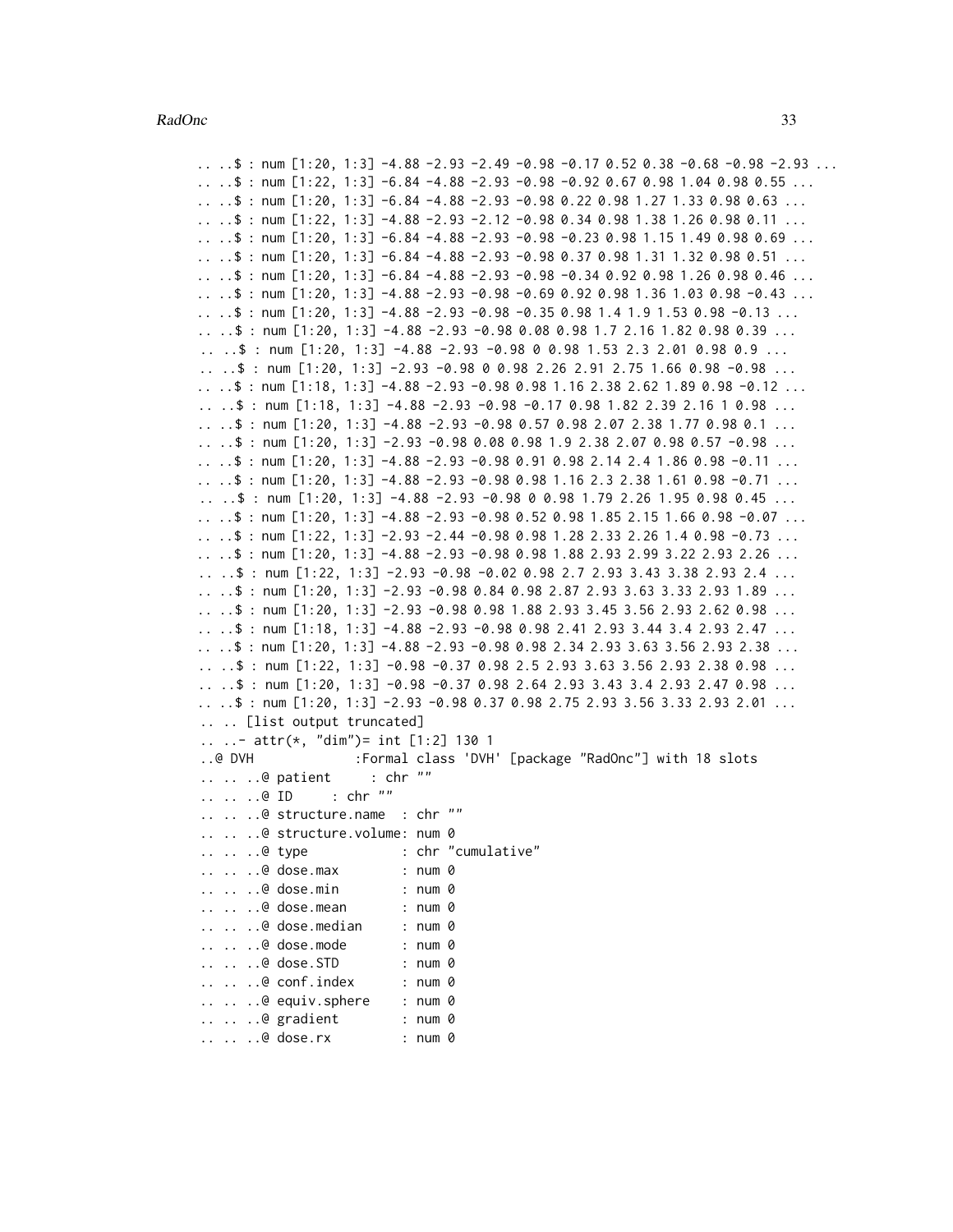..  $\therefore$  \$ : num [1:20, 1:3] -4.88 -2.93 -2.49 -0.98 -0.17 0.52 0.38 -0.68 -0.98 -2.93 ... ..  $\therefore$  \$ : num [1:22, 1:3] -6.84 -4.88 -2.93 -0.98 -0.92 0.67 0.98 1.04 0.98 0.55 ... ..  $\therefore$  \$ : num [1:20, 1:3] -6.84 -4.88 -2.93 -0.98 0.22 0.98 1.27 1.33 0.98 0.63 ... ..  $\ldots$  : num [1:22, 1:3] -4.88 -2.93 -2.12 -0.98 0.34 0.98 1.38 1.26 0.98 0.11 ... .. ..\$ : num [1:20, 1:3] -6.84 -4.88 -2.93 -0.98 -0.23 0.98 1.15 1.49 0.98 0.69 ... .. ..\$ : num [1:20, 1:3] -6.84 -4.88 -2.93 -0.98 0.37 0.98 1.31 1.32 0.98 0.51 ... ..  $\therefore$  \$ : num [1:20, 1:3] -6.84 -4.88 -2.93 -0.98 -0.34 0.92 0.98 1.26 0.98 0.46 ...  $\ldots$  .\$ : num [1:20, 1:3] -4.88 -2.93 -0.98 -0.69 0.92 0.98 1.36 1.03 0.98 -0.43  $\ldots$ .. ..\$ : num [1:20, 1:3]  $-4.88 - 2.93 - 0.98 - 0.35$  0.98 1.4 1.9 1.53 0.98  $-0.13$  ... .. ..\$ : num [1:20, 1:3] -4.88 -2.93 -0.98 0.08 0.98 1.7 2.16 1.82 0.98 0.39 ... ..  $\therefore$  \$ : num [1:20, 1:3] -4.88 -2.93 -0.98 0 0.98 1.53 2.3 2.01 0.98 0.9 ... .. ..\$ : num [1:20, 1:3] -2.93 -0.98 0 0.98 2.26 2.91 2.75 1.66 0.98 -0.98 ... ..  $\therefore$  \$ : num [1:18, 1:3] -4.88 -2.93 -0.98 0.98 1.16 2.38 2.62 1.89 0.98 -0.12 ... .. ..\$ : num [1:18, 1:3] -4.88 -2.93 -0.98 -0.17 0.98 1.82 2.39 2.16 1 0.98 ... .. ..\$ : num [1:20, 1:3] -4.88 -2.93 -0.98 0.57 0.98 2.07 2.38 1.77 0.98 0.1 ...  $\ldots$  .\$ : num [1:20, 1:3] -2.93 -0.98 0.08 0.98 1.9 2.38 2.07 0.98 0.57 -0.98  $\ldots$ .. ..\$ : num [1:20, 1:3] -4.88 -2.93 -0.98 0.91 0.98 2.14 2.4 1.86 0.98 -0.11 ... ..  $\therefore$  \$ : num [1:20, 1:3] -4.88 -2.93 -0.98 0.98 1.16 2.3 2.38 1.61 0.98 -0.71 ... ..  $\therefore$  \$ : num [1:20, 1:3] -4.88 -2.93 -0.98 0 0.98 1.79 2.26 1.95 0.98 0.45 ...  $\ldots$  .\$ : num [1:20, 1:3] -4.88 -2.93 -0.98 0.52 0.98 1.85 2.15 1.66 0.98 -0.07  $\ldots$ .. ..\$ : num [1:22, 1:3] -2.93 -2.44 -0.98 0.98 1.28 2.33 2.26 1.4 0.98 -0.73 ... ..  $\therefore$  \$ : num [1:20, 1:3] -4.88 -2.93 -0.98 0.98 1.88 2.93 2.99 3.22 2.93 2.26 ... .. ..\$ : num [1:22, 1:3] -2.93 -0.98 -0.02 0.98 2.7 2.93 3.43 3.38 2.93 2.4 ... .. ..\$ : num [1:20, 1:3] -2.93 -0.98 0.84 0.98 2.87 2.93 3.63 3.33 2.93 1.89 ... ...\$: num  $[1:20, 1:3]$  -2.93 -0.98 0.98 1.88 2.93 3.45 3.56 2.93 2.62 0.98 ... ..  $\ldots$  : num [1:18, 1:3] -4.88 -2.93 -0.98 0.98 2.41 2.93 3.44 3.4 2.93 2.47 ... .. ..\$ : num [1:20, 1:3] -4.88 -2.93 -0.98 0.98 2.34 2.93 3.63 3.56 2.93 2.38 ... .. ..\$ : num [1:22, 1:3] -0.98 -0.37 0.98 2.5 2.93 3.63 3.56 2.93 2.38 0.98 ... .. ..\$ : num [1:20, 1:3] -0.98 -0.37 0.98 2.64 2.93 3.43 3.4 2.93 2.47 0.98 ... .. ..\$ : num [1:20, 1:3] -2.93 -0.98 0.37 0.98 2.75 2.93 3.56 3.33 2.93 2.01 ... .. .. [list output truncated] .. ..- attr(\*, "dim")= int [1:2] 130 1 ..@ DVH :Formal class 'DVH' [package "RadOnc"] with 18 slots .. .. ..@ patient : chr ""<br>.. .. ..@ ID : chr ""  $\ldots$   $\ldots$   $\oplus$  ID .. .. ..@ structure.name : chr "" .. .. ..@ structure.volume: num 0 .. .. ..@ type : chr "cumulative" .. .. ..@ dose.max : num 0 .. .. ..@ dose.min : num 0 .. .. ..@ dose.mean : num 0 .. .. ..@ dose.median : num 0 .. .. ..@ dose.mode : num 0 .. .. ..@ dose.STD : num 0 .. .. ..@ conf.index : num 0 .. .. ..@ equiv.sphere : num 0 .. .. ..@ gradient : num 0 .. .. ..@ dose.rx : num 0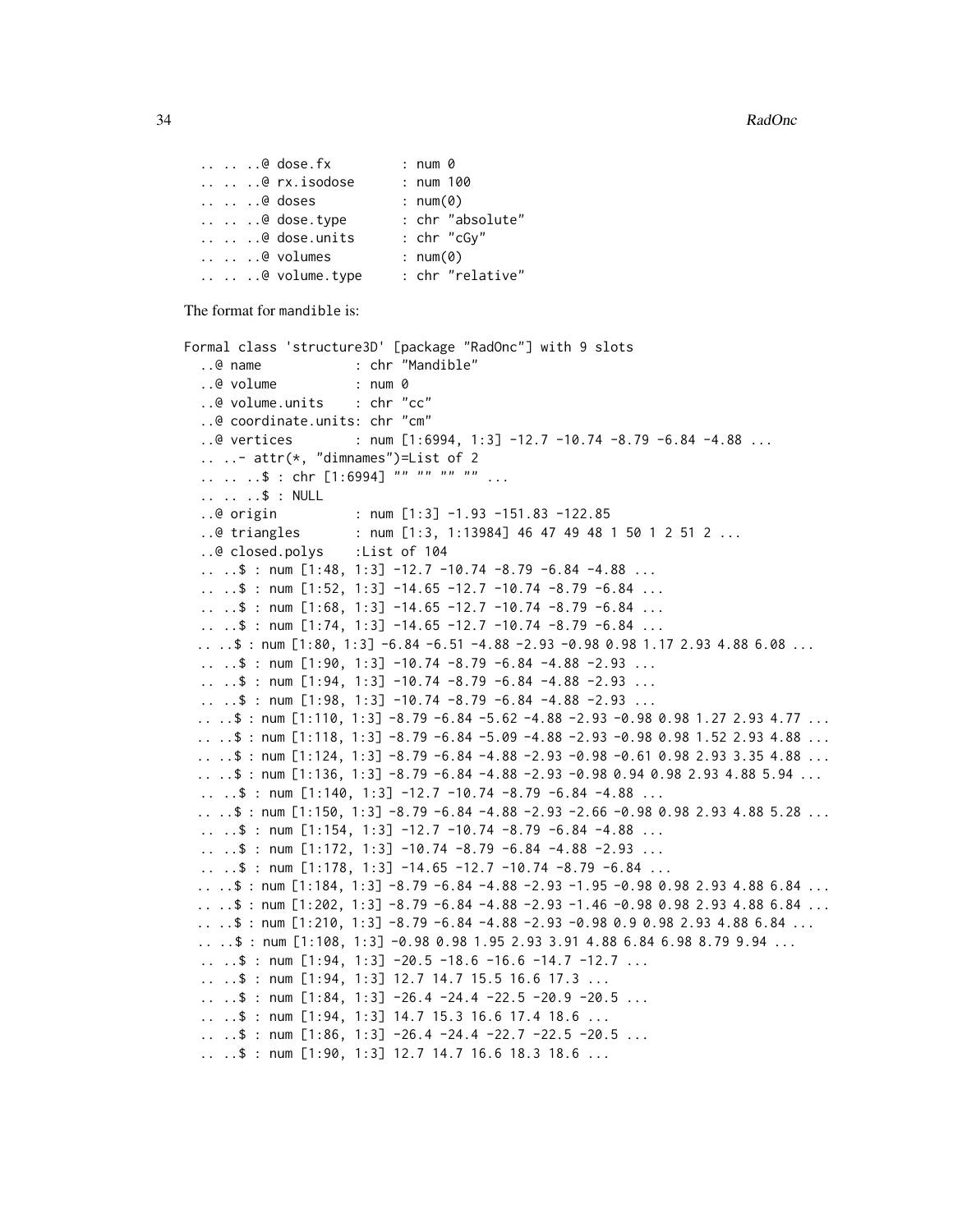```
.. .. ..@ dose.fx : num 0
.. .. ..@ rx.isodose : num 100
.. .. ..@ doses             : num(0)<br>.. .. ..@ dose.type         : chr "absolute"
\ldots \ldots \ldots dose.type
.. .. ..@ dose.units : chr "cGy"
.. .. ..@ volumes : num(0)
.. .. ..@ volume.type : chr "relative"
```
The format for mandible is:

```
Formal class 'structure3D' [package "RadOnc"] with 9 slots
  ..@ name : chr "Mandible"
  ..@ volume : num 0
  ..@ volume.units : chr "cc"
  ..@ coordinate.units: chr "cm"
  ..@ vertices : num [1:6994, 1:3] -12.7 -10.74 -8.79 -6.84 -4.88 ...
  \ldots \ldots attr(\star, "dimnames")=List of 2
  .. .. ..$ : chr [1:6994] "" "" "" ...
  .. .. ..$ : NULL
  ..@ origin : num [1:3] -1.93 -151.83 -122.85
  ..@ triangles : num [1:3, 1:13984] 46 47 49 48 1 50 1 2 51 2 ...
  ..@ closed.polys :List of 104
  \ldots .$ : num [1:48, 1:3] -12.7 -10.74 -8.79 -6.84 -4.88 ...
  .. ..$ : num [1:52, 1:3] -14.65 -12.7 -10.74 -8.79 -6.84 ...
  .. ..$ : num [1:68, 1:3] -14.65 -12.7 -10.74 -8.79 -6.84 ...
  \ldots \ldots $ : num [1:74, 1:3] -14.65 -12.7 -10.74 -8.79 -6.84 \ldots\ldots .$ : num [1:80, 1:3] -6.84 -6.51 -4.88 -2.93 -0.98 0.98 1.17 2.93 4.88 6.08 \ldots\ldots \therefore $ : num [1:90, 1:3] -10.74 -8.79 -6.84 -4.88 -2.93 ...
  \ldots .$ : num [1:94, 1:3] -10.74 -8.79 -6.84 -4.88 -2.93 ...
  \ldots .$ : num [1:98, 1:3] -10.74 -8.79 -6.84 -4.88 -2.93 ...
 .. ..$ : num [1:110, 1:3] -8.79 -6.84 -5.62 -4.88 -2.93 -0.98 0.98 1.27 2.93 4.77 ...
 .. ..$ : num [1:118, 1:3] -8.79 -6.84 -5.09 -4.88 -2.93 -0.98 0.98 1.52 2.93 4.88 ...
 .. ..$ : num [1:124, 1:3] -8.79 -6.84 -4.88 -2.93 -0.98 -0.61 0.98 2.93 3.35 4.88 ...
 .. \therefore $ : num [1:136, 1:3] -8.79 -6.84 -4.88 -2.93 -0.98 0.94 0.98 2.93 4.88 5.94 ...
  \ldots .$ : num [1:140, 1:3] -12.7 -10.74 -8.79 -6.84 -4.88 ...
 .. ..$ : num [1:150, 1:3] -8.79 -6.84 -4.88 -2.93 -2.66 -0.98 0.98 2.93 4.88 5.28 ...
  \ldots ..$ : num [1:154, 1:3] -12.7 -10.74 -8.79 -6.84 -4.88 ...
  \ldots ..$ : num [1:172, 1:3] -10.74 -8.79 -6.84 -4.88 -2.93 \ldots.. ..$ : num [1:178, 1:3] -14.65 -12.7 -10.74 -8.79 -6.84 ...
 .. ..$ : num [1:184, 1:3] -8.79 -6.84 -4.88 -2.93 -1.95 -0.98 0.98 2.93 4.88 6.84 ...
 .. ..$ : num [1:202, 1:3] -8.79 -6.84 -4.88 -2.93 -1.46 -0.98 0.98 2.93 4.88 6.84 ...
 .. \ldots : \frac{1}{2} : num [1:210, 1:3] -8.79 -6.84 -4.88 -2.93 -0.98 0.9 0.98 2.93 4.88 6.84 ...
 .. ..$ : num [1:108, 1:3] -0.98 0.98 1.95 2.93 3.91 4.88 6.84 6.98 8.79 9.94 ...
  \ldots \ldots $ : num [1:94, 1:3] -20.5 -18.6 -16.6 -14.7 -12.7 ...
  .. ..$ : num [1:94, 1:3] 12.7 14.7 15.5 16.6 17.3 ...
  \ldots \ldots $ : num [1:84, 1:3] -26.4 -24.4 -22.5 -20.9 -20.5 ...
  .. ..$ : num [1:94, 1:3] 14.7 15.3 16.6 17.4 18.6 ...
  .. \ldots $ : num [1:86, 1:3] -26.4 -24.4 -22.7 -22.5 -20.5 ...
  .. ..$ : num [1:90, 1:3] 12.7 14.7 16.6 18.3 18.6 ...
```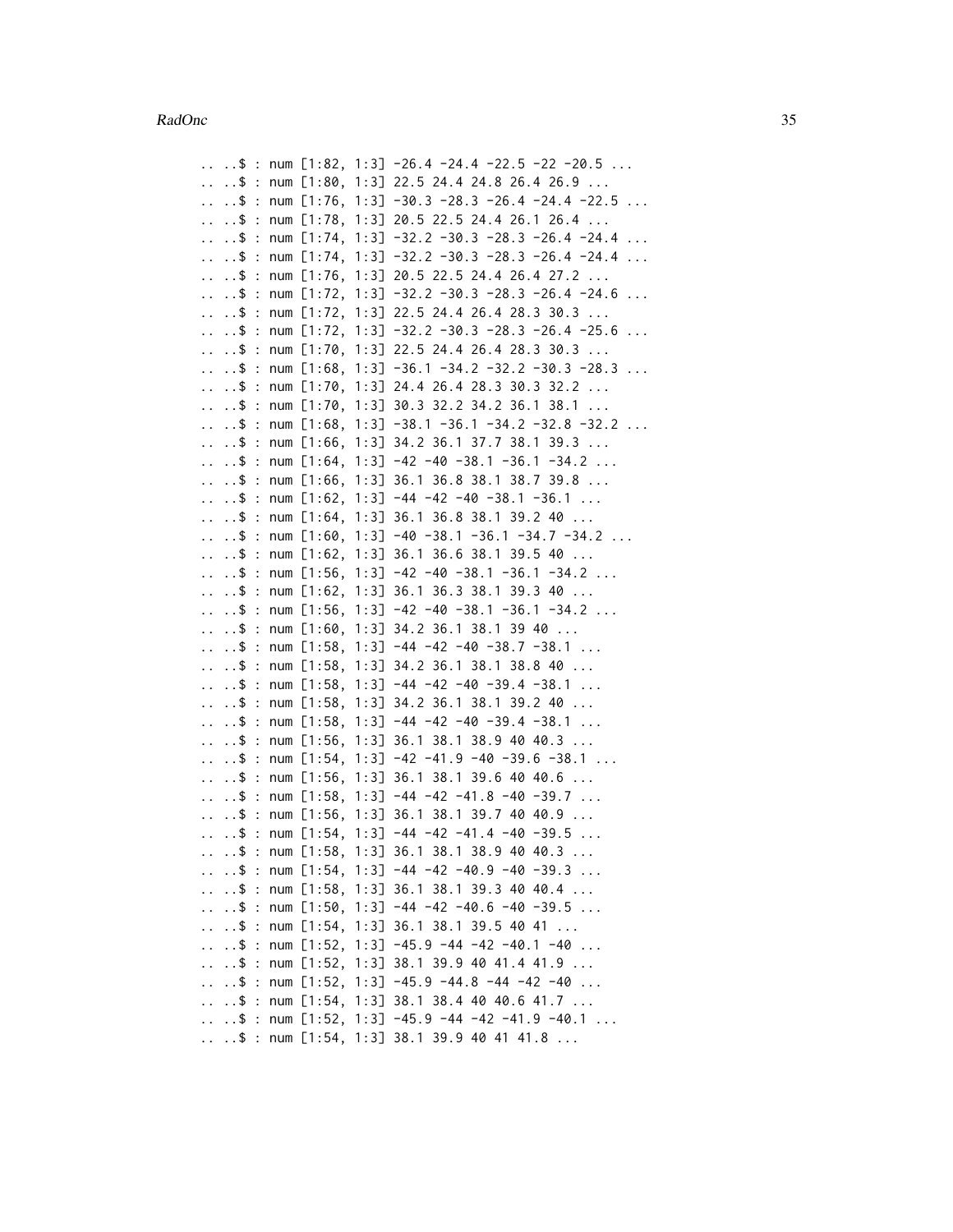$\ldots$   $\ldots$  \$ : num [1:82, 1:3] -26.4 -24.4 -22.5 -22 -20.5 ... .. ..\$ : num [1:80, 1:3] 22.5 24.4 24.8 26.4 26.9 ...  $\ldots$   $\ldots$  \$ : num [1:76, 1:3] -30.3 -28.3 -26.4 -24.4 -22.5 ... .. ..\$ : num [1:78, 1:3] 20.5 22.5 24.4 26.1 26.4 ... .. ..\$ : num [1:74, 1:3] -32.2 -30.3 -28.3 -26.4 -24.4 ...  $\ldots$   $\ldots$  \$ : num [1:74, 1:3] -32.2 -30.3 -28.3 -26.4 -24.4  $\ldots$ .. ..\$ : num [1:76, 1:3] 20.5 22.5 24.4 26.4 27.2 ... .. ..\$ : num [1:72, 1:3] -32.2 -30.3 -28.3 -26.4 -24.6 ... .. ..\$ : num [1:72, 1:3] 22.5 24.4 26.4 28.3 30.3 ... .. ..\$ : num [1:72, 1:3] -32.2 -30.3 -28.3 -26.4 -25.6 ... .. ..\$ : num [1:70, 1:3] 22.5 24.4 26.4 28.3 30.3 ...  $\ldots$   $\ldots$  \$ : num [1:68, 1:3] -36.1 -34.2 -32.2 -30.3 -28.3  $\ldots$ .. ..\$ : num [1:70, 1:3] 24.4 26.4 28.3 30.3 32.2 ... .. ..\$ : num [1:70, 1:3] 30.3 32.2 34.2 36.1 38.1 ... .. ..\$ : num [1:68, 1:3] -38.1 -36.1 -34.2 -32.8 -32.2 ... .. ..\$ : num [1:66, 1:3] 34.2 36.1 37.7 38.1 39.3 ... .. ..\$ : num [1:64, 1:3] -42 -40 -38.1 -36.1 -34.2 ... .. ..\$ : num [1:66, 1:3] 36.1 36.8 38.1 38.7 39.8 ... ..  $\ldots$  : num [1:62, 1:3] -44 -42 -40 -38.1 -36.1 ...  $\ldots$   $\ldots$  \$ : num [1:64, 1:3] 36.1 36.8 38.1 39.2 40  $\ldots$  $\ldots$  .\$ : num [1:60, 1:3] -40 -38.1 -36.1 -34.7 -34.2 ... .. ..\$ : num [1:62, 1:3] 36.1 36.6 38.1 39.5 40 ... ..  $\therefore$  \$ : num [1:56, 1:3] -42 -40 -38.1 -36.1 -34.2 ... .. ..\$ : num [1:62, 1:3] 36.1 36.3 38.1 39.3 40 ...  $\ldots$  ..\$ : num [1:56, 1:3] -42 -40 -38.1 -36.1 -34.2 ...  $\ldots$   $\ldots$  \$ : num [1:60, 1:3] 34.2 36.1 38.1 39 40  $\ldots$ .. ..\$ : num [1:58, 1:3] -44 -42 -40 -38.7 -38.1 ... .. ..\$ : num [1:58, 1:3] 34.2 36.1 38.1 38.8 40 ...  $\ldots$  .\$ : num [1:58, 1:3] -44 -42 -40 -39.4 -38.1 ... .. ..\$ : num [1:58, 1:3] 34.2 36.1 38.1 39.2 40 ...  $\ldots$  ..  $\frac{1}{2}$  : num [1:58, 1:3] -44 -42 -40 -39.4 -38.1 ... .. ..\$ : num [1:56, 1:3] 36.1 38.1 38.9 40 40.3 ...  $\ldots$  .\$ : num [1:54, 1:3] -42 -41.9 -40 -39.6 -38.1 ... .. ..\$ : num [1:56, 1:3] 36.1 38.1 39.6 40 40.6 ...  $\ldots$  .\$ : num [1:58, 1:3] -44 -42 -41.8 -40 -39.7 ... .. ..\$ : num [1:56, 1:3] 36.1 38.1 39.7 40 40.9 ...  $\ldots$   $\ldots$  \$ : num [1:54, 1:3] -44 -42 -41.4 -40 -39.5  $\ldots$ .. ..\$ : num [1:58, 1:3] 36.1 38.1 38.9 40 40.3 ...  $\ldots$   $\ldots$  \$ : num [1:54, 1:3] -44 -42 -40.9 -40 -39.3 ... .. ..\$ : num [1:58, 1:3] 36.1 38.1 39.3 40 40.4 ...  $\ldots$  .\$ : num [1:50, 1:3] -44 -42 -40.6 -40 -39.5 ...  $\ldots$   $\ldots$  \$ : num [1:54, 1:3] 36.1 38.1 39.5 40 41  $\ldots$  $\ldots$  .\$ : num [1:52, 1:3] -45.9 -44 -42 -40.1 -40 ... .. ..\$ : num [1:52, 1:3] 38.1 39.9 40 41.4 41.9 ... .. ..\$ : num  $[1:52, 1:3]$  -45.9 -44.8 -44 -42 -40 ... .. ..\$ : num [1:54, 1:3] 38.1 38.4 40 40.6 41.7 ...  $\ldots$  .\$ : num [1:52, 1:3] -45.9 -44 -42 -41.9 -40.1 ... .. ..\$ : num [1:54, 1:3] 38.1 39.9 40 41 41.8 ...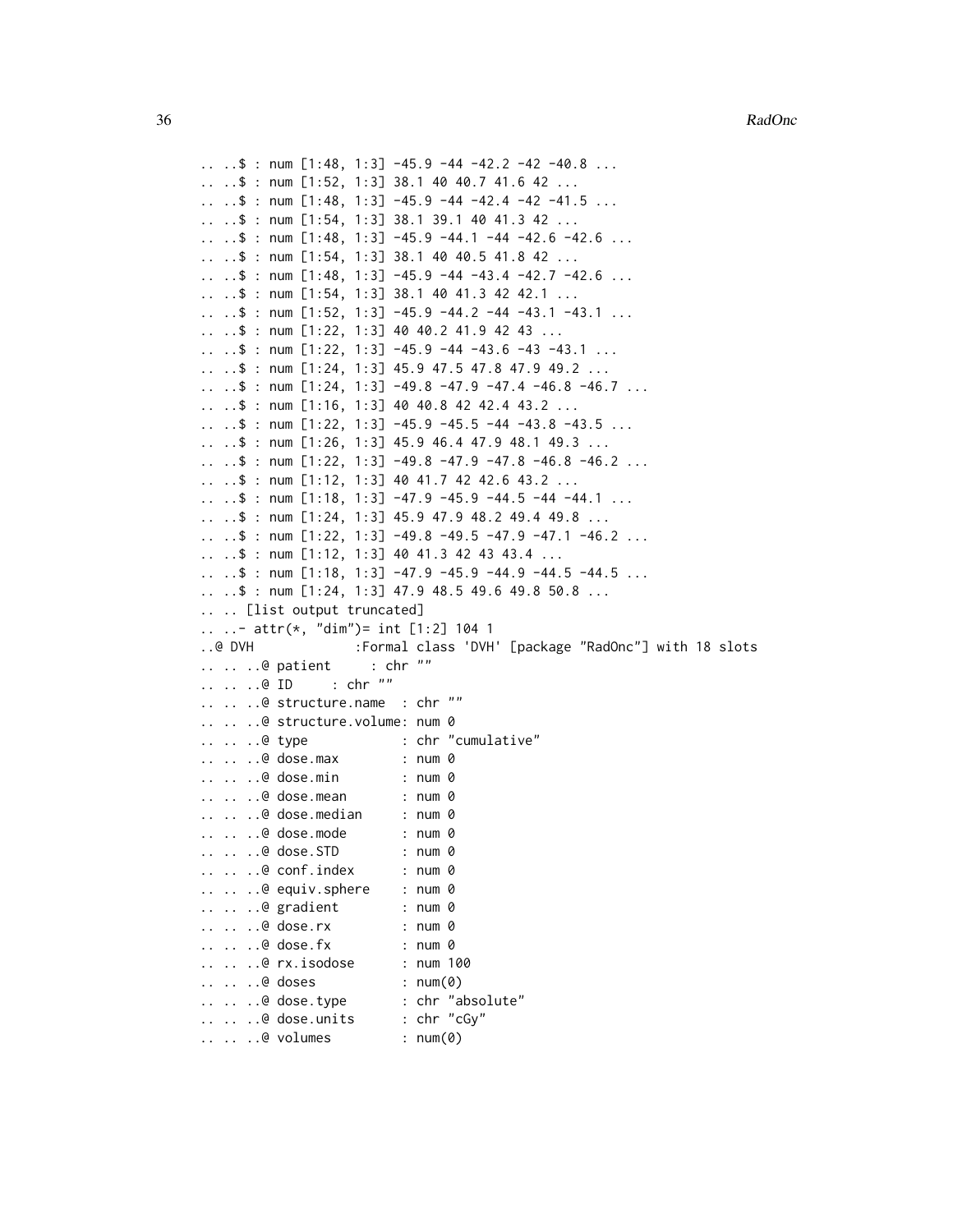```
\ldots .$ : num [1:48, 1:3] -45.9 -44 -42.2 -42 -40.8 ...
.. ..$ : num [1:52, 1:3] 38.1 40 40.7 41.6 42 ...
\ldots \ldots \frac{1}{2} : num [1:48, 1:3] -45.9 -44 -42.4 -42 -41.5 ...
.. ..$ : num [1:54, 1:3] 38.1 39.1 40 41.3 42 ...
.. \ldots $ : num [1:48, 1:3] -45.9 -44.1 -44 -42.6 -42.6 ...
.. ..$ : num [1:54, 1:3] 38.1 40 40.5 41.8 42 ...
.. \therefore $ : num [1:48, 1:3] -45.9 -44 -43.4 -42.7 -42.6 ...
.. ..$ : num [1:54, 1:3] 38.1 40 41.3 42 42.1 ...
.. \ldots $ : num [1:52, 1:3] -45.9 -44.2 -44 -43.1 -43.1 ...
.. ..$ : num [1:22, 1:3] 40 40.2 41.9 42 43 ...
\ldots \ldots $ : num [1:22, 1:3] -45.9 -44 -43.6 -43 -43.1 \ldots.. ..$ : num [1:24, 1:3] 45.9 47.5 47.8 47.9 49.2 ...
.. ..$ : num [1:24, 1:3] -49.8 -47.9 -47.4 -46.8 -46.7 ...
\ldots \ldots \frac{1}{2} : num [1:16, 1:3] 40 40.8 42 42.4 43.2 ...
.. \ldots $ : num [1:22, 1:3] -45.9 -45.5 -44 -43.8 -43.5 ...
.. ..$ : num [1:26, 1:3] 45.9 46.4 47.9 48.1 49.3 ...
.. ..$ : num [1:22, 1:3] -49.8 -47.9 -47.8 -46.8 -46.2 ...
.. ..$ : num [1:12, 1:3] 40 41.7 42 42.6 43.2 ...
\ldots \ldots $ : num [1:18, 1:3] -47.9 -45.9 -44.5 -44 -44.1 \ldots\ldots \ldots $ : num [1:24, 1:3] 45.9 47.9 48.2 49.4 49.8 ...
.. ..$ : num [1:22, 1:3] -49.8 -49.5 -47.9 -47.1 -46.2 ...
.. ..$ : num [1:12, 1:3] 40 41.3 42 43 43.4 ...
.. ..$ : num [1:18, 1:3] -47.9 -45.9 -44.9 -44.5 -44.5 ...
.. ..$ : num [1:24, 1:3] 47.9 48.5 49.6 49.8 50.8 ...
.. .. [list output truncated]
.. ..- attr(*, "dim")= int [1:2] 104 1
..@ DVH :Formal class 'DVH' [package "RadOnc"] with 18 slots
\ldots \ldots .. @ patient : chr ""
.. .. ..@ ID : chr ""
.. .. ..@ structure.name : chr ""
.. .. ..@ structure.volume: num 0
.. .. ..@ type : chr "cumulative"
.. .. ..@ dose.max : num 0
.. .. ..@ dose.min : num 0
.. .. ..@ dose.mean : num 0
.. .. ..@ dose.median : num 0
.. .. ..@ dose.mode : num 0
.. .. ..@ dose.STD : num 0
.. .. ..@ conf.index : num 0
.. .. ..@ equiv.sphere : num 0
\ldots \ldots ... \theta gradient : num 0
.. .. ..@ dose.rx : num 0
.. .. ..@ dose.fx : num 0
.. .. ..@ rx.isodose : num 100
.. .. ..@ doses : num(0)
.. .. ..@ dose.type : chr "absolute"
.. .. ..@ dose.units : chr "cGy"
.. .. ..@ volumes : num(0)
```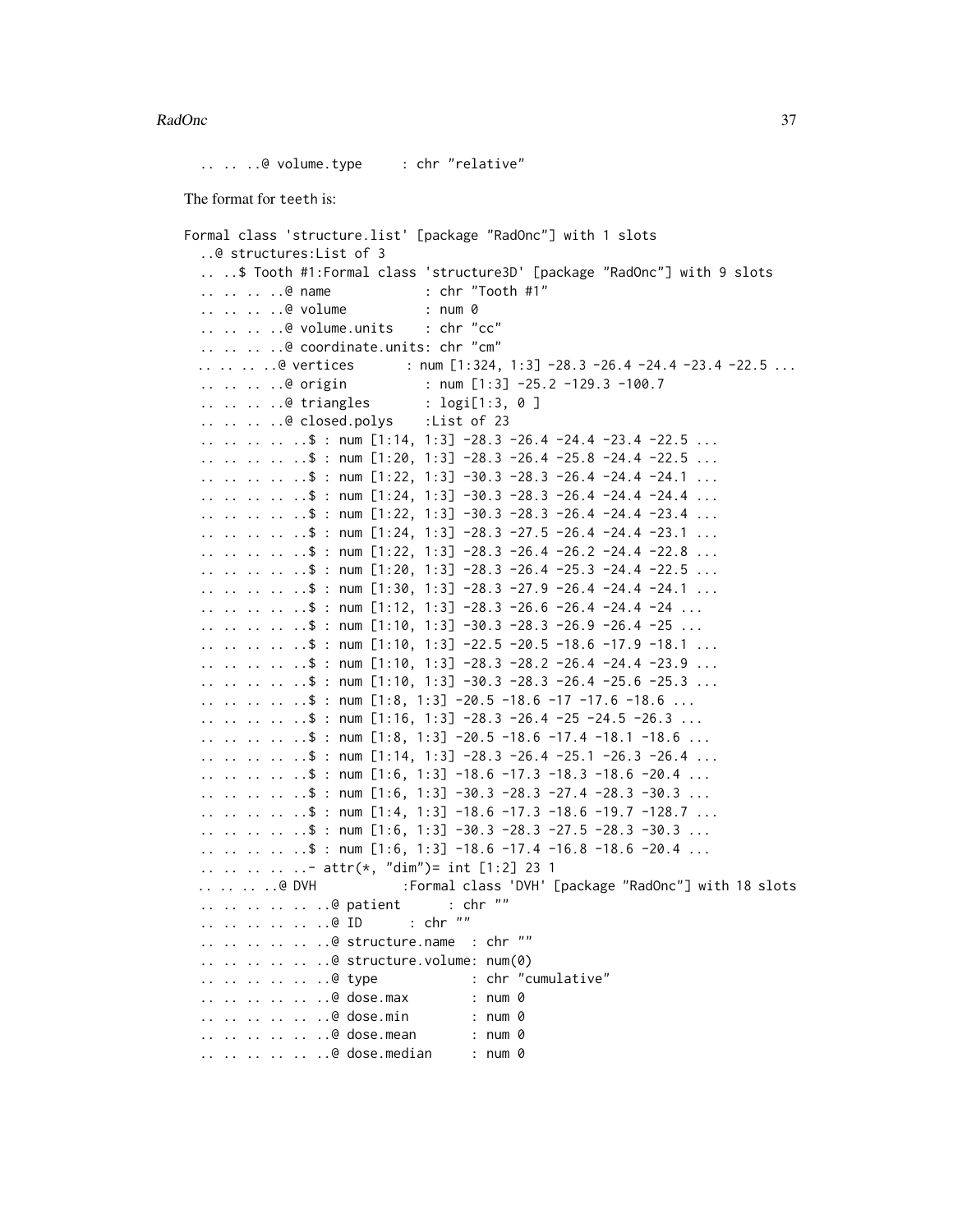.. .. ..@ volume.type : chr "relative"

The format for teeth is:

```
Formal class 'structure.list' [package "RadOnc"] with 1 slots
  ..@ structures:List of 3
  .. ..$ Tooth #1:Formal class 'structure3D' [package "RadOnc"] with 9 slots
  .. .. .. ..@ name : chr "Tooth #1"
  .. .. .. ..@ volume : num 0
  .. .. .. ..@ volume.units : chr "cc"
  .. .. .. ..@ coordinate.units: chr "cm"
 .. .. .. .. @ vertices : num [1:324, 1:3] -28.3 -26.4 -24.4 -23.4 -22.5 ...
  .. .. .. ..@ origin : num [1:3] -25.2 -129.3 -100.7
  .. .. .. ..@ triangles : logi[1:3, 0 ]
  .. .. .. ..@ closed.polys :List of 23
  \ldots \ldots \ldots \ldots$ : num [1:14, 1:3] -28.3 -26.4 -24.4 -23.4 -22.5 \ldots\ldots \ldots \ldots \ldots$ : num [1:20, 1:3] -28.3 -26.4 -25.8 -24.4 -22.5 \ldots\ldots \ldots \ldots \ldots \ddots : num [1:22, 1:3] -30.3 -28.3 -26.4 -24.4 -24.1 \ldots.. .. .. .. \text{\$ : num [1:24, 1:3] -30.3 -28.3 -26.4 -24.4 -24.4 ...}\ldots \ldots \ldots \ldots$ : num [1:22, 1:3] -30.3 -28.3 -26.4 -24.4 -23.4 \ldots\ldots \ldots \ldots \ldots$ : num [1:24, 1:3] -28.3 -27.5 -26.4 -24.4 -23.1 \ldots\ldots \ldots \ldots \ldots$ : num [1:22, 1:3] -28.3 -26.4 -26.2 -24.4 -22.8 \ldots.. .. .. .. \text{\$ : num [1:20, 1:3] -28.3 -26.4 -25.3 -24.4 -22.5 ...}\ldots \ldots \ldots \ldots \ddots : num [1:30, 1:3] -28.3 -27.9 -26.4 -24.4 -24.1 \ldots.. .. .. .. ..$ : num [1:12, 1:3] -28.3 -26.6 -26.4 -24.4 -24 ...
  \ldots \ldots \ldots \ldots \ddot{s} : num [1:10, 1:3] -30.3 -28.3 -26.9 -26.4 -25 \ldots\ldots \ldots \ldots \ldots \ddot{\text{s}} : num [1:10, 1:3] -22.5 -20.5 -18.6 -17.9 -18.1 \ldots\ldots .. .. .. \frac{1}{3} : num [1:10, 1:3] -28.3 -28.2 -26.4 -24.4 -23.9 ...
  \ldots \ldots \ldots \ldots$ : num [1:10, 1:3] -30.3 -28.3 -26.4 -25.6 -25.3 \ldots.. .. .. .. ..$ : num [1:8, 1:3] -20.5 -18.6 -17 -17.6 -18.6 ...
  \ldots \ldots \ldots \ldots$ : num [1:16, 1:3] -28.3 -26.4 -25 -24.5 -26.3 \ldots.. .. .. .. ..$ : num [1:8, 1:3] -20.5 -18.6 -17.4 -18.1 -18.6 ...
  \ldots \ldots \ldots \ldots$ : num [1:14, 1:3] -28.3 -26.4 -25.1 -26.3 -26.4 \ldots.. .. .. .. \overline{\phantom{0}} : num [1:6, 1:3] -18.6 -17.3 -18.3 -18.6 -20.4 ...
  \ldots \ldots \ldots \ldots$ : num [1:6, 1:3] -30.3 -28.3 -27.4 -28.3 -30.3 \ldots\ldots .. .. .. $ : num [1:4, 1:3] -18.6 -17.3 -18.6 -19.7 -128.7 ...
  \ldots \ldots \ldots \ldots$ : num [1:6, 1:3] -30.3 -28.3 -27.5 -28.3 -30.3 \ldots\ldots \ldots \ldots \ldots \ddot{\text{s}} : num [1:6, 1:3] -18.6 -17.4 -16.8 -18.6 -20.4 \ldots.. .. .. .. ..- attr(*, "dim")= int [1:2] 23 1
  .. .. .. ..@ DVH :Formal class 'DVH' [package "RadOnc"] with 18 slots
  .. .. .. .. .. ..@ patient : chr ""
  .. .. .. .. .. ..@ ID : chr ""
  .. .. .. .. .. ..@ structure.name : chr ""
  .. .. .. .. .. ..@ structure.volume: num(0)
  .. .. .. .. .. ..@ type : chr "cumulative"
  .. .. .. .. .. ..@ dose.max : num 0
  .. .. .. .. .. ..@ dose.min : num 0
  .. .. .. .. .. ..@ dose.mean : num 0
  .. .. .. .. .. ..@ dose.median : num 0
```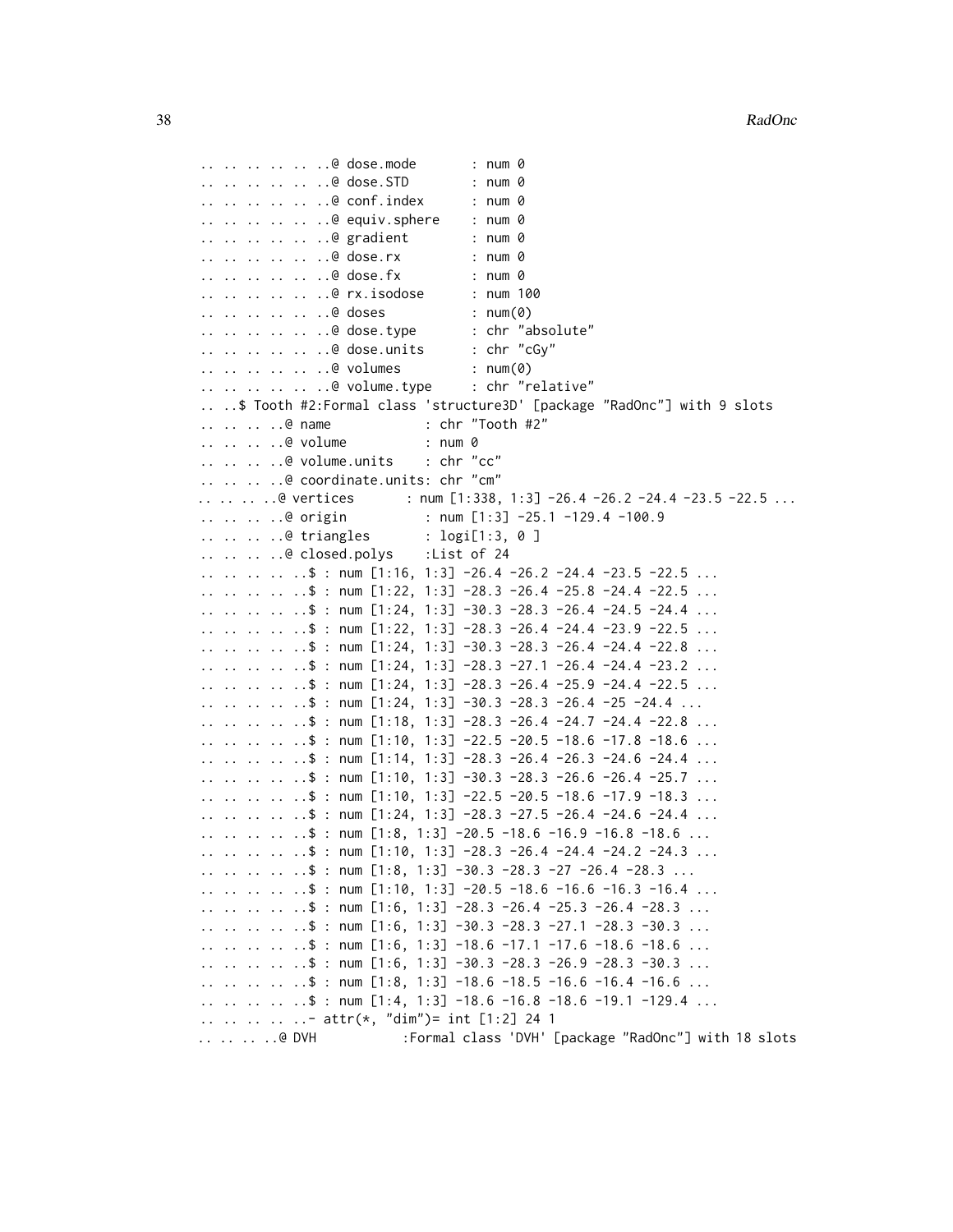```
.. .. .. .. .. ..@ dose.mode : num 0
.. .. .. .. .. ..@ dose.STD : num 0
.. .. .. .. .. ..@ conf.index : num 0
.. .. .. .. .. ..@ equiv.sphere : num 0
.. .. .. .. .. ..@ gradient : num 0
.. .. .. .. .. ..@ dose.rx : num 0
.. .. .. .. .. ..@ dose.fx : num 0
.. .. .. .. .. ..@ rx.isodose : num 100
.. .. .. .. ...@ doses : num(0)
.. .. .. .. .. ..@ dose.type : chr "absolute"
.. .. .. .. .. ..@ dose.units : chr "cGy"
.. .. .. .. .. ..@ volumes : num(0)
.. .. .. .. .. ..@ volume.type : chr "relative"
.. ..$ Tooth #2:Formal class 'structure3D' [package "RadOnc"] with 9 slots
.. .. .. ..@ name : chr "Tooth #2"
.. .. .. ..@ volume : num 0
.. .. .. ..@ volume.units : chr "cc"
.. .. .. ..@ coordinate.units: chr "cm"
.. .. .. @ vertices : num [1:338, 1:3] -26.4 -26.2 -24.4 -23.5 -22.5 ...
.. .. .. ..@ origin \qquad \qquad : num [1:3] -25.1 -129.4 -100.9
.. .. .. ..@ triangles : logi[1:3, 0 ]
.. .. .. ..@ closed.polys :List of 24
\ldots .. .. .. $ : num [1:16, 1:3] -26.4 -26.2 -24.4 -23.5 -22.5 ...
.. .. .. .. ..$ : num [1:22, 1:3] -28.3 -26.4 -25.8 -24.4 -22.5 ...
.. .. .. .. \sqrt{3} : num [1:24, 1:3] -30.3 -28.3 -26.4 -24.5 -24.4 ...
.. .. .. .. \text{\$ : num [1:22, 1:3] -28.3 -26.4 -24.4 -23.9 -22.5 ...}\ldots \ldots \ldots \ldots$ : num [1:24, 1:3] -30.3 -28.3 -26.4 -24.4 -22.8 \ldots\ldots \ldots \ldots \ldots$ : num [1:24, 1:3] -28.3 -27.1 -26.4 -24.4 -23.2 \ldots.. .. .. .. \text{\$ : num [1:24, 1:3] -28.3 -26.4 -25.9 -24.4 -22.5 ...}.. .. .. .. ..$ : num [1:24, 1:3] -30.3 -28.3 -26.4 -25 -24.4 ...
.. .. .. .. ..$ : num [1:18, 1:3] -28.3 -26.4 -24.7 -24.4 -22.8 ...
.. .. .. .. ..$ : num [1:10, 1:3] -22.5 -20.5 -18.6 -17.8 -18.6 ...
.. .. .. .. \text{\$ : num [1:14, 1:3] -28.3 -26.4 -26.3 -24.6 -24.4 ...}\ldots .. .. .. $ : num [1:10, 1:3] -30.3 -28.3 -26.6 -26.4 -25.7 ...
.. .. .. .. ..$ : num [1:10, 1:3] -22.5 -20.5 -18.6 -17.9 -18.3 ...
\ldots \ldots \ldots \ldots \ddot{s} : num [1:24, 1:3] -28.3 -27.5 -26.4 -24.6 -24.4 \ldots\ldots \ldots \ldots \ldots \ddot{\text{s}} : num [1:8, 1:3] -20.5 -18.6 -16.9 -16.8 -18.6 \ldots\ldots \ldots \ldots \ldots$ : num [1:10, 1:3] -28.3 -26.4 -24.4 -24.2 -24.3 \ldots.. .. .. .. ..$ : num [1:8, 1:3] -30.3 -28.3 -27 -26.4 -28.3 ...
\ldots .. .. .. $ : num [1:10, 1:3] -20.5 -18.6 -16.6 -16.3 -16.4 ...
\ldots \ldots \ldots \ldots$ : num [1:6, 1:3] -28.3 -26.4 -25.3 -26.4 -28.3 \ldots.. .. .. .. ..$ : num [1:6, 1:3] -30.3 -28.3 -27.1 -28.3 -30.3 ...
.. .. .. .. ..$ : num [1:6, 1:3] -18.6 -17.1 -17.6 -18.6 -18.6 ...
.. .. .. .. ..$ : num [1:6, 1:3] -30.3 -28.3 -26.9 -28.3 -30.3 ...
.. .. .. .. ..$ : num [1:8, 1:3] -18.6 -18.5 -16.6 -16.4 -16.6 ...
\ldots .. .. .. $ : num [1:4, 1:3] -18.6 -16.8 -18.6 -19.1 -129.4 ...
.. .. .. .. ..- attr(*, "dim")= int [1:2] 24 1
.. .. .. ..@ DVH :Formal class 'DVH' [package "RadOnc"] with 18 slots
```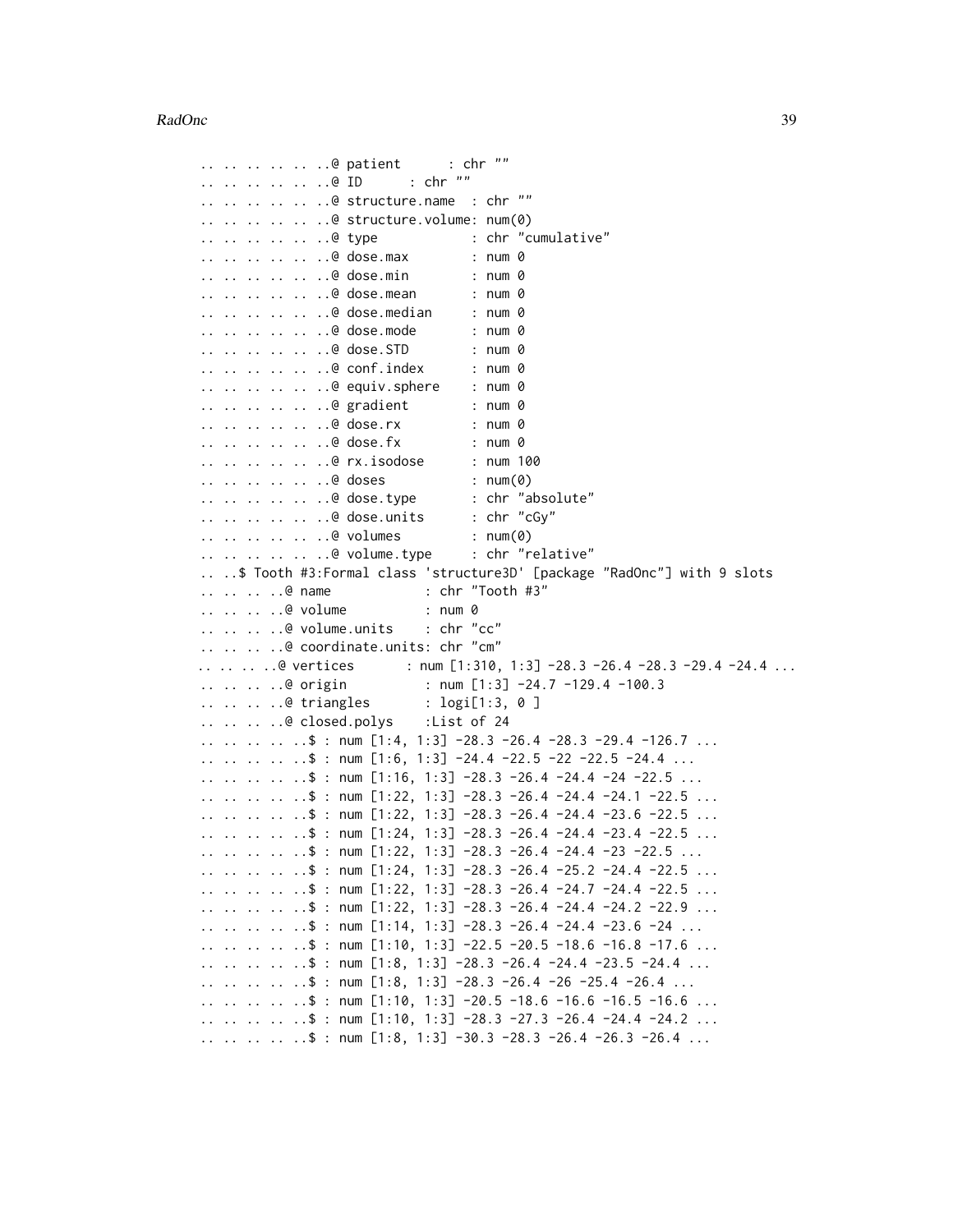```
.. .. .. .. .. ..@ patient : chr ""
.. .. .. .. ... ..@ ID : chr ""
.. .. .. .. .. ..@ structure.name : chr ""
.. .. .. .. .. ..@ structure.volume: num(0)
.............@ type : chr "cumulative"
.. .. .. .. .. ..@ dose.max : num 0
.. .. .. .. .. ..@ dose.min : num 0
.. .. .. .. .. ..@ dose.mean : num 0
.. .. .. .. .. ..@ dose.median : num 0
.. .. .. .. .. ..@ dose.mode : num 0
.. .. .. .. .. ..@ dose.STD : num 0
.. .. .. .. .. ..@ conf.index : num 0
.. .. .. .. .. ..@ equiv.sphere : num 0
.. .. .. .. .. ..@ gradient : num 0
.. .. .. .. .. ..@ dose.rx : num 0
.. .. .. .. .. ..@ dose.fx : num 0
.. .. .. .. .. ..@ rx.isodose : num 100
.. .. .. .. .. ..@ doses : num(0)
.. .. .. .. .. ..@ dose.type : chr "absolute"
.. .. .. .. .. ..@ dose.units : chr "cGy"
.. .. .. .. .. ..@ volumes : num(0)
.. .. .. .. .. ..@ volume.type : chr "relative"
.. ..$ Tooth #3:Formal class 'structure3D' [package "RadOnc"] with 9 slots
.. .. .. ..@ name : chr "Tooth #3"
.. .. .. ..@ volume : num 0
.. .. .. ..@ volume.units : chr "cc"
.. .. .. ..@ coordinate.units: chr "cm"
.. .. .. .@ vertices : num [1:310, 1:3] -28.3 -26.4 -28.3 -29.4 -24.4 ...
.. .. .. ..@ origin : num [1:3] -24.7 -129.4 -100.3
.. .. .. ..@ triangles : logi[1:3, 0 ]
.. .. .. ..@ closed.polys :List of 24
\ldots \ldots \ldots \ldots \ddots : num [1:4, 1:3] -28.3 -26.4 -28.3 -29.4 -126.7 \ldots\ldots \ldots \ldots \ldots \ddot{s} : num [1:6, 1:3] -24.4 -22.5 -22 -22.5 -24.4 \ldots\ldots \ldots \ldots \ldots$ : num [1:16, 1:3] -28.3 -26.4 -24.4 -24 -22.5 \ldots\ldots \ldots \ldots \ldots \ddot{s} : num [1:22, 1:3] -28.3 -26.4 -24.4 -24.1 -22.5 \ldots\ldots \ldots \ldots \ldots \ddot{s} : num [1:22, 1:3] -28.3 -26.4 -24.4 -23.6 -22.5 \ldots\ldots \ldots \ldots \ldots \ddot{s} : num [1:24, 1:3] -28.3 -26.4 -24.4 -23.4 -22.5 \ldots\ldots \ldots \ldots \ldots$ : num [1:22, 1:3] -28.3 -26.4 -24.4 -23 -22.5 \ldots.. .. .. .. ..$ : num [1:24, 1:3] -28.3 -26.4 -25.2 -24.4 -22.5 ...
\ldots \ldots \ldots \ldots$ : num [1:22, 1:3] -28.3 -26.4 -24.7 -24.4 -22.5 \ldots\ldots \ldots \ldots \ldots$ : num [1:22, 1:3] -28.3 -26.4 -24.4 -24.2 -22.9 \ldots\ldots \ldots \ldots \ldots \ddots : num [1:14, 1:3] -28.3 -26.4 -24.4 -23.6 -24 \ldots.. .. .. .. ..$ : num [1:10, 1:3] -22.5 -20.5 -18.6 -16.8 -17.6 ...
.. .. .. .. \sqrt{3} : num [1:8, 1:3] -28.3 -26.4 -24.4 -23.5 -24.4 ...
.. .. .. .. .$ : num [1:8, 1:3] -28.3 -26.4 -26 -25.4 -26.4 ...
.. .. .. .. ..$ : num [1:10, 1:3] -20.5 -18.6 -16.6 -16.5 -16.6 ...
\ldots \ldots \ldots \ldots \ddots : num [1:10, 1:3] -28.3 -27.3 -26.4 -24.4 -24.2 \ldots.. .. .. .. \sqrt{5} : num [1:8, 1:3] -30.3 -28.3 -26.4 -26.3 -26.4 ...
```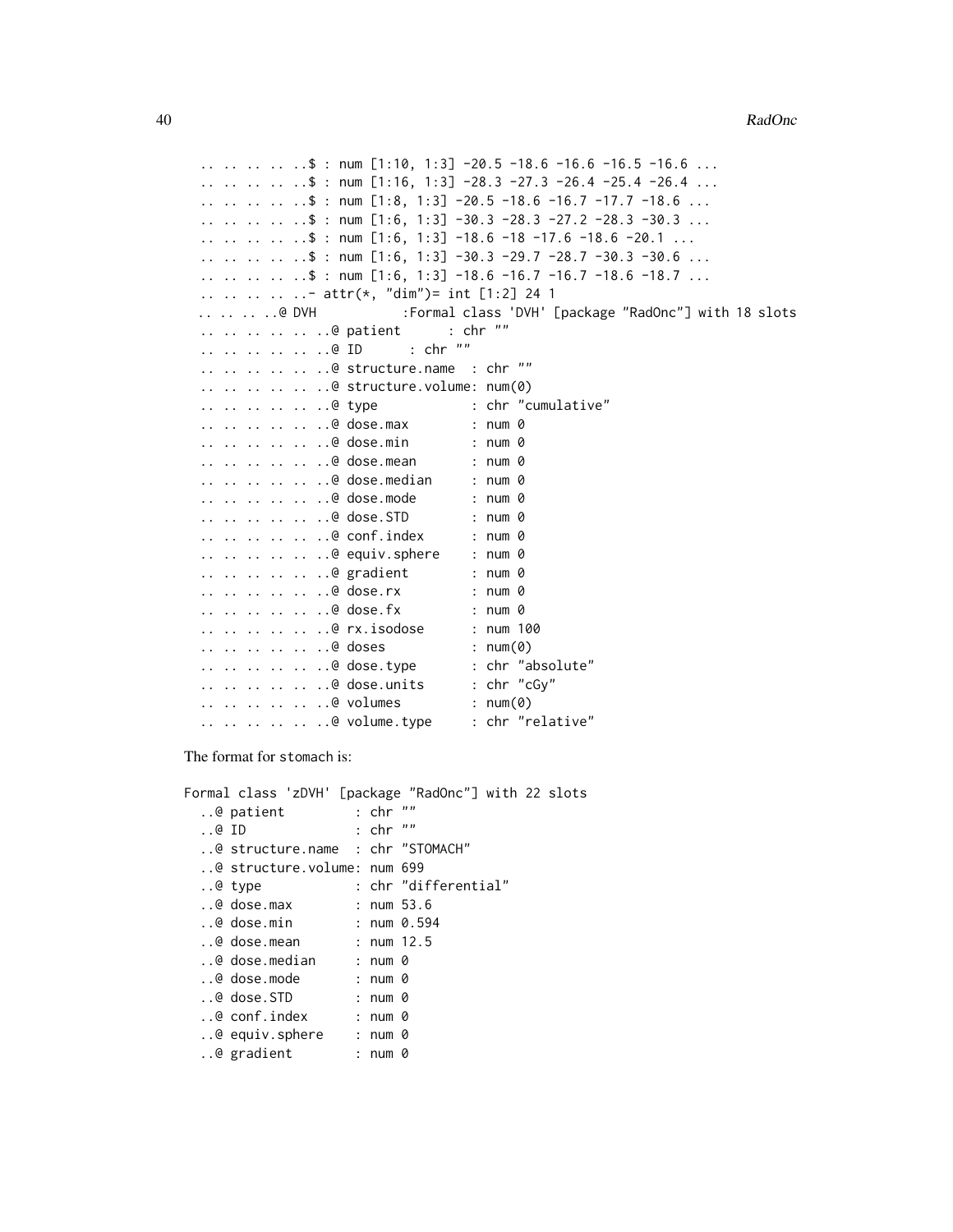```
\ldots .. .. .. \frac{1}{3} : num [1:10, 1:3] -20.5 -18.6 -16.6 -16.5 -16.6 ...
\ldots \ldots \ldots \ldots \ddot{s} : num [1:16, 1:3] -28.3 -27.3 -26.4 -25.4 -26.4 \ldots\ldots \ldots \ldots \ldots \ddot{\text{s}} : num [1:8, 1:3] -20.5 -18.6 -16.7 -17.7 -18.6 \ldots\ldots \ldots \ldots \ldots$ : num [1:6, 1:3] -30.3 -28.3 -27.2 -28.3 -30.3 \ldots.. .. .. .. ..$ : num [1:6, 1:3] -18.6 -18 -17.6 -18.6 -20.1 ...
.. .. .. .. ..$ : num [1:6, 1:3] -30.3 -29.7 -28.7 -30.3 -30.6 ...
.. .. .. .. ..$ : num [1:6, 1:3] -18.6 -16.7 -16.7 -18.6 -18.7 ...
.. .. .. .. ..- attr(*, "dim")= int [1:2] 24 1
.. .. .. @ DVH :Formal class 'DVH' [package "RadOnc"] with 18 slots
.. .. .. .. .. ..@ patient : chr ""
.. .. .. .. .. ..@ ID : chr ""
.. .. .. .. .. ..@ structure.name : chr ""
.. .. .. .. .. ..@ structure.volume: num(0)
.. .. .. .. .. ..@ type : chr "cumulative"
.. .. .. .. ...@ dose.max : num 0
.. .. .. .. .. ..@ dose.min : num 0
.. .. .. .. .. ..@ dose.mean : num 0
.. .. .. .. .. ..@ dose.median : num 0
.. .. .. .. .. ..@ dose.mode : num 0
.. .. .. .. .. ..@ dose.STD : num 0
.. .. .. .. .. ..@ conf.index : num 0
.. .. .. .. .. ..@ equiv.sphere : num 0
.. .. .. .. .. ..@ gradient : num 0
.. .. .. .. .. ..@ dose.rx : num 0
.. .. .. .. .. ..@ dose.fx : num 0
.. .. .. .. .. ..@ rx.isodose : num 100
.. .. .. .. .. ..@ doses : num(0)
.. .. .. .. .. ..@ dose.type : chr "absolute"
.. .. .. .. .. ..@ dose.units : chr "cGy"
.. .. .. .. .. ..@ volumes : num(0)
.. .. .. .. .. ..@ volume.type : chr "relative"
```
The format for stomach is:

|       | Formal class 'zDVH' [package "RadOnc"] with 22 slots |             |                      |  |  |
|-------|------------------------------------------------------|-------------|----------------------|--|--|
|       | @ patient                                            | $:$ chr $"$ |                      |  |  |
| .001D |                                                      | $:$ chr $"$ |                      |  |  |
|       | @ structure.name : chr "STOMACH"                     |             |                      |  |  |
|       | @ structure.volume: num 699                          |             |                      |  |  |
|       | @ type                                               |             | : chr "differential" |  |  |
|       | @ dose.max                                           |             | $:$ num 53.6         |  |  |
|       | @ dose.min                                           |             | : num 0.594          |  |  |
|       | @ dose.mean<br>: num 12.5                            |             |                      |  |  |
|       | @ dose.median                                        | : num 0     |                      |  |  |
|       | @ dose.mode                                          | : num 0     |                      |  |  |
|       | @ dose.STD                                           | : num 0     |                      |  |  |
|       | @ conf.index                                         | : num 0     |                      |  |  |
|       | @ equiv.sphere                                       | : num 0     |                      |  |  |
|       | @ gradient                                           | : num 0     |                      |  |  |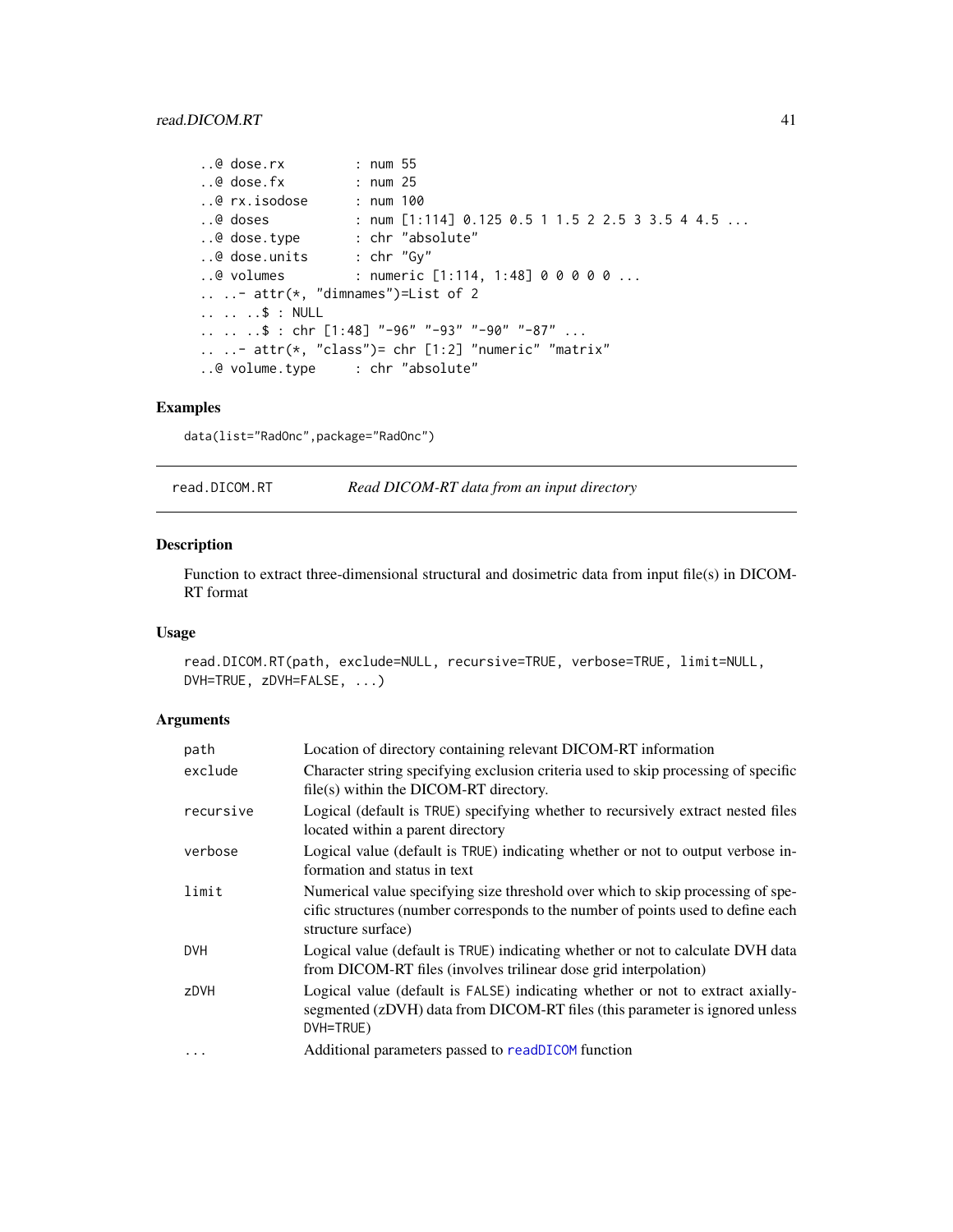```
..@ dose.rx : num 55
..@ dose.fx : num 25
..@ rx.isodose : num 100
..@ doses : num [1:114] 0.125 0.5 1 1.5 2 2.5 3 3.5 4 4.5 ...
..@ dose.type : chr "absolute"
..@ dose.units : chr "Gy"
..@ volumes : numeric [1:114, 1:48] 0 0 0 0 0 ...
.. ..- attr(*, "dimnames")=List of 2
.. .. ..$ : NULL
.. .. ..$ : chr [1:48] "-96" "-93" "-90" "-87" ...
.. ..- attr(*, "class")= chr [1:2] "numeric" "matrix"
..@ volume.type : chr "absolute"
```
## Examples

data(list="RadOnc",package="RadOnc")

read.DICOM.RT *Read DICOM-RT data from an input directory*

## Description

Function to extract three-dimensional structural and dosimetric data from input file(s) in DICOM-RT format

## Usage

```
read.DICOM.RT(path, exclude=NULL, recursive=TRUE, verbose=TRUE, limit=NULL,
DVH=TRUE, zDVH=FALSE, ...)
```
## Arguments

| path      | Location of directory containing relevant DICOM-RT information                                                                                                                            |
|-----------|-------------------------------------------------------------------------------------------------------------------------------------------------------------------------------------------|
| exclude   | Character string specifying exclusion criteria used to skip processing of specific<br>$file(s)$ within the DICOM-RT directory.                                                            |
| recursive | Logical (default is TRUE) specifying whether to recursively extract nested files<br>located within a parent directory                                                                     |
| verbose   | Logical value (default is TRUE) indicating whether or not to output verbose in-<br>formation and status in text                                                                           |
| limit     | Numerical value specifying size threshold over which to skip processing of spe-<br>cific structures (number corresponds to the number of points used to define each<br>structure surface) |
| DVH       | Logical value (default is TRUE) indicating whether or not to calculate DVH data<br>from DICOM-RT files (involves trilinear dose grid interpolation)                                       |
| zDVH      | Logical value (default is FALSE) indicating whether or not to extract axially-<br>segmented (zDVH) data from DICOM-RT files (this parameter is ignored unless<br>DVH=TRUE)                |
| $\cdots$  | Additional parameters passed to readDICOM function                                                                                                                                        |
|           |                                                                                                                                                                                           |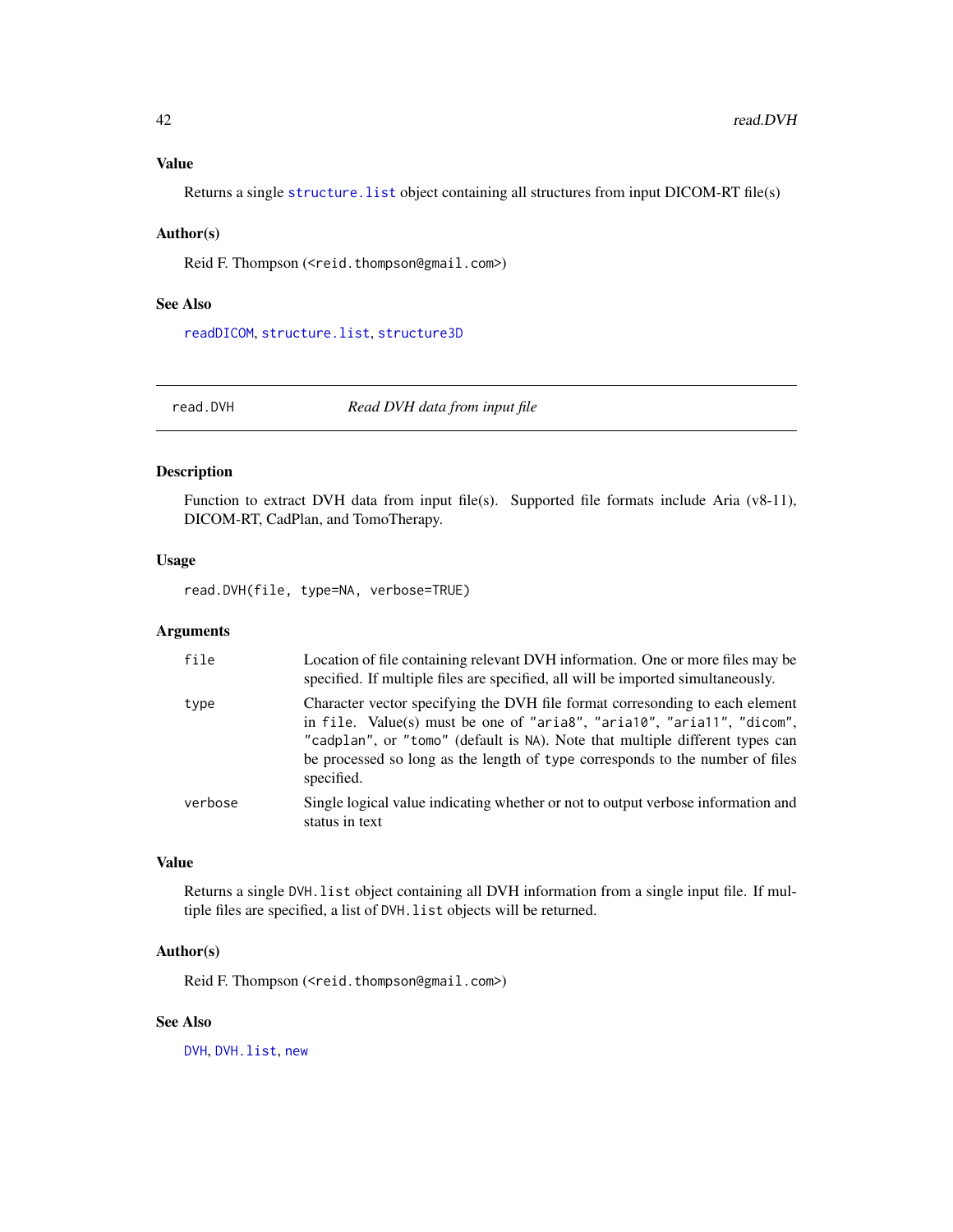#### <span id="page-41-0"></span>Value

Returns a single structure. list object containing all structures from input DICOM-RT file(s)

#### Author(s)

Reid F. Thompson (<reid.thompson@gmail.com>)

#### See Also

[readDICOM](#page-0-0), [structure.list](#page-0-0), [structure3D](#page-0-0)

<span id="page-41-1"></span>

read.DVH *Read DVH data from input file*

## Description

Function to extract DVH data from input file(s). Supported file formats include Aria (v8-11), DICOM-RT, CadPlan, and TomoTherapy.

#### Usage

read.DVH(file, type=NA, verbose=TRUE)

## Arguments

| file    | Location of file containing relevant DVH information. One or more files may be<br>specified. If multiple files are specified, all will be imported simultaneously.                                                                                                                                                                    |
|---------|---------------------------------------------------------------------------------------------------------------------------------------------------------------------------------------------------------------------------------------------------------------------------------------------------------------------------------------|
| type    | Character vector specifying the DVH file format corresonding to each element<br>in file. Value(s) must be one of "aria8", "aria10", "aria11", "dicom",<br>"cadplan", or "tomo" (default is NA). Note that multiple different types can<br>be processed so long as the length of type corresponds to the number of files<br>specified. |
| verbose | Single logical value indicating whether or not to output verbose information and<br>status in text                                                                                                                                                                                                                                    |

## Value

Returns a single DVH.list object containing all DVH information from a single input file. If multiple files are specified, a list of DVH.list objects will be returned.

## Author(s)

Reid F. Thompson (<reid.thompson@gmail.com>)

#### See Also

[DVH](#page-5-1), [DVH.list](#page-7-1), [new](#page-0-0)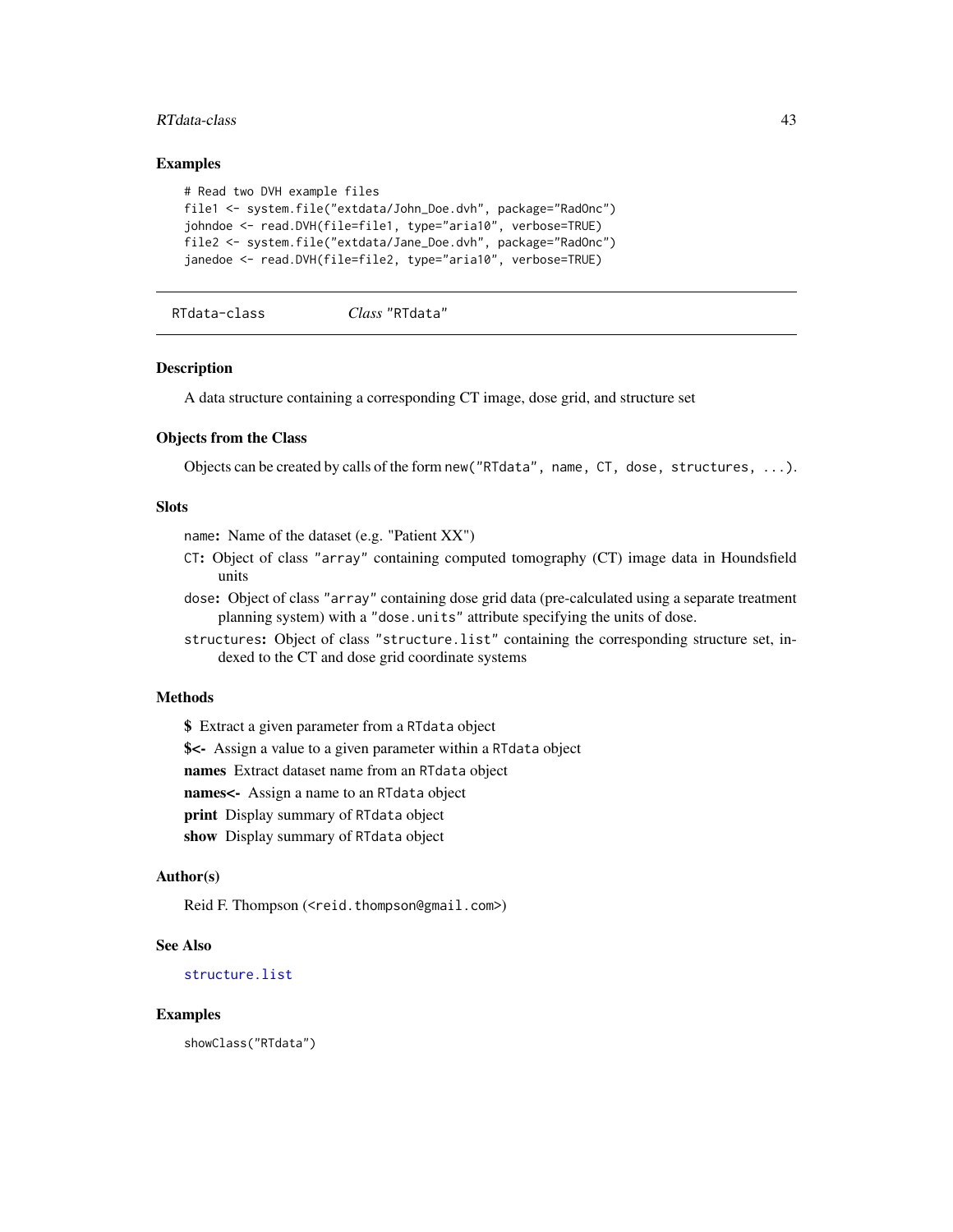#### <span id="page-42-0"></span>RTdata-class 43

#### Examples

```
# Read two DVH example files
file1 <- system.file("extdata/John_Doe.dvh", package="RadOnc")
johndoe <- read.DVH(file=file1, type="aria10", verbose=TRUE)
file2 <- system.file("extdata/Jane_Doe.dvh", package="RadOnc")
janedoe <- read.DVH(file=file2, type="aria10", verbose=TRUE)
```

```
RTdata-class Class "RTdata"
```
#### Description

A data structure containing a corresponding CT image, dose grid, and structure set

#### Objects from the Class

Objects can be created by calls of the form new("RTdata", name, CT, dose, structures, ...).

## Slots

name: Name of the dataset (e.g. "Patient XX")

- CT: Object of class "array" containing computed tomography (CT) image data in Houndsfield units
- dose: Object of class "array" containing dose grid data (pre-calculated using a separate treatment planning system) with a "dose.units" attribute specifying the units of dose.

structures: Object of class "structure.list" containing the corresponding structure set, indexed to the CT and dose grid coordinate systems

## Methods

\$ Extract a given parameter from a RTdata object \$<- Assign a value to a given parameter within a RTdata object names Extract dataset name from an RTdata object names<- Assign a name to an RTdata object

print Display summary of RTdata object

show Display summary of RTdata object

#### Author(s)

Reid F. Thompson (<reid.thompson@gmail.com>)

#### See Also

[structure.list](#page-0-0)

#### Examples

showClass("RTdata")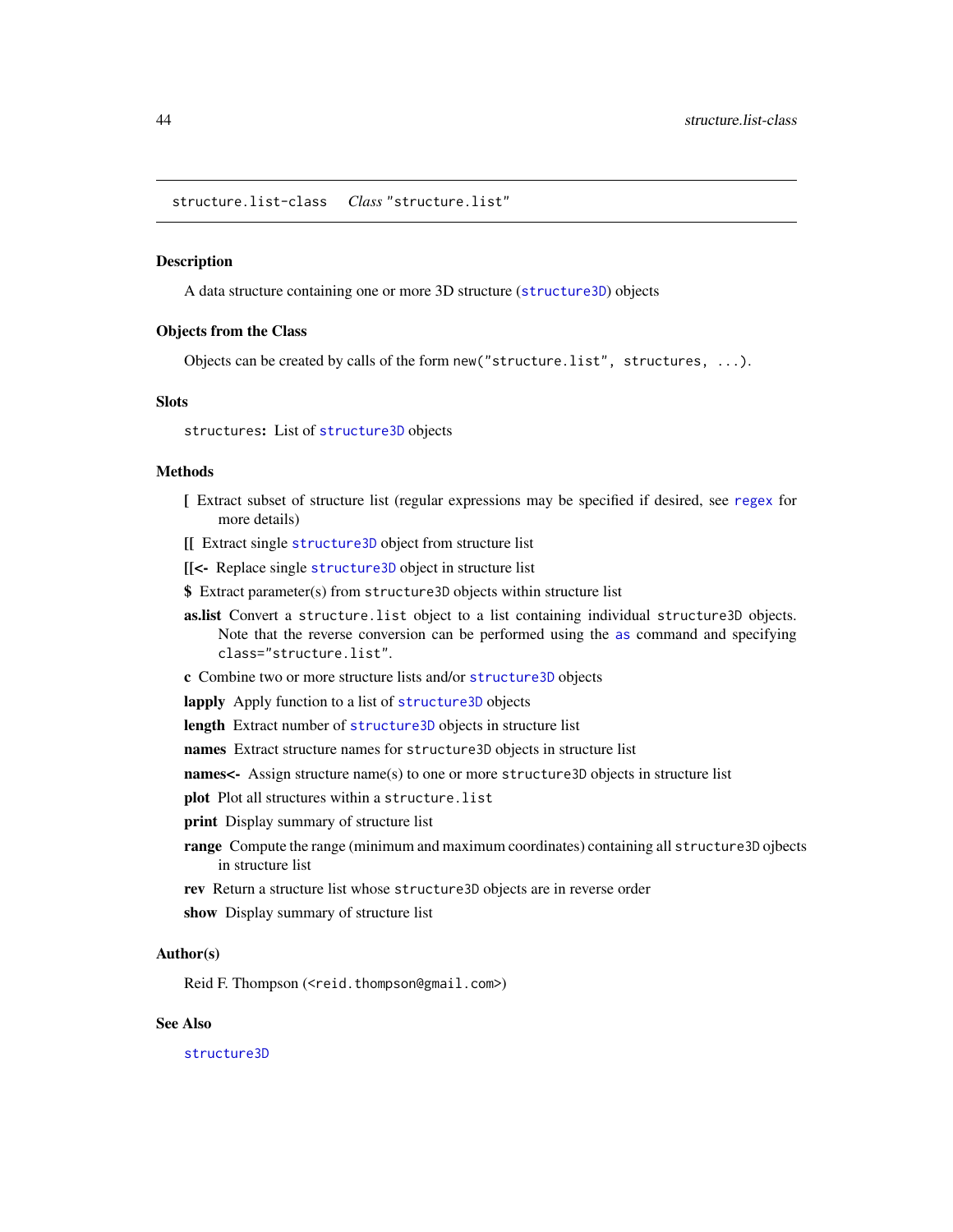<span id="page-43-0"></span>structure.list-class *Class* "structure.list"

#### **Description**

A data structure containing one or more 3D structure ([structure3D](#page-0-0)) objects

#### Objects from the Class

Objects can be created by calls of the form new("structure.list", structures, ...).

## **Slots**

structures: List of [structure3D](#page-0-0) objects

#### Methods

- [ Extract subset of structure list (regular expressions may be specified if desired, see [regex](#page-0-0) for more details)
- [[ Extract single [structure3D](#page-0-0) object from structure list
- [[<- Replace single [structure3D](#page-0-0) object in structure list
- \$ Extract parameter(s) from structure3D objects within structure list
- as.list Convert a structure.list object to a list containing individual structure3D objects. Note that the reverse conversion can be performed using the [as](#page-0-0) command and specifying class="structure.list".
- c Combine two or more structure lists and/or [structure3D](#page-0-0) objects
- lapply Apply function to a list of [structure3D](#page-0-0) objects
- length Extract number of [structure3D](#page-0-0) objects in structure list
- names Extract structure names for structure3D objects in structure list
- names<- Assign structure name(s) to one or more structure3D objects in structure list
- plot Plot all structures within a structure. list
- print Display summary of structure list
- range Compute the range (minimum and maximum coordinates) containing all structure3D ojbects in structure list
- rev Return a structure list whose structure3D objects are in reverse order
- show Display summary of structure list

#### Author(s)

Reid F. Thompson (<reid.thompson@gmail.com>)

## See Also

[structure3D](#page-0-0)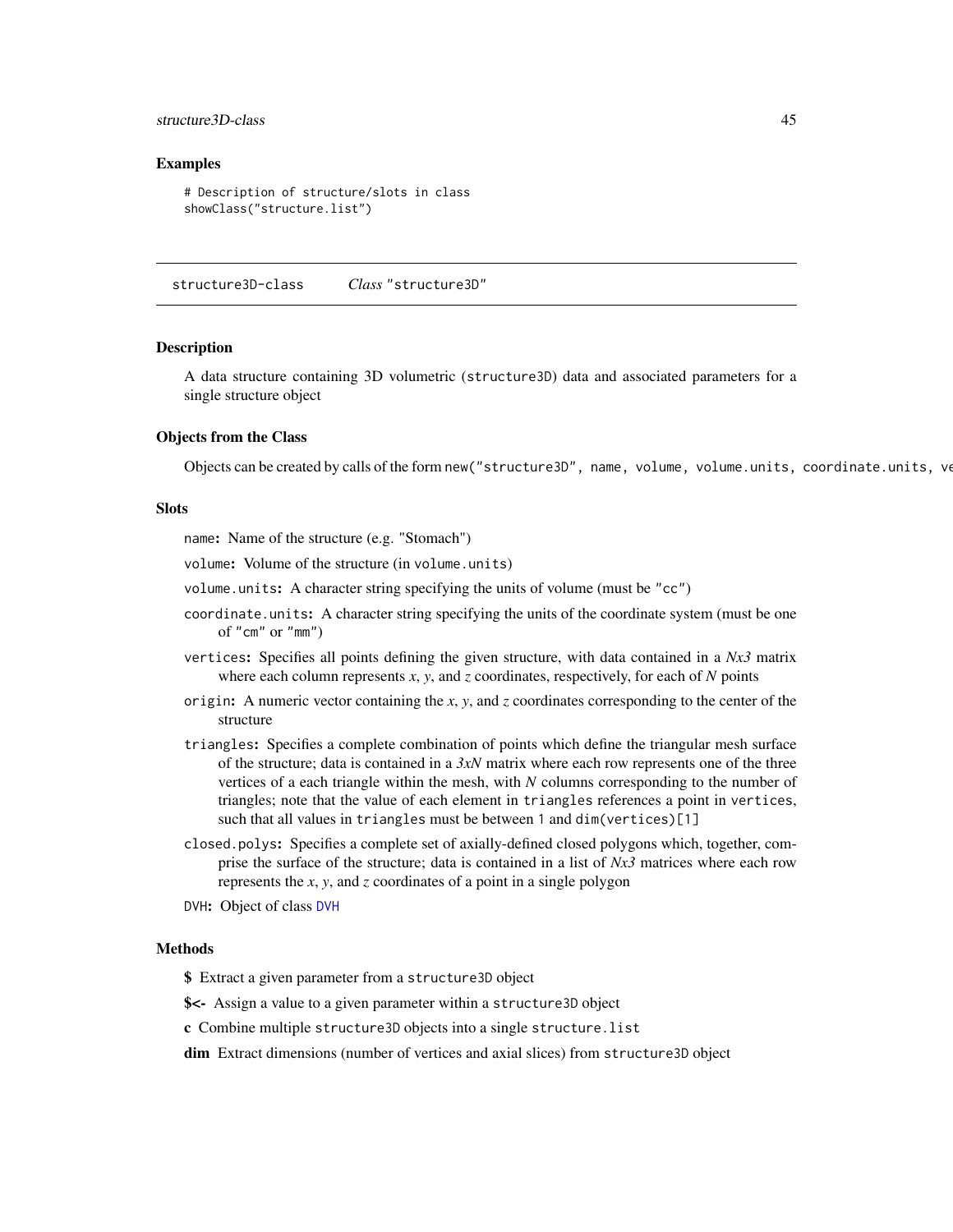#### <span id="page-44-0"></span>structure3D-class 45

#### Examples

```
# Description of structure/slots in class
showClass("structure.list")
```
structure3D-class *Class* "structure3D"

#### **Description**

A data structure containing 3D volumetric (structure3D) data and associated parameters for a single structure object

#### Objects from the Class

Objects can be created by calls of the form new("structure3D", name, volume, volume.units, coordinate.units, ve

#### **Slots**

name: Name of the structure (e.g. "Stomach")

volume: Volume of the structure (in volume.units)

volume.units: A character string specifying the units of volume (must be "cc")

- coordinate.units: A character string specifying the units of the coordinate system (must be one of "cm" or "mm")
- vertices: Specifies all points defining the given structure, with data contained in a *Nx3* matrix where each column represents *x*, *y*, and *z* coordinates, respectively, for each of *N* points
- origin: A numeric vector containing the *x*, *y*, and *z* coordinates corresponding to the center of the structure
- triangles: Specifies a complete combination of points which define the triangular mesh surface of the structure; data is contained in a *3xN* matrix where each row represents one of the three vertices of a each triangle within the mesh, with *N* columns corresponding to the number of triangles; note that the value of each element in triangles references a point in vertices, such that all values in triangles must be between 1 and dim(vertices)[1]
- closed.polys: Specifies a complete set of axially-defined closed polygons which, together, comprise the surface of the structure; data is contained in a list of *Nx3* matrices where each row represents the *x*, *y*, and *z* coordinates of a point in a single polygon
- DVH: Object of class [DVH](#page-5-1)

#### Methods

\$ Extract a given parameter from a structure3D object

- \$<- Assign a value to a given parameter within a structure3D object
- c Combine multiple structure3D objects into a single structure.list

dim Extract dimensions (number of vertices and axial slices) from structure3D object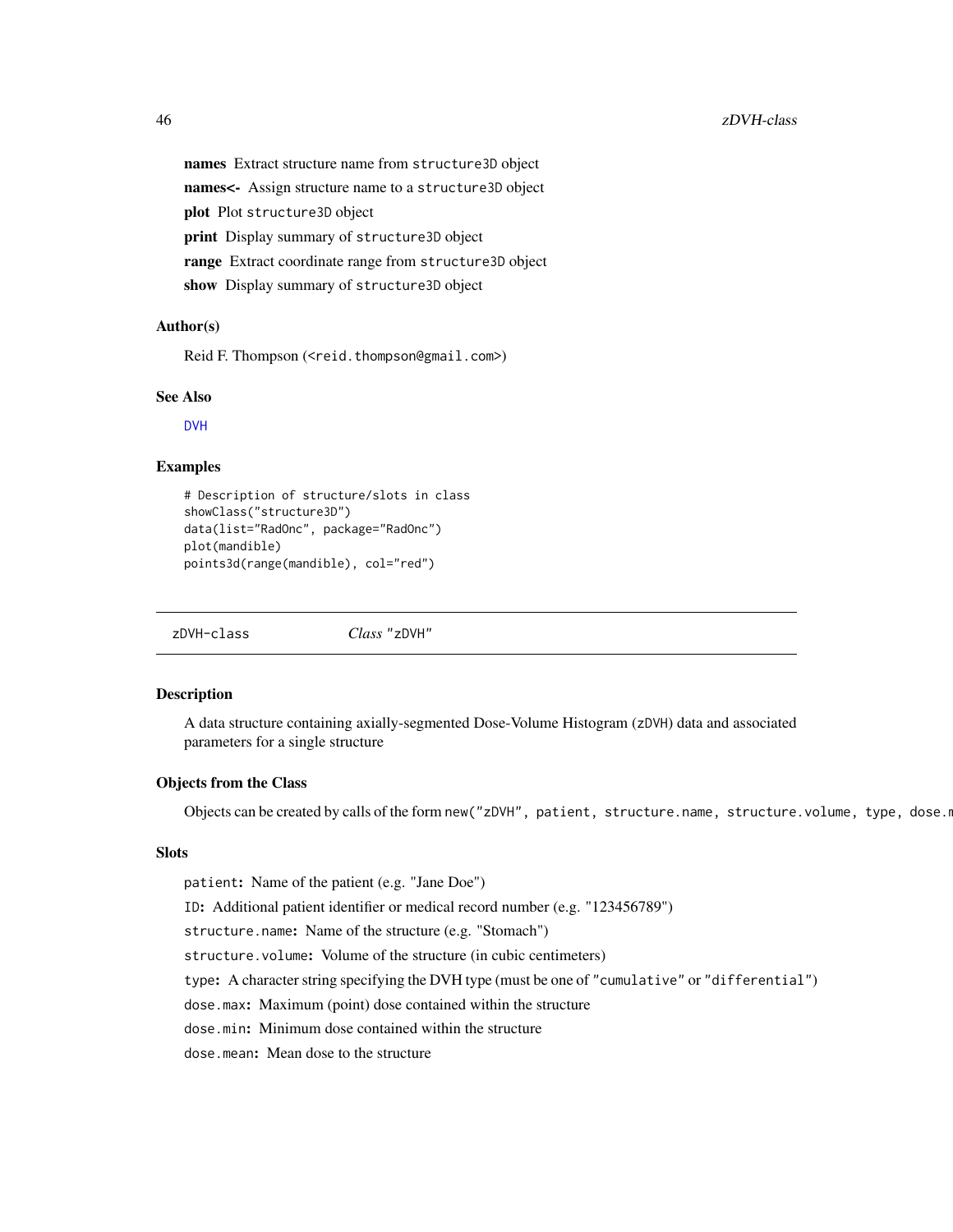names Extract structure name from structure3D object names<- Assign structure name to a structure3D object plot Plot structure3D object print Display summary of structure3D object range Extract coordinate range from structure3D object show Display summary of structure3D object

#### Author(s)

Reid F. Thompson (<reid.thompson@gmail.com>)

#### See Also

[DVH](#page-5-1)

#### Examples

```
# Description of structure/slots in class
showClass("structure3D")
data(list="RadOnc", package="RadOnc")
plot(mandible)
points3d(range(mandible), col="red")
```
zDVH-class *Class* "zDVH"

## Description

A data structure containing axially-segmented Dose-Volume Histogram (zDVH) data and associated parameters for a single structure

### Objects from the Class

Objects can be created by calls of the form new ("zDVH", patient, structure.name, structure.volume, type, dose.r

#### Slots

patient: Name of the patient (e.g. "Jane Doe") ID: Additional patient identifier or medical record number (e.g. "123456789") structure.name: Name of the structure (e.g. "Stomach") structure.volume: Volume of the structure (in cubic centimeters) type: A character string specifying the DVH type (must be one of "cumulative" or "differential") dose.max: Maximum (point) dose contained within the structure dose.min: Minimum dose contained within the structure dose.mean: Mean dose to the structure

<span id="page-45-0"></span>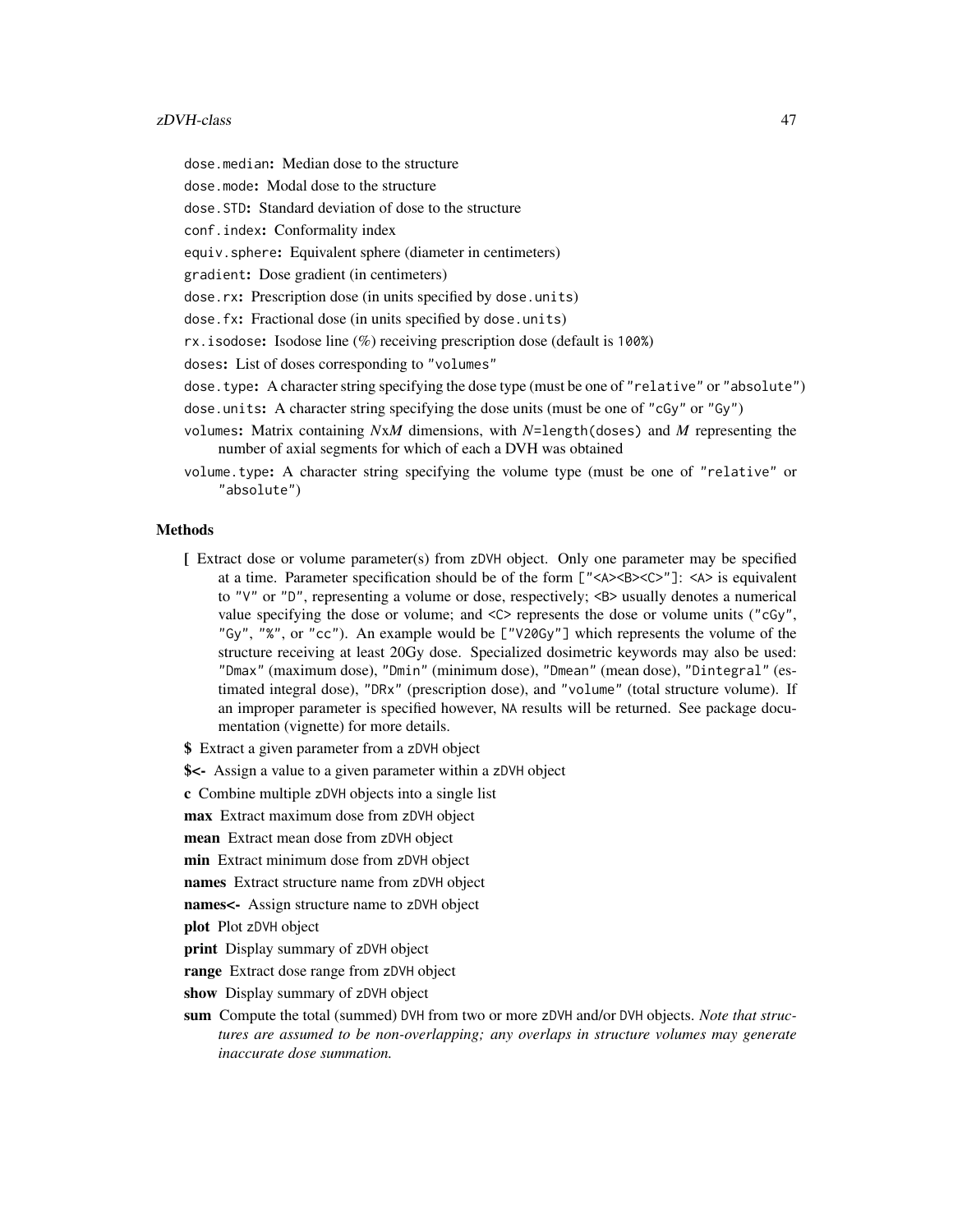#### zDVH-class 47

dose.median: Median dose to the structure

dose.mode: Modal dose to the structure

dose.STD: Standard deviation of dose to the structure

conf.index: Conformality index

equiv.sphere: Equivalent sphere (diameter in centimeters)

gradient: Dose gradient (in centimeters)

dose.rx: Prescription dose (in units specified by dose.units)

dose.fx: Fractional dose (in units specified by dose.units)

rx.isodose: Isodose line (%) receiving prescription dose (default is 100%)

doses: List of doses corresponding to "volumes"

dose.type: A character string specifying the dose type (must be one of "relative" or "absolute")

dose.units: A character string specifying the dose units (must be one of "cGy" or "Gy")

- volumes: Matrix containing *N*x*M* dimensions, with *N*=length(doses) and *M* representing the number of axial segments for which of each a DVH was obtained
- volume.type: A character string specifying the volume type (must be one of "relative" or "absolute")

## Methods

- [ Extract dose or volume parameter(s) from zDVH object. Only one parameter may be specified at a time. Parameter specification should be of the form  $\llbracket$ "<A><B><C>"]: <A> is equivalent to "V" or "D", representing a volume or dose, respectively; <B> usually denotes a numerical value specifying the dose or volume; and  $\langle C \rangle$  represents the dose or volume units ("cGy", "Gy", "%", or "cc"). An example would be ["V20Gy"] which represents the volume of the structure receiving at least 20Gy dose. Specialized dosimetric keywords may also be used: "Dmax" (maximum dose), "Dmin" (minimum dose), "Dmean" (mean dose), "Dintegral" (estimated integral dose), "DRx" (prescription dose), and "volume" (total structure volume). If an improper parameter is specified however, NA results will be returned. See package documentation (vignette) for more details.
- \$ Extract a given parameter from a zDVH object

\$<- Assign a value to a given parameter within a zDVH object

c Combine multiple zDVH objects into a single list

max Extract maximum dose from zDVH object

mean Extract mean dose from zDVH object

min Extract minimum dose from zDVH object

names Extract structure name from zDVH object

names<- Assign structure name to zDVH object

plot Plot zDVH object

print Display summary of zDVH object

range Extract dose range from zDVH object

show Display summary of zDVH object

sum Compute the total (summed) DVH from two or more zDVH and/or DVH objects. *Note that structures are assumed to be non-overlapping; any overlaps in structure volumes may generate inaccurate dose summation.*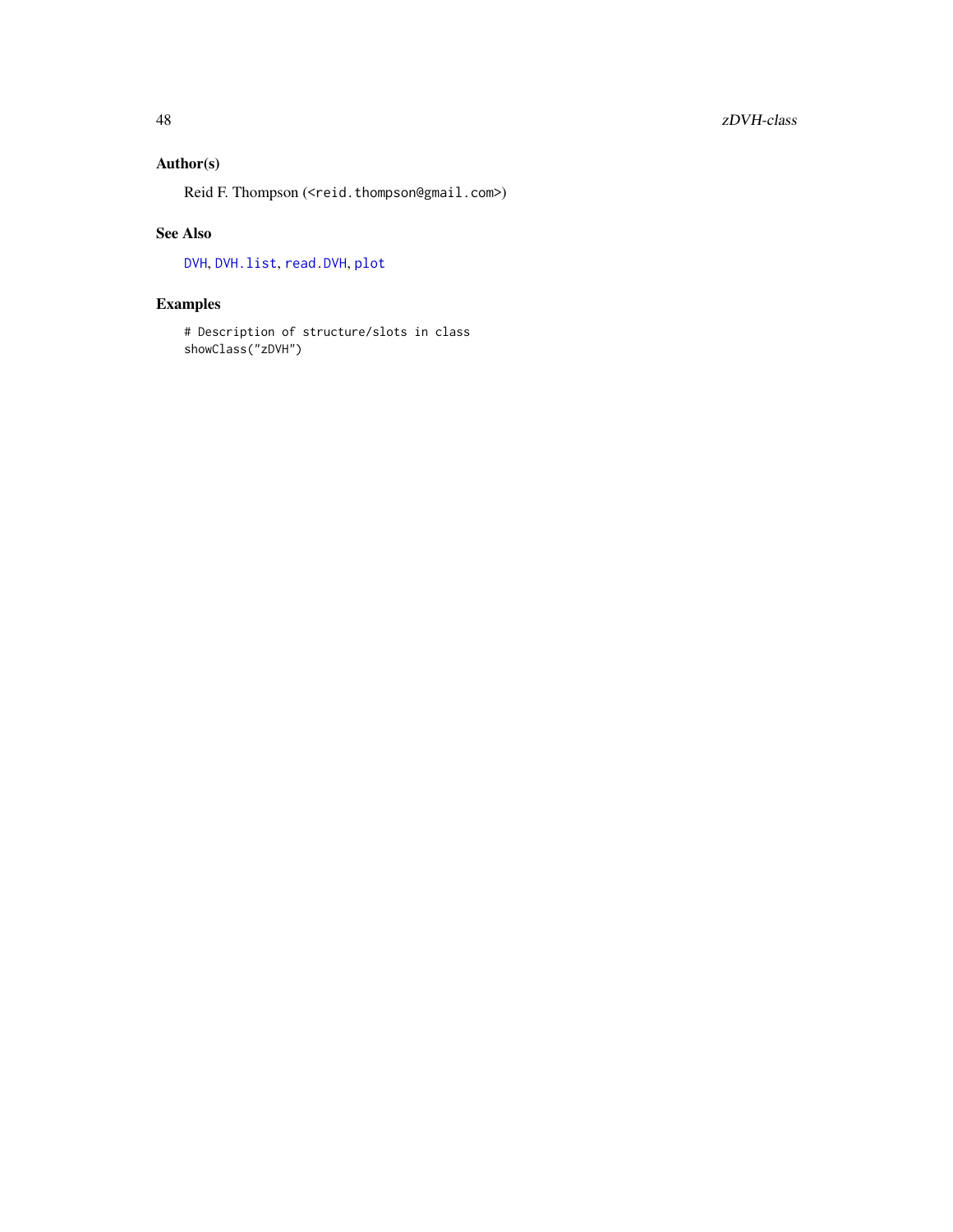## <span id="page-47-0"></span>Author(s)

Reid F. Thompson (<reid.thompson@gmail.com>)

## See Also

[DVH](#page-5-1), [DVH.list](#page-7-1), [read.DVH](#page-41-1), [plot](#page-0-0)

## Examples

# Description of structure/slots in class showClass("zDVH")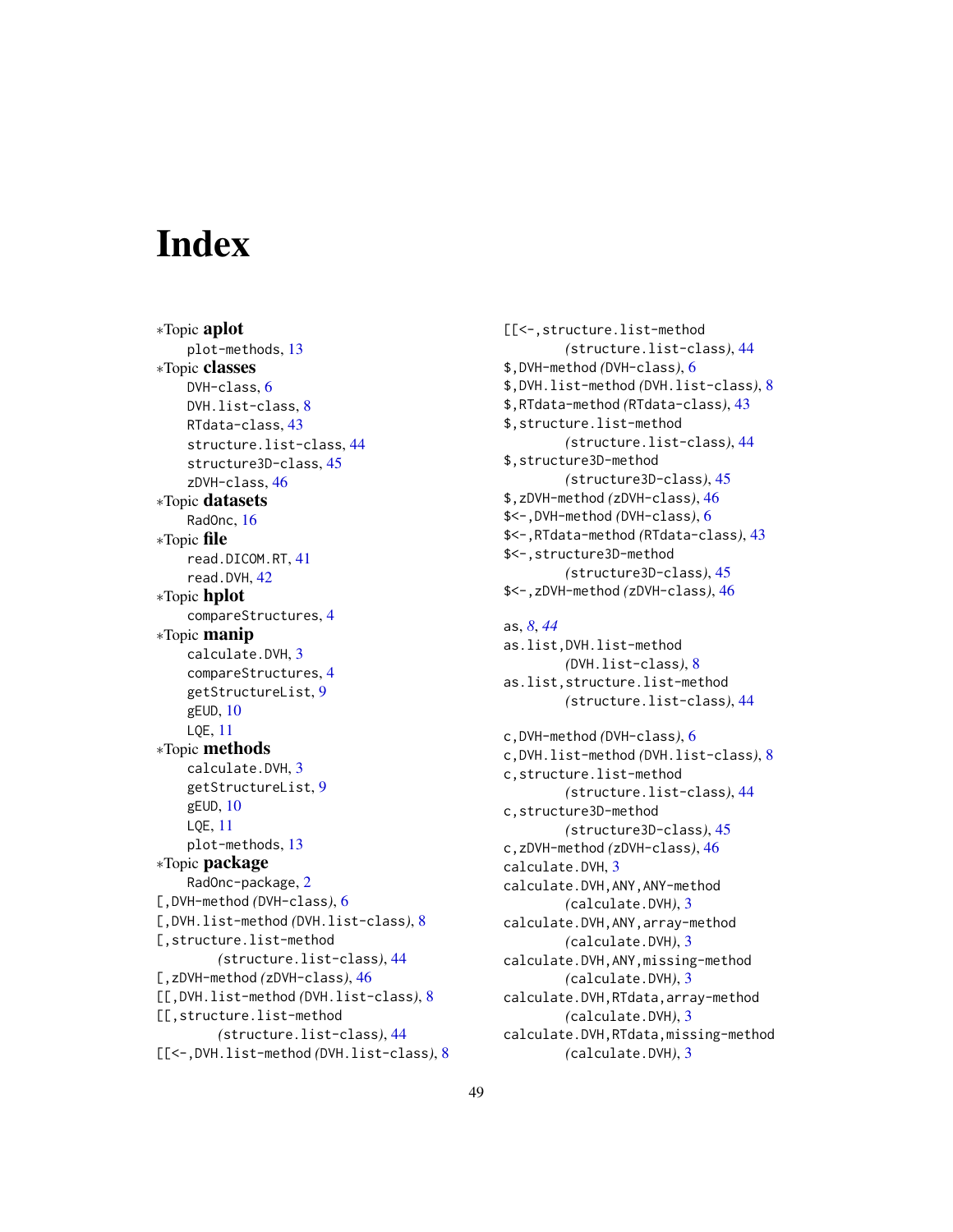# <span id="page-48-0"></span>**Index**

∗Topic aplot plot-methods, [13](#page-12-0) ∗Topic classes DVH-class, [6](#page-5-0) DVH.list-class, [8](#page-7-0) RTdata-class, [43](#page-42-0) structure.list-class, [44](#page-43-0) structure3D-class, [45](#page-44-0) zDVH-class, [46](#page-45-0) ∗Topic datasets RadOnc, [16](#page-15-0) ∗Topic file read.DICOM.RT, [41](#page-40-0) read.DVH, [42](#page-41-0) ∗Topic hplot compareStructures, [4](#page-3-0) ∗Topic manip calculate.DVH, [3](#page-2-0) compareStructures, [4](#page-3-0) getStructureList, [9](#page-8-0) gEUD, [10](#page-9-0) LQE, [11](#page-10-0) ∗Topic methods calculate.DVH, [3](#page-2-0) getStructureList, [9](#page-8-0) gEUD, [10](#page-9-0) LQE, [11](#page-10-0) plot-methods, [13](#page-12-0) ∗Topic package RadOnc-package, [2](#page-1-0) [,DVH-method *(*DVH-class*)*, [6](#page-5-0) [,DVH.list-method *(*DVH.list-class*)*, [8](#page-7-0) [,structure.list-method *(*structure.list-class*)*, [44](#page-43-0) [,zDVH-method *(*zDVH-class*)*, [46](#page-45-0) [[,DVH.list-method *(*DVH.list-class*)*, [8](#page-7-0) [[,structure.list-method *(*structure.list-class*)*, [44](#page-43-0) [[<-,DVH.list-method *(*DVH.list-class*)*, [8](#page-7-0) [[<-,structure.list-method *(*structure.list-class*)*, [44](#page-43-0) \$,DVH-method *(*DVH-class*)*, [6](#page-5-0) \$,DVH.list-method *(*DVH.list-class*)*, [8](#page-7-0) \$,RTdata-method *(*RTdata-class*)*, [43](#page-42-0) \$,structure.list-method *(*structure.list-class*)*, [44](#page-43-0) \$,structure3D-method *(*structure3D-class*)*, [45](#page-44-0) \$,zDVH-method *(*zDVH-class*)*, [46](#page-45-0) \$<-,DVH-method *(*DVH-class*)*, [6](#page-5-0) \$<-,RTdata-method *(*RTdata-class*)*, [43](#page-42-0) \$<-,structure3D-method *(*structure3D-class*)*, [45](#page-44-0) \$<-,zDVH-method *(*zDVH-class*)*, [46](#page-45-0)

as, *[8](#page-7-0)*, *[44](#page-43-0)* as.list,DVH.list-method *(*DVH.list-class*)*, [8](#page-7-0) as.list,structure.list-method *(*structure.list-class*)*, [44](#page-43-0) c,DVH-method *(*DVH-class*)*, [6](#page-5-0) c,DVH.list-method *(*DVH.list-class*)*, [8](#page-7-0) c,structure.list-method *(*structure.list-class*)*, [44](#page-43-0) c,structure3D-method *(*structure3D-class*)*, [45](#page-44-0) c,zDVH-method *(*zDVH-class*)*, [46](#page-45-0) calculate.DVH, [3](#page-2-0) calculate.DVH,ANY,ANY-method *(*calculate.DVH*)*, [3](#page-2-0) calculate.DVH,ANY,array-method *(*calculate.DVH*)*, [3](#page-2-0) calculate.DVH,ANY,missing-method *(*calculate.DVH*)*, [3](#page-2-0) calculate.DVH,RTdata,array-method *(*calculate.DVH*)*, [3](#page-2-0) calculate.DVH,RTdata,missing-method *(*calculate.DVH*)*, [3](#page-2-0)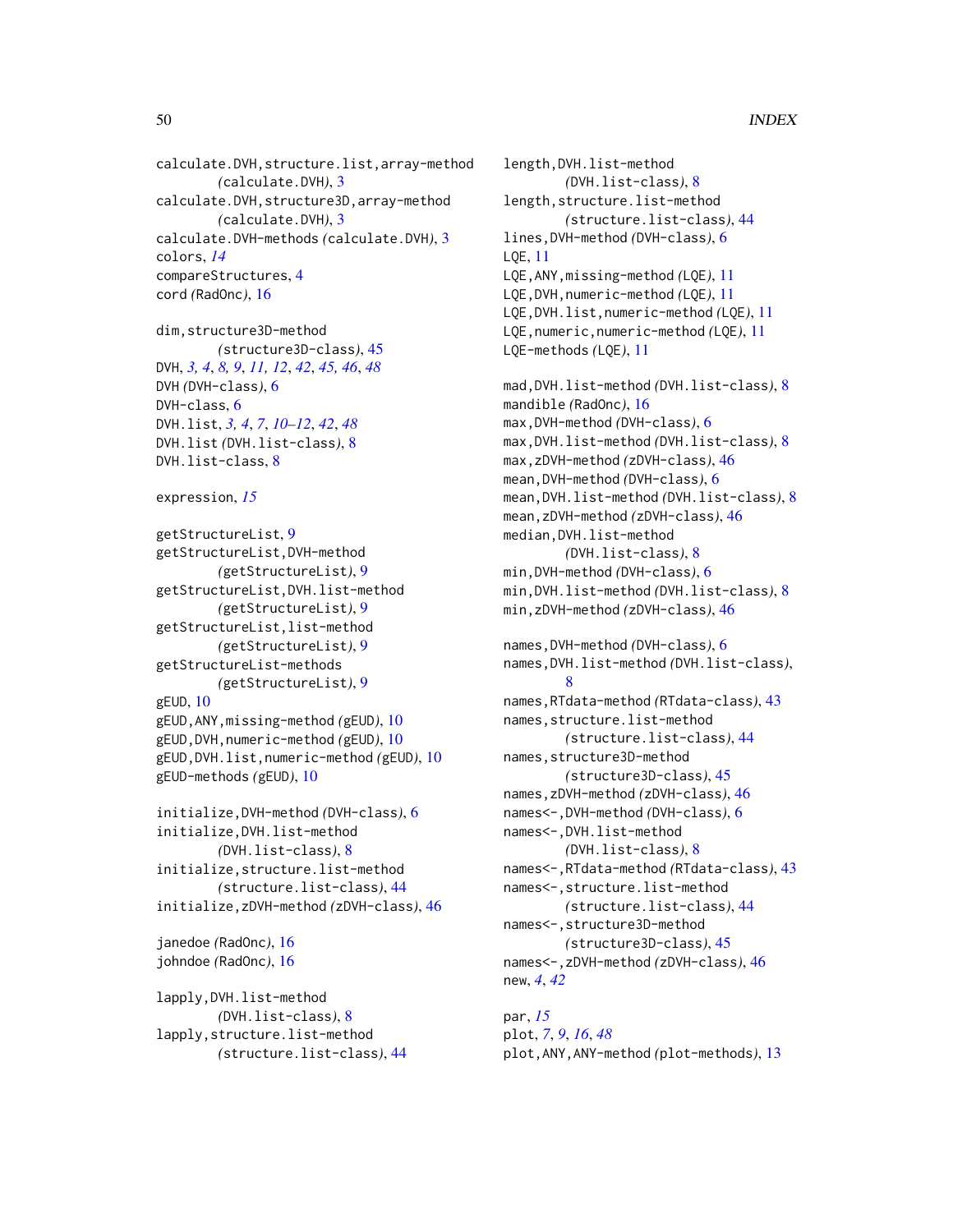calculate.DVH,structure.list,array-method *(*calculate.DVH*)*, [3](#page-2-0) calculate.DVH,structure3D,array-method *(*calculate.DVH*)*, [3](#page-2-0) calculate.DVH-methods *(*calculate.DVH*)*, [3](#page-2-0) colors, *[14](#page-13-0)* compareStructures, [4](#page-3-0) cord *(*RadOnc*)*, [16](#page-15-0)

dim,structure3D-method *(*structure3D-class*)*, [45](#page-44-0) DVH, *[3,](#page-2-0) [4](#page-3-0)*, *[8,](#page-7-0) [9](#page-8-0)*, *[11,](#page-10-0) [12](#page-11-0)*, *[42](#page-41-0)*, *[45,](#page-44-0) [46](#page-45-0)*, *[48](#page-47-0)* DVH *(*DVH-class*)*, [6](#page-5-0) DVH-class, [6](#page-5-0) DVH.list, *[3,](#page-2-0) [4](#page-3-0)*, *[7](#page-6-0)*, *[10](#page-9-0)[–12](#page-11-0)*, *[42](#page-41-0)*, *[48](#page-47-0)* DVH.list *(*DVH.list-class*)*, [8](#page-7-0) DVH.list-class, [8](#page-7-0)

```
expression, 15
```
getStructureList, [9](#page-8-0) getStructureList,DVH-method *(*getStructureList*)*, [9](#page-8-0) getStructureList,DVH.list-method *(*getStructureList*)*, [9](#page-8-0) getStructureList,list-method *(*getStructureList*)*, [9](#page-8-0) getStructureList-methods *(*getStructureList*)*, [9](#page-8-0) gEUD, [10](#page-9-0) gEUD,ANY,missing-method *(*gEUD*)*, [10](#page-9-0) gEUD,DVH,numeric-method *(*gEUD*)*, [10](#page-9-0) gEUD,DVH.list,numeric-method *(*gEUD*)*, [10](#page-9-0) gEUD-methods *(*gEUD*)*, [10](#page-9-0)

```
initialize,DVH-method (DVH-class), 6
initialize,DVH.list-method
        (DVH.list-class), 8
initialize,structure.list-method
        (structure.list-class), 44
initialize,zDVH-method (zDVH-class), 46
```
janedoe *(*RadOnc*)*, [16](#page-15-0) johndoe *(*RadOnc*)*, [16](#page-15-0)

lapply,DVH.list-method *(*DVH.list-class*)*, [8](#page-7-0) lapply,structure.list-method *(*structure.list-class*)*, [44](#page-43-0) length,DVH.list-method *(*DVH.list-class*)*, [8](#page-7-0) length,structure.list-method *(*structure.list-class*)*, [44](#page-43-0) lines,DVH-method *(*DVH-class*)*, [6](#page-5-0) LQE, [11](#page-10-0) LQE,ANY,missing-method *(*LQE*)*, [11](#page-10-0) LQE,DVH,numeric-method *(*LQE*)*, [11](#page-10-0) LQE,DVH.list,numeric-method *(*LQE*)*, [11](#page-10-0) LQE,numeric,numeric-method *(*LQE*)*, [11](#page-10-0) LQE-methods *(*LQE*)*, [11](#page-10-0) mad,DVH.list-method *(*DVH.list-class*)*, [8](#page-7-0) mandible *(*RadOnc*)*, [16](#page-15-0) max,DVH-method *(*DVH-class*)*, [6](#page-5-0) max,DVH.list-method *(*DVH.list-class*)*, [8](#page-7-0) max,zDVH-method *(*zDVH-class*)*, [46](#page-45-0) mean,DVH-method *(*DVH-class*)*, [6](#page-5-0) mean,DVH.list-method *(*DVH.list-class*)*, [8](#page-7-0) mean,zDVH-method *(*zDVH-class*)*, [46](#page-45-0) median,DVH.list-method *(*DVH.list-class*)*, [8](#page-7-0) min,DVH-method *(*DVH-class*)*, [6](#page-5-0) min,DVH.list-method *(*DVH.list-class*)*, [8](#page-7-0) min,zDVH-method *(*zDVH-class*)*, [46](#page-45-0) names,DVH-method *(*DVH-class*)*, [6](#page-5-0) names,DVH.list-method *(*DVH.list-class*)*, [8](#page-7-0) names,RTdata-method *(*RTdata-class*)*, [43](#page-42-0) names,structure.list-method *(*structure.list-class*)*, [44](#page-43-0) names,structure3D-method *(*structure3D-class*)*, [45](#page-44-0) names,zDVH-method *(*zDVH-class*)*, [46](#page-45-0) names<-,DVH-method *(*DVH-class*)*, [6](#page-5-0) names<-,DVH.list-method *(*DVH.list-class*)*, [8](#page-7-0) names<-,RTdata-method *(*RTdata-class*)*, [43](#page-42-0) names<-,structure.list-method *(*structure.list-class*)*, [44](#page-43-0) names<-,structure3D-method *(*structure3D-class*)*, [45](#page-44-0) names<-,zDVH-method *(*zDVH-class*)*, [46](#page-45-0) new, *[4](#page-3-0)*, *[42](#page-41-0)*

par, *[15](#page-14-0)* plot, *[7](#page-6-0)*, *[9](#page-8-0)*, *[16](#page-15-0)*, *[48](#page-47-0)* plot,ANY,ANY-method *(*plot-methods*)*, [13](#page-12-0)